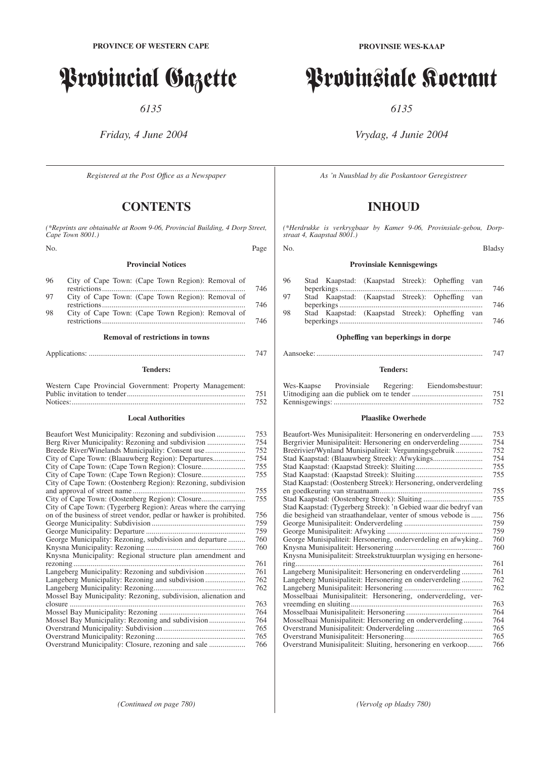# Provincial Gazette

*6135*

*Friday, 4 June 2004*

*Registered at the Post Offıce as a Newspaper*

# **CONTENTS**

*(\*Reprints are obtainable at Room 9-06, Provincial Building, 4 Dorp Street, Cape Town 8001.)*

No. Page

# **Provincial Notices**

| 96 | City of Cape Town: (Cape Town Region): Removal of | 746 |
|----|---------------------------------------------------|-----|
| 97 | City of Cape Town: (Cape Town Region): Removal of | 746 |
| 98 | City of Cape Town: (Cape Town Region): Removal of | 746 |

# **Removal of restrictions in towns**

# **Tenders:**

| Western Cape Provincial Government: Property Management: |     |
|----------------------------------------------------------|-----|
|                                                          | 751 |
|                                                          | 752 |

# **Local Authorities**

|                                                                      | 753 |
|----------------------------------------------------------------------|-----|
|                                                                      |     |
|                                                                      | 754 |
|                                                                      | 752 |
|                                                                      | 754 |
|                                                                      | 755 |
|                                                                      | 755 |
| City of Cape Town: (Oostenberg Region): Rezoning, subdivision        |     |
|                                                                      | 755 |
|                                                                      | 755 |
| City of Cape Town: (Tygerberg Region): Areas where the carrying      |     |
| on of the business of street vendor, pedlar or hawker is prohibited. | 756 |
|                                                                      | 759 |
|                                                                      | 759 |
| George Municipality: Rezoning, subdivision and departure             | 760 |
|                                                                      | 760 |
| Knysna Municipality: Regional structure plan amendment and           |     |
|                                                                      | 761 |
|                                                                      | 761 |
|                                                                      | 762 |
|                                                                      | 762 |
| Mossel Bay Municipality: Rezoning, subdivision, alienation and       |     |
|                                                                      | 763 |
|                                                                      | 764 |
| Mossel Bay Municipality: Rezoning and subdivision                    | 764 |
|                                                                      |     |
|                                                                      | 765 |
|                                                                      | 765 |
| Overstrand Municipality: Closure, rezoning and sale                  | 766 |

*(Continued on page 780) (Vervolg op bladsy 780)*

# Provinsiale Koerant

*6135*

# *Vrydag, 4 Junie 2004*

*As 'n Nuusblad by die Poskantoor Geregistreer*

# **INHOUD**

*(\*Herdrukke is verkrygbaar by Kamer 9-06, Provinsiale-gebou, Dorpstraat 4, Kaapstad 8001.)*

# No. Bladsy

# **Provinsiale Kennisgewings**

| 96 |  | Stad Kaapstad: (Kaapstad Streek): Opheffing van |  | 746 |
|----|--|-------------------------------------------------|--|-----|
| 97 |  | Stad Kaapstad: (Kaapstad Streek): Opheffing van |  | 746 |
| 98 |  | Stad Kaapstad: (Kaapstad Streek): Opheffing van |  | 746 |

# **Opheffing van beperkings in dorpe**

|--|--|--|--|--|

# **Tenders:**

| Wes-Kaapse | Provinsiale | Regering: | Eiendomsbestuur: |     |
|------------|-------------|-----------|------------------|-----|
|            |             |           |                  | 751 |
|            |             |           |                  | 752 |

# **Plaaslike Owerhede**

| Beaufort-Wes Munisipaliteit: Hersonering en onderverdeling       | 753 |
|------------------------------------------------------------------|-----|
| Bergrivier Munisipaliteit: Hersonering en onderverdeling         | 754 |
| Breërivier/Wynland Munisipaliteit: Vergunningsgebruik            | 752 |
|                                                                  | 754 |
|                                                                  | 755 |
|                                                                  | 755 |
| Stad Kaapstad: (Oostenberg Streek): Hersonering, onderverdeling  |     |
|                                                                  | 755 |
| Stad Kaapstad: (Oostenberg Streek): Sluiting                     | 755 |
| Stad Kaapstad: (Tygerberg Streek): 'n Gebied waar die bedryf van |     |
| die besigheid van straathandelaar, venter of smous vebode is     | 756 |
|                                                                  | 759 |
|                                                                  | 759 |
| George Munisipaliteit: Hersonering, onderverdeling en afwyking   | 760 |
|                                                                  | 760 |
| Knysna Munisipaliteit: Streekstruktuurplan wysiging en hersone-  |     |
|                                                                  | 761 |
| Langeberg Munisipaliteit: Hersonering en onderverdeling          | 761 |
| Langeberg Munisipaliteit: Hersonering en onderverdeling          | 762 |
|                                                                  | 762 |
| Mosselbaai Munisipaliteit: Hersonering, onderverdeling, ver-     |     |
|                                                                  | 763 |
|                                                                  | 764 |
| Mosselbaai Munisipaliteit: Hersonering en onderverdeling         | 764 |
|                                                                  | 765 |
|                                                                  | 765 |
| Overstrand Munisipaliteit: Sluiting, hersonering en verkoop      | 766 |
|                                                                  |     |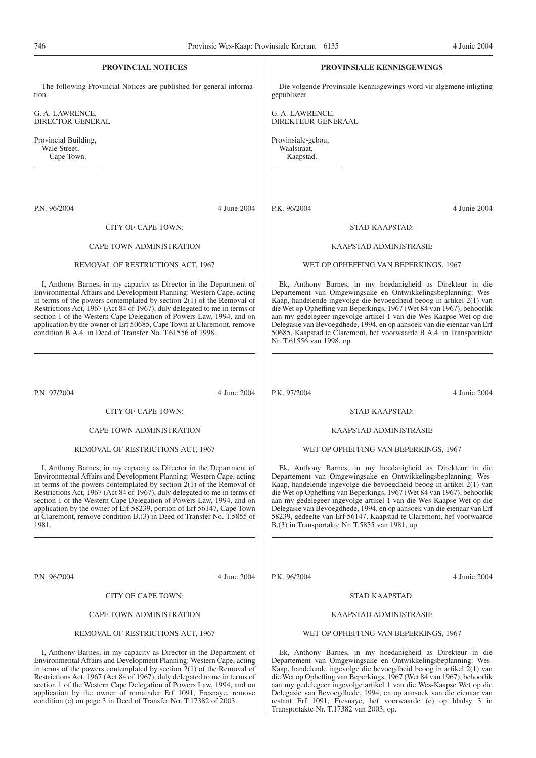| 746                                                | Provinsie Wes-Kaap: Provinsiale Koerant 6135                                                                                                                                                                                                                                                                                                                                                                                                                                                                                   |                                                |                                                 | 4 Junie 2004                                                                                                                                                                                                                                                                                                                                                                                                                                                                                           |
|----------------------------------------------------|--------------------------------------------------------------------------------------------------------------------------------------------------------------------------------------------------------------------------------------------------------------------------------------------------------------------------------------------------------------------------------------------------------------------------------------------------------------------------------------------------------------------------------|------------------------------------------------|-------------------------------------------------|--------------------------------------------------------------------------------------------------------------------------------------------------------------------------------------------------------------------------------------------------------------------------------------------------------------------------------------------------------------------------------------------------------------------------------------------------------------------------------------------------------|
|                                                    | <b>PROVINCIAL NOTICES</b>                                                                                                                                                                                                                                                                                                                                                                                                                                                                                                      |                                                | <b>PROVINSIALE KENNISGEWINGS</b>                |                                                                                                                                                                                                                                                                                                                                                                                                                                                                                                        |
| tion.                                              | The following Provincial Notices are published for general informa-                                                                                                                                                                                                                                                                                                                                                                                                                                                            | gepubliseer.                                   |                                                 | Die volgende Provinsiale Kennisgewings word vir algemene inligting                                                                                                                                                                                                                                                                                                                                                                                                                                     |
| G. A. LAWRENCE,<br>DIRECTOR-GENERAL                |                                                                                                                                                                                                                                                                                                                                                                                                                                                                                                                                | G. A. LAWRENCE,<br>DIREKTEUR-GENERAAL          |                                                 |                                                                                                                                                                                                                                                                                                                                                                                                                                                                                                        |
| Provincial Building,<br>Wale Street,<br>Cape Town. |                                                                                                                                                                                                                                                                                                                                                                                                                                                                                                                                | Provinsiale-gebou,<br>Waalstraat,<br>Kaapstad. |                                                 |                                                                                                                                                                                                                                                                                                                                                                                                                                                                                                        |
| P.N. 96/2004                                       | 4 June 2004                                                                                                                                                                                                                                                                                                                                                                                                                                                                                                                    | P.K. 96/2004                                   |                                                 | 4 Junie 2004                                                                                                                                                                                                                                                                                                                                                                                                                                                                                           |
|                                                    | CITY OF CAPE TOWN:                                                                                                                                                                                                                                                                                                                                                                                                                                                                                                             |                                                | STAD KAAPSTAD:                                  |                                                                                                                                                                                                                                                                                                                                                                                                                                                                                                        |
|                                                    | <b>CAPE TOWN ADMINISTRATION</b>                                                                                                                                                                                                                                                                                                                                                                                                                                                                                                |                                                | KAAPSTAD ADMINISTRASIE                          |                                                                                                                                                                                                                                                                                                                                                                                                                                                                                                        |
|                                                    | REMOVAL OF RESTRICTIONS ACT, 1967                                                                                                                                                                                                                                                                                                                                                                                                                                                                                              |                                                | WET OP OPHEFFING VAN BEPERKINGS, 1967           |                                                                                                                                                                                                                                                                                                                                                                                                                                                                                                        |
|                                                    | I, Anthony Barnes, in my capacity as Director in the Department of<br>Environmental Affairs and Development Planning: Western Cape, acting<br>in terms of the powers contemplated by section $2(1)$ of the Removal of<br>Restrictions Act, 1967 (Act 84 of 1967), duly delegated to me in terms of<br>section 1 of the Western Cape Delegation of Powers Law, 1994, and on<br>application by the owner of Erf 50685, Cape Town at Claremont, remove<br>condition B.A.4. in Deed of Transfer No. T.61556 of 1998.               | Nr. T.61556 van 1998, op.                      |                                                 | Ek, Anthony Barnes, in my hoedanigheid as Direkteur in die<br>Departement van Omgewingsake en Ontwikkelingsbeplanning: Wes-<br>Kaap, handelende ingevolge die bevoegdheid beoog in artikel 2(1) van<br>die Wet op Opheffing van Beperkings, 1967 (Wet 84 van 1967), behoorlik<br>aan my gedelegeer ingevolge artikel 1 van die Wes-Kaapse Wet op die<br>Delegasie van Bevoegdhede, 1994, en op aansoek van die eienaar van Erf<br>50685, Kaapstad te Claremont, hef voorwaarde B.A.4. in Transportakte |
| P.N. 97/2004                                       | 4 June 2004                                                                                                                                                                                                                                                                                                                                                                                                                                                                                                                    | P.K. 97/2004                                   |                                                 | 4 Junie 2004                                                                                                                                                                                                                                                                                                                                                                                                                                                                                           |
|                                                    | <b>CITY OF CAPE TOWN:</b>                                                                                                                                                                                                                                                                                                                                                                                                                                                                                                      |                                                | STAD KAAPSTAD:                                  |                                                                                                                                                                                                                                                                                                                                                                                                                                                                                                        |
|                                                    | <b>CAPE TOWN ADMINISTRATION</b>                                                                                                                                                                                                                                                                                                                                                                                                                                                                                                |                                                | KAAPSTAD ADMINISTRASIE                          |                                                                                                                                                                                                                                                                                                                                                                                                                                                                                                        |
|                                                    | REMOVAL OF RESTRICTIONS ACT, 1967                                                                                                                                                                                                                                                                                                                                                                                                                                                                                              |                                                | WET OP OPHEFFING VAN BEPERKINGS, 1967           |                                                                                                                                                                                                                                                                                                                                                                                                                                                                                                        |
| 1981.                                              | I, Anthony Barnes, in my capacity as Director in the Department of<br>Environmental Affairs and Development Planning: Western Cape, acting<br>in terms of the powers contemplated by section $2(1)$ of the Removal of<br>Restrictions Act, 1967 (Act 84 of 1967), duly delegated to me in terms of<br>section 1 of the Western Cape Delegation of Powers Law, 1994, and on<br>application by the owner of Erf 58239, portion of Erf 56147, Cape Town<br>at Claremont, remove condition B.(3) in Deed of Transfer No. T.5855 of |                                                | B.(3) in Transportakte Nr. T.5855 van 1981, op. | Ek, Anthony Barnes, in my hoedanigheid as Direkteur in die<br>Departement van Omgewingsake en Ontwikkelingsbeplanning: Wes-<br>Kaap, handelende ingevolge die bevoegdheid beoog in artikel 2(1) van<br>die Wet op Opheffing van Beperkings, 1967 (Wet 84 van 1967), behoorlik<br>aan my gedelegeer ingevolge artikel 1 van die Wes-Kaapse Wet op die<br>Delegasie van Bevoegdhede, 1994, en op aansoek van die eienaar van Erf<br>58239, gedeelte van Erf 56147, Kaapstad te Claremont, hef voorwaarde |
| P.N. 96/2004                                       | 4 June 2004                                                                                                                                                                                                                                                                                                                                                                                                                                                                                                                    | P.K. 96/2004                                   |                                                 | 4 Junie 2004                                                                                                                                                                                                                                                                                                                                                                                                                                                                                           |
|                                                    | CITY OF CAPE TOWN:                                                                                                                                                                                                                                                                                                                                                                                                                                                                                                             |                                                | STAD KAAPSTAD:                                  |                                                                                                                                                                                                                                                                                                                                                                                                                                                                                                        |
|                                                    | CAPE TOWN ADMINISTRATION                                                                                                                                                                                                                                                                                                                                                                                                                                                                                                       |                                                | KAAPSTAD ADMINISTRASIE                          |                                                                                                                                                                                                                                                                                                                                                                                                                                                                                                        |
|                                                    | REMOVAL OF RESTRICTIONS ACT, 1967                                                                                                                                                                                                                                                                                                                                                                                                                                                                                              | WET OP OPHEFFING VAN BEPERKINGS, 1967          |                                                 |                                                                                                                                                                                                                                                                                                                                                                                                                                                                                                        |

I, Anthony Barnes, in my capacity as Director in the Department of Environmental Affairs and Development Planning: Western Cape, acting in terms of the powers contemplated by section 2(1) of the Removal of Restrictions Act, 1967 (Act 84 of 1967), duly delegated to me in terms of section 1 of the Western Cape Delegation of Powers Law, 1994, and on application by the owner of remainder Erf 1091, Fresnaye, remove condition (c) on page 3 in Deed of Transfer No. T.17382 of 2003.

Ek, Anthony Barnes, in my hoedanigheid as Direkteur in die Departement van Omgewingsake en Ontwikkelingsbeplanning: Wes-Kaap, handelende ingevolge die bevoegdheid beoog in artikel 2(1) van die Wet op Opheffing van Beperkings, 1967 (Wet 84 van 1967), behoorlik aan my gedelegeer ingevolge artikel 1 van die Wes-Kaapse Wet op die Delegasie van Bevoegdhede, 1994, en op aansoek van die eienaar van restant Erf 1091, Fresnaye, hef voorwaarde (c) op bladsy 3 in Transportakte Nr. T.17382 van 2003, op.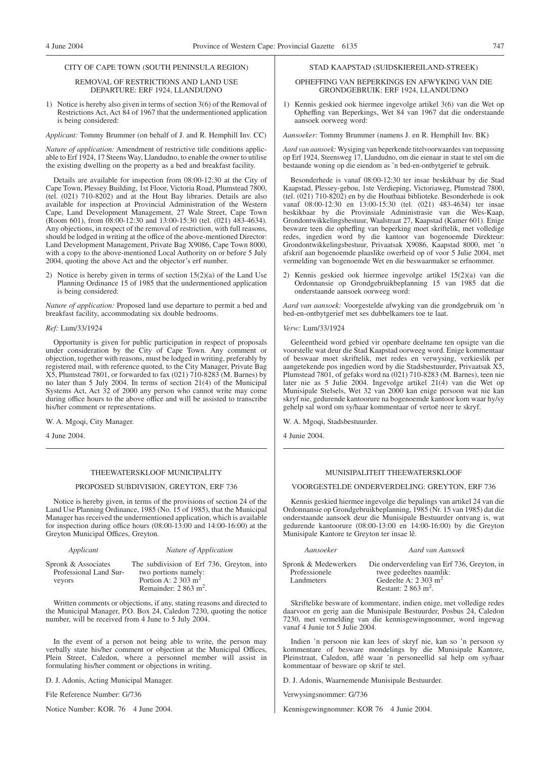# CITY OF CAPE TOWN (SOUTH PENINSULA REGION)

#### REMOVAL OF RESTRICTIONS AND LAND USE DEPARTURE: ERF 1924, LLANDUDNO

1) Notice is hereby also given in terms of section 3(6) of the Removal of Restrictions Act, Act 84 of 1967 that the undermentioned application is being considered:

*Applicant:* Tommy Brummer (on behalf of J. and R. Hemphill Inv. CC)

*Nature of application:* Amendment of restrictive title conditions applicable to Erf 1924, 17 Steens Way, Llandudno, to enable the owner to utilise the existing dwelling on the property as a bed and breakfast facility.

Details are available for inspection from 08:00-12:30 at the City of Cape Town, Plessey Building, 1st Floor, Victoria Road, Plumstead 7800, (tel. (021) 710-8202) and at the Hout Bay libraries. Details are also available for inspection at Provincial Administration of the Western Cape, Land Development Management, 27 Wale Street, Cape Town (Room 601), from 08:00-12:30 and 13:00-15:30 (tel. (021) 483-4634). Any objections, in respect of the removal of restriction, with full reasons, should be lodged in writing at the office of the above-mentioned Director: Land Development Management, Private Bag X9086, Cape Town 8000, with a copy to the above-mentioned Local Authority on or before 5 July 2004, quoting the above Act and the objector's erf number.

2) Notice is hereby given in terms of section 15(2)(a) of the Land Use Planning Ordinance 15 of 1985 that the undermentioned application is being considered:

*Nature of application:* Proposed land use departure to permit a bed and breakfast facility, accommodating six double bedrooms.

# *Ref:* Lum/33/1924

Opportunity is given for public participation in respect of proposals under consideration by the City of Cape Town. Any comment or objection, together with reasons, must be lodged in writing, preferably by registered mail, with reference quoted, to the City Manager, Private Bag X5, Plumstead 7801, or forwarded to fax (021) 710-8283 (M. Barnes) by no later than 5 July 2004. In terms of section 21(4) of the Municipal Systems Act, Act 32 of 2000 any person who cannot write may come during office hours to the above office and will be assisted to transcribe his/her comment or representations.

W. A. Mgoqi, City Manager.

4 June 2004.

# THEEWATERSKLOOF MUNICIPALITY

# PROPOSED SUBDIVISION, GREYTON, ERF 736

Notice is hereby given, in terms of the provisions of section 24 of the Land Use Planning Ordinance, 1985 (No. 15 of 1985), that the Municipal Manager has received the undermentioned application, which is available for inspection during office hours (08:00-13:00 and 14:00-16:00) at the Greyton Municipal Offices, Greyton.

| Applicant |  |
|-----------|--|
|           |  |

# *Applicant Nature of Application*

Spronk & Associates Professional Land Surveyors

The subdivision of Erf 736, Greyton, into two portions namely: Portion A: 2 303 m<sup>2</sup> Remainder: 2 863 m<sup>2</sup>.

Written comments or objections, if any, stating reasons and directed to the Municipal Manager, P.O. Box 24, Caledon 7230, quoting the notice number, will be received from 4 June to 5 July 2004.

In the event of a person not being able to write, the person may verbally state his/her comment or objection at the Municipal Offices, Plein Street, Caledon, where a personnel member will assist in formulating his/her comment or objections in writing.

D. J. Adonis, Acting Municipal Manager.

File Reference Number: G/736

Notice Number: KOR. 76 4 June 2004.

# STAD KAAPSTAD (SUIDSKIEREILAND-STREEK)

# OPHEFFING VAN BEPERKINGS EN AFWYKING VAN DIE GRONDGEBRUIK: ERF 1924, LLANDUDNO

1) Kennis geskied ook hiermee ingevolge artikel 3(6) van die Wet op Opheffing van Beperkings, Wet 84 van 1967 dat die onderstaande aansoek oorweeg word:

*Aansoeker:* Tommy Brummer (namens J. en R. Hemphill Inv. BK)

*Aard van aansoek:* Wysiging van beperkende titelvoorwaardes van toepassing op Erf 1924, Steensweg 17, Llandudno, om die eienaar in staat te stel om die bestaande woning op die eiendom as 'n bed-en-ontbytgerief te gebruik.

Besonderhede is vanaf 08:00-12:30 ter insae beskikbaar by die Stad Kaapstad, Plessey-gebou, 1ste Verdieping, Victoriaweg, Plumstead 7800, (tel. (021) 710-8202) en by die Houtbaai biblioteke. Besonderhede is ook vanaf 08:00-12:30 en 13:00-15:30 (tel. (021) 483-4634) ter insae beskikbaar by die Provinsiale Administrasie van die Wes-Kaap, Grondontwikkelingsbestuur, Waalstraat 27, Kaapstad (Kamer 601). Enige besware teen die opheffing van beperking moet skriftelik, met volledige redes, ingedien word by die kantoor van bogenoemde Direkteur: Grondontwikkelingsbestuur, Privaatsak X9086, Kaapstad 8000, met 'n afskrif aan bogenoemde plaaslike owerheid op of voor 5 Julie 2004, met vermelding van bogenoemde Wet en die beswaarmaker se erfnommer.

2) Kennis geskied ook hiermee ingevolge artikel 15(2)(a) van die Ordonnansie op Grondgebruikbeplanning 15 van 1985 dat die onderstaande aansoek oorweeg word:

*Aard van aansoek:* Voorgestelde afwyking van die grondgebruik om 'n bed-en-ontbytgerief met ses dubbelkamers toe te laat.

*Verw:* Lum/33/1924

Geleentheid word gebied vir openbare deelname ten opsigte van die voorstelle wat deur die Stad Kaapstad oorweeg word. Enige kommentaar of beswaar moet skriftelik, met redes en verwysing, verkieslik per aangetekende pos ingedien word by die Stadsbestuurder, Privaatsak X5, Plumstead 7801, of gefaks word na (021) 710-8283 (M. Barnes), teen nie later nie as 5 Julie 2004. Ingevolge artikel 21(4) van die Wet op Munisipale Stelsels, Wet 32 van 2000 kan enige persoon wat nie kan skryf nie, gedurende kantoorure na bogenoemde kantoor kom waar hy/sy gehelp sal word om sy/haar kommentaar of vertoë neer te skryf.

W. A. Mgoqi, Stadsbestuurder.

4 Junie 2004.

# MUNISIPALITEIT THEEWATERSKLOOF

# VOORGESTELDE ONDERVERDELING: GREYTON, ERF 736

Kennis geskied hiermee ingevolge die bepalings van artikel 24 van die Ordonnansie op Grondgebruikbeplanning, 1985 (Nr. 15 van 1985) dat die onderstaande aansoek deur die Munisipale Bestuurder ontvang is, wat gedurende kantoorure (08:00-13:00 en 14:00-16:00) by die Greyton Munisipale Kantore te Greyton ter insae lê.

| Spronk & Medewerkers<br>Professionele | Die onderverdeling van Erf 736, Greyton, in<br>twee gedeeltes naamlik: |
|---------------------------------------|------------------------------------------------------------------------|
| Landmeters                            | Gedeelte A: $2.303 \text{ m}^2$                                        |
|                                       | Restant: $2863 \text{ m}^2$ .                                          |

*Aansoeker Aard van Aansoek*

Skriftelike besware of kommentare, indien enige, met volledige redes daarvoor en gerig aan die Munisipale Bestuurder, Posbus 24, Caledon 7230, met vermelding van die kennisgewingnommer, word ingewag vanaf 4 Junie tot 5 Julie 2004.

Indien 'n persoon nie kan lees of skryf nie, kan so 'n persoon sy kommentare of besware mondelings by die Munisipale Kantore, Pleinstraat, Caledon, aflê waar 'n personeellid sal help om sy/haar kommentaar of besware op skrif te stel.

D. J. Adonis, Waarnemende Munisipale Bestuurder.

Verwysingsnommer: G/736

Kennisgewingnommer: KOR 76 4 Junie 2004.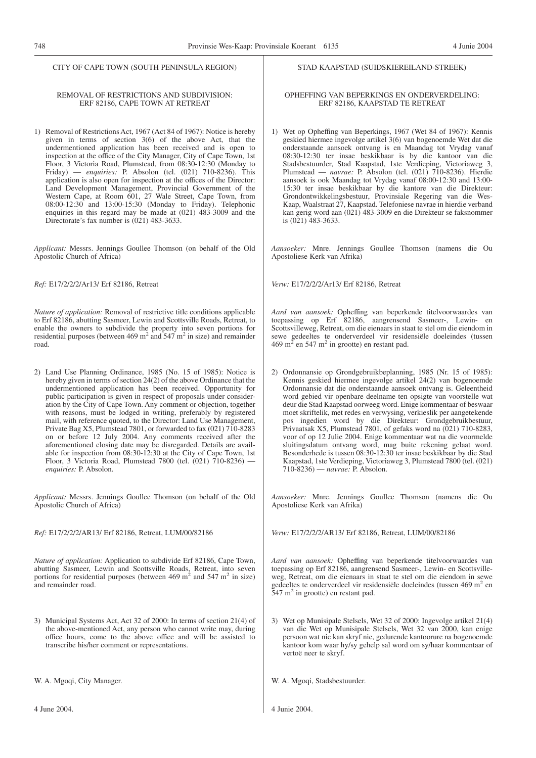# CITY OF CAPE TOWN (SOUTH PENINSULA REGION)

# REMOVAL OF RESTRICTIONS AND SUBDIVISION: ERF 82186, CAPE TOWN AT RETREAT

1) Removal of Restrictions Act, 1967 (Act 84 of 1967): Notice is hereby given in terms of section 3(6) of the above Act, that the undermentioned application has been received and is open to inspection at the office of the City Manager, City of Cape Town, 1st Floor, 3 Victoria Road, Plumstead, from 08:30-12:30 (Monday to Friday) — *enquiries:* P. Absolon (tel. (021) 710-8236). This application is also open for inspection at the offices of the Director: Land Development Management, Provincial Government of the Western Cape, at Room 601, 27 Wale Street, Cape Town, from 08:00-12:30 and 13:00-15:30 (Monday to Friday). Telephonic enquiries in this regard may be made at (021) 483-3009 and the Directorate's fax number is (021) 483-3633.

*Applicant:* Messrs. Jennings Goullee Thomson (on behalf of the Old Apostolic Church of Africa)

*Ref:* E17/2/2/2/Ar13/ Erf 82186, Retreat

*Nature of application:* Removal of restrictive title conditions applicable to Erf 82186, abutting Sasmeer, Lewin and Scottsville Roads, Retreat, to enable the owners to subdivide the property into seven portions for residential purposes (between 469 m<sup>2</sup> and 547 m<sup>2</sup> in size) and remainder road.

2) Land Use Planning Ordinance, 1985 (No. 15 of 1985): Notice is hereby given in terms of section 24(2) of the above Ordinance that the undermentioned application has been received. Opportunity for public participation is given in respect of proposals under consideration by the City of Cape Town. Any comment or objection, together with reasons, must be lodged in writing, preferably by registered mail, with reference quoted, to the Director: Land Use Management, Private Bag X5, Plumstead 7801, or forwarded to fax (021) 710-8283 on or before 12 July 2004. Any comments received after the aforementioned closing date may be disregarded. Details are available for inspection from 08:30-12:30 at the City of Cape Town, 1st Floor, 3 Victoria Road, Plumstead 7800 (tel. (021) 710-8236) *enquiries:* P. Absolon.

*Applicant:* Messrs. Jennings Goullee Thomson (on behalf of the Old Apostolic Church of Africa)

*Ref:* E17/2/2/2/AR13/ Erf 82186, Retreat, LUM/00/82186

*Nature of application:* Application to subdivide Erf 82186, Cape Town, abutting Sasmeer, Lewin and Scottsville Roads, Retreat, into seven portions for residential purposes (between  $469 \text{ m}^2$  and  $547 \text{ m}^2$  in size) and remainder road.

3) Municipal Systems Act, Act 32 of 2000: In terms of section 21(4) of the above-mentioned Act, any person who cannot write may, during office hours, come to the above office and will be assisted to transcribe his/her comment or representations.

W. A. Mgoqi, City Manager.

# STAD KAAPSTAD (SUIDSKIEREILAND-STREEK)

# OPHEFFING VAN BEPERKINGS EN ONDERVERDELING: ERF 82186, KAAPSTAD TE RETREAT

1) Wet op Opheffing van Beperkings, 1967 (Wet 84 of 1967): Kennis geskied hiermee ingevolge artikel 3(6) van bogenoemde Wet dat die onderstaande aansoek ontvang is en Maandag tot Vrydag vanaf 08:30-12:30 ter insae beskikbaar is by die kantoor van die Stadsbestuurder, Stad Kaapstad, 1ste Verdieping, Victoriaweg 3, Plumstead — *navrae:* P. Absolon (tel. (021) 710-8236). Hierdie aansoek is ook Maandag tot Vrydag vanaf 08:00-12:30 and 13:00- 15:30 ter insae beskikbaar by die kantore van die Direkteur: Grondontwikkelingsbestuur, Provinsiale Regering van die Wes-Kaap, Waalstraat 27, Kaapstad. Telefoniese navrae in hierdie verband kan gerig word aan (021) 483-3009 en die Direkteur se faksnommer is  $(021)$  483-3633.

*Aansoeker:* Mnre. Jennings Goullee Thomson (namens die Ou Apostoliese Kerk van Afrika)

*Verw:* E17/2/2/2/Ar13/ Erf 82186, Retreat

*Aard van aansoek:* Opheffing van beperkende titelvoorwaardes van toepassing op Erf 82186, aangrensend Sasmeer-, Lewin- en Scottsvilleweg, Retreat, om die eienaars in staat te stel om die eiendom in sewe gedeeltes te onderverdeel vir residensiële doeleindes (tussen  $469 \text{ m}^2$  en 547 m<sup>2</sup> in grootte) en restant pad.

2) Ordonnansie op Grondgebruikbeplanning, 1985 (Nr. 15 of 1985): Kennis geskied hiermee ingevolge artikel 24(2) van bogenoemde Ordonnansie dat die onderstaande aansoek ontvang is. Geleentheid word gebied vir openbare deelname ten opsigte van voorstelle wat deur die Stad Kaapstad oorweeg word. Enige kommentaar of beswaar moet skriftelik, met redes en verwysing, verkieslik per aangetekende pos ingedien word by die Direkteur: Grondgebruikbestuur, Privaatsak X5, Plumstead 7801, of gefaks word na (021) 710-8283, voor of op 12 Julie 2004. Enige kommentaar wat na die voormelde sluitingsdatum ontvang word, mag buite rekening gelaat word. Besonderhede is tussen 08:30-12:30 ter insae beskikbaar by die Stad Kaapstad, 1ste Verdieping, Victoriaweg 3, Plumstead 7800 (tel. (021) 710-8236) — *navrae:* P. Absolon.

*Aansoeker:* Mnre. Jennings Goullee Thomson (namens die Ou Apostoliese Kerk van Afrika)

*Verw:* E17/2/2/2/AR13/ Erf 82186, Retreat, LUM/00/82186

*Aard van aansoek:* Opheffing van beperkende titelvoorwaardes van toepassing op Erf 82186, aangrensend Sasmeer-, Lewin- en Scottsvilleweg, Retreat, om die eienaars in staat te stel om die eiendom in sewe gedeeltes te onderverdeel vir residensiële doeleindes (tussen 469 m<sup>2</sup> en  $547 \text{ m}^2$  in grootte) en restant pad.

3) Wet op Munisipale Stelsels, Wet 32 of 2000: Ingevolge artikel 21(4) van die Wet op Munisipale Stelsels, Wet 32 van 2000, kan enige persoon wat nie kan skryf nie, gedurende kantoorure na bogenoemde kantoor kom waar hy/sy gehelp sal word om sy/haar kommentaar of vertoë neer te skryf.

W. A. Mgoqi, Stadsbestuurder.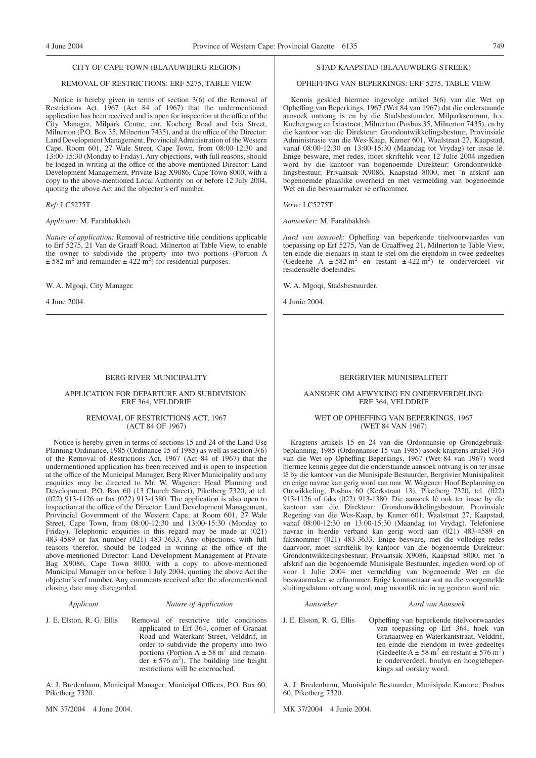## CITY OF CAPE TOWN (BLAAUWBERG REGION)

# REMOVAL OF RESTRICTIONS: ERF 5275, TABLE VIEW

Notice is hereby given in terms of section 3(6) of the Removal of Restrictions Act, 1967 (Act 84 of 1967) that the undermentioned application has been received and is open for inspection at the office of the City Manager, Milpark Centre, cnr. Koeberg Road and Ixia Street, Milnerton (P.O. Box 35, Milnerton 7435), and at the office of the Director: Land Development Management, Provincial Administration of the Western Cape, Room 601, 27 Wale Street, Cape Town, from 08:00-12:30 and 13:00-15:30 (Monday to Friday). Any objections, with full reasons, should be lodged in writing at the office of the above-mentioned Director: Land Development Management, Private Bag X9086, Cape Town 8000, with a copy to the above-mentioned Local Authority on or before 12 July 2004, quoting the above Act and the objector's erf number.

*Ref:* LC5275T

*Applicant:* M. Farahbakhsh

*Nature of application:* Removal of restrictive title conditions applicable to Erf 5275, 21 Van de Graaff Road, Milnerton at Table View, to enable the owner to subdivide the property into two portions (Portion A  $\pm$  582 m<sup>2</sup> and remainder  $\pm$  422 m<sup>2</sup>) for residential purposes.

W. A. Mgoqi, City Manager.

4 June 2004.

# BERG RIVER MUNICIPALITY

# APPLICATION FOR DEPARTURE AND SUBDIVISION: ERF 364, VELDDRIF

# REMOVAL OF RESTRICTIONS ACT, 1967 (ACT 84 OF 1967)

Notice is hereby given in terms of sections 15 and 24 of the Land Use Planning Ordinance, 1985 (Ordinance 15 of 1985) as well as section 3(6) of the Removal of Restrictions Act, 1967 (Act 84 of 1967) that the undermentioned application has been received and is open to inspection at the office of the Municipal Manager, Berg River Municipality and any enquiries may be directed to Mr. W. Wagener: Head Planning and Development, P.O. Box 60 (13 Church Street), Piketberg 7320, at tel. (022) 913-1126 or fax (022) 913-1380. The application is also open to inspection at the office of the Director: Land Development Management, Provincial Government of the Western Cape, at Room 601, 27 Wale Street, Cape Town, from 08:00-12:30 and 13:00-15:30 (Monday to Friday). Telephonic enquiries in this regard may be made at (021) 483-4589 or fax number (021) 483-3633. Any objections, with full reasons therefor, should be lodged in writing at the office of the above-mentioned Director: Land Development Management at Private Bag X9086, Cape Town 8000, with a copy to above-mentioned Municipal Manager on or before 1 July 2004, quoting the above Act the objector's erf number. Any comments received after the aforementioned closing date may disregarded.

# *Applicant Nature of Application*

J. E. Elston, R. G. Ellis Removal of restrictive title conditions applicated to Erf 364, corner of Granaat Road and Waterkant Street, Velddrif, in order to subdivide the property into two portions (Portion  $A \pm 58$  m<sup>2</sup> and remain- $\text{der } \pm 576 \text{ m}^2$ ). The building line height restrictions will be encroached.

A. J. Bredenhann, Municipal Manager, Municipal Offices, P.O. Box 60, Piketberg 7320.

MN 37/2004 4 June 2004.

# STAD KAAPSTAD (BLAAUWBERG-STREEK)

# OPHEFFING VAN BEPERKINGS: ERF 5275, TABLE VIEW

Kennis geskied hiermee ingevolge artikel 3(6) van die Wet op Opheffing van Beperkings, 1967 (Wet 84 van 1967) dat die onderstaande aansoek ontvang is en by die Stadsbestuurder, Milparksentrum, h.v. Koebergweg en Ixiastraat, Milnerton (Posbus 35, Milnerton 7435), en by die kantoor van die Direkteur: Grondontwikkelingsbestuur, Provinsiale Administrasie van die Wes-Kaap, Kamer 601, Waalstraat 27, Kaapstad, vanaf 08:00-12:30 en 13:00-15:30 (Maandag tot Vrydag) ter insae lê. Enige besware, met redes, moet skriftelik voor 12 Julie 2004 ingedien word by die kantoor van bogenoemde Direkteur: Grondontwikkelingsbestuur, Privaatsak X9086, Kaapstad 8000, met 'n afskrif aan bogenoemde plaaslike owerheid en met vermelding van bogenoemde Wet en die beswaarmaker se erfnommer.

*Verw:* LC5275T

*Aansoeker:* M. Farahbakhsh

*Aard van aansoek:* Opheffing van beperkende titelvoorwaardes van toepassing op Erf 5275, Van de Graaffweg 21, Milnerton te Table View, ten einde die eienaars in staat te stel om die eiendom in twee gedeeltes (Gedeelte A  $\pm 582$  m<sup>2</sup> en restant  $\pm 422$  m<sup>2</sup>) te onderverdeel vir residensiële doeleindes.

W. A. Mgoqi, Stadsbestuurder.

4 Junie 2004.

# BERGRIVIER MUNISIPALITEIT

# AANSOEK OM AFWYKING EN ONDERVERDELING: ERF 364, VELDDRIF

# WET OP OPHEFFING VAN BEPERKINGS, 1967 (WET 84 VAN 1967)

Kragtens artikels 15 en 24 van die Ordonnansie op Grondgebruikbeplanning, 1985 (Ordonnansie 15 van 1985) asook kragtens artikel 3(6) van die Wet op Opheffing Beperkings, 1967 (Wet 84 van 1967) word hiermee kennis gegee dat die onderstaande aansoek ontvang is on ter insae lê by die kantoor van die Munisipale Bestuurder, Bergrivier Munisipaliteit en enige navrae kan gerig word aan mnr. W. Wagener: Hoof Beplanning en Ontwikkeling, Posbus 60 (Kerkstraat 13), Piketberg 7320, tel. (022) 913-1126 of faks (022) 913-1380. Die aansoek lê ook ter insae by die kantoor van die Direkteur: Grondonwikkelingsbestuur, Provinsiale Regering van die Wes-Kaap, by Kamer 601, Waalstraat 27, Kaapstad, vanaf 08:00-12:30 en 13:00-15:30 (Maandag tot Vrydag). Telefoniese navrae in hierdie verband kan gerig word aan (021) 483-4589 en faksnommer (021) 483-3633. Enige besware, met die volledige redes daarvoor, moet skriftelik by kantoor van die bogenoemde Direkteur: Grondontwikkelingsbestuur, Privaatsak X9086, Kaapstad 8000, met 'n afskrif aan die bogenoemde Munisipale Bestuurder, ingedien word op of voor 1 Julie 2004 met vermelding van bogenoemde Wet en die beswaarmaker se erfnommer. Enige kommentaar wat na die voorgemelde sluitingsdatum ontvang word, mag moontlik nie in ag geneem word nie.

#### *Aansoeker Aard van Aansoek*

J. E. Elston, R. G. Ellis Opheffing van beperkende titelvoorwaardes van toepassing op Erf 364, hoek van Granaatweg en Waterkantstraat, Velddrif, ten einde die eiendom in twee gedeeltes (Gedeelte A  $\pm$  58 m<sup>2</sup> en restant  $\pm$  576 m<sup>2</sup>) te onderverdeel, boulyn en hoogtebeperkings sal oorskry word.

A. J. Bredenhann, Munisipale Bestuurder, Munisipale Kantore, Posbus 60, Piketberg 7320.

MK 37/2004 4 Junie 2004.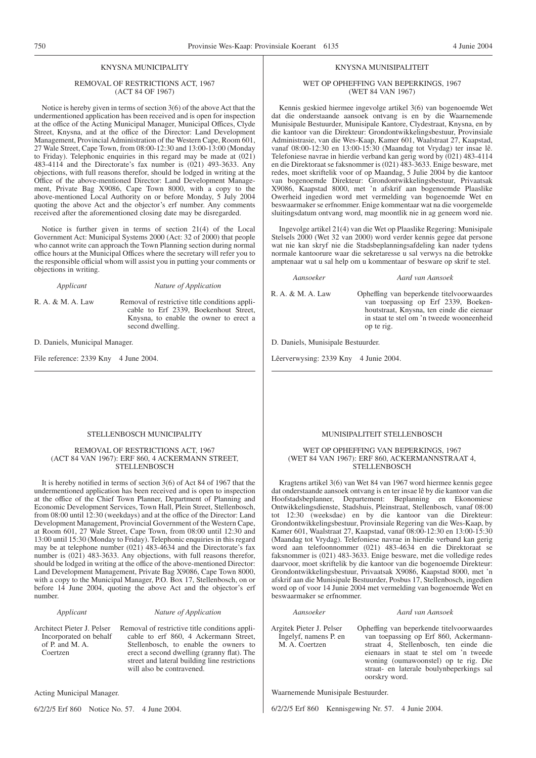# KNYSNA MUNICIPALITY

# REMOVAL OF RESTRICTIONS ACT, 1967 (ACT 84 OF 1967)

Notice is hereby given in terms of section 3(6) of the above Act that the undermentioned application has been received and is open for inspection at the office of the Acting Municipal Manager, Municipal Offices, Clyde Street, Knysna, and at the office of the Director: Land Development Management, Provincial Administration of the Western Cape, Room 601, 27 Wale Street, Cape Town, from 08:00-12:30 and 13:00-13:00 (Monday to Friday). Telephonic enquiries in this regard may be made at (021) 483-4114 and the Directorate's fax number is (021) 493-3633. Any objections, with full reasons therefor, should be lodged in writing at the Office of the above-mentioned Director: Land Development Management, Private Bag X9086, Cape Town 8000, with a copy to the above-mentioned Local Authority on or before Monday, 5 July 2004 quoting the above Act and the objector's erf number. Any comments received after the aforementioned closing date may be disregarded.

Notice is further given in terms of section 21(4) of the Local Government Act: Municipal Systems 2000 (Act: 32 of 2000) that people who cannot write can approach the Town Planning section during normal office hours at the Municipal Offices where the secretary will refer you to the responsible official whom will assist you in putting your comments or objections in writing.

*Applicant Nature of Application*

R. A. & M. A. Law Removal of restrictive title conditions applicable to Erf 2339, Boekenhout Street, Knysna, to enable the owner to erect a second dwelling.

D. Daniels, Municipal Manager.

File reference: 2339 Kny 4 June 2004.

# KNYSNA MUNISIPALITEIT

# WET OP OPHEFFING VAN BEPERKINGS, 1967 (WET 84 VAN 1967)

Kennis geskied hiermee ingevolge artikel 3(6) van bogenoemde Wet dat die onderstaande aansoek ontvang is en by die Waarnemende Munisipale Bestuurder, Munisipale Kantore, Clydestraat, Knysna, en by die kantoor van die Direkteur: Grondontwikkelingsbestuur, Provinsiale Administrasie, van die Wes-Kaap, Kamer 601, Waalstraat 27, Kaapstad, vanaf 08:00-12:30 en 13:00-15:30 (Maandag tot Vrydag) ter insae lê. Telefoniese navrae in hierdie verband kan gerig word by  $(021)$  483-4114 en die Direktoraat se faksnommer is (021) 483-3633. Enige besware, met redes, moet skriftelik voor of op Maandag, 5 Julie 2004 by die kantoor van bogenoemde Direkteur: Grondontwikkelingsbestuur, Privaatsak X9086, Kaapstad 8000, met 'n afskrif aan bogenoemde Plaaslike Owerheid ingedien word met vermelding van bogenoemde Wet en beswaarmaker se erfnommer. Enige kommentaar wat na die voorgemelde sluitingsdatum ontvang word, mag moontlik nie in ag geneem word nie.

Ingevolge artikel 21(4) van die Wet op Plaaslike Regering: Munisipale Stelsels 2000 (Wet 32 van 2000) word verder kennis gegee dat persone wat nie kan skryf nie die Stadsbeplanningsafdeling kan nader tydens normale kantoorure waar die sekretaresse u sal verwys na die betrokke amptenaar wat u sal help om u kommentaar of besware op skrif te stel.

*Aansoeker Aard van Aansoek*

R. A. & M. A. Law Opheffing van beperkende titelvoorwaardes van toepassing op Erf 2339, Boekenhoutstraat, Knysna, ten einde die eienaar in staat te stel om 'n tweede wooneenheid op te rig.

D. Daniels, Munisipale Bestuurder.

Lêerverwysing: 2339 Kny 4 Junie 2004.

# STELLENBOSCH MUNICIPALITY

# REMOVAL OF RESTRICTIONS ACT, 1967 (ACT 84 VAN 1967): ERF 860, 4 ACKERMANN STREET, **STELLENBOSCH**

It is hereby notified in terms of section 3(6) of Act 84 of 1967 that the undermentioned application has been received and is open to inspection at the office of the Chief Town Planner, Department of Planning and Economic Development Services, Town Hall, Plein Street, Stellenbosch, from 08:00 until 12:30 (weekdays) and at the office of the Director: Land Development Management, Provincial Government of the Western Cape, at Room 601, 27 Wale Street, Cape Town, from 08:00 until 12:30 and 13:00 until 15:30 (Monday to Friday). Telephonic enquiries in this regard may be at telephone number (021) 483-4634 and the Directorate's fax number is (021) 483-3633. Any objections, with full reasons therefor, should be lodged in writing at the office of the above-mentioned Director: Land Development Management, Private Bag X9086, Cape Town 8000, with a copy to the Municipal Manager, P.O. Box 17, Stellenbosch, on or before 14 June 2004, quoting the above Act and the objector's erf number.

# *Applicant Nature of Application*

Architect Pieter J. Pelser Incorporated on behalf of P. and M. A. Coertzen

Removal of restrictive title conditions applicable to erf 860, 4 Ackermann Street, Stellenbosch, to enable the owners to erect a second dwelling (granny flat). The street and lateral building line restrictions will also be contravened.

Acting Municipal Manager.

6/2/2/5 Erf 860 Notice No. 57. 4 June 2004.

#### MUNISIPALITEIT STELLENBOSCH

# WET OP OPHEFFING VAN BEPERKINGS, 1967 (WET 84 VAN 1967): ERF 860, ACKERMANNSTRAAT 4, **STELLENBOSCH**

Kragtens artikel 3(6) van Wet 84 van 1967 word hiermee kennis gegee dat onderstaande aansoek ontvang is en ter insae lê by die kantoor van die Hoofstadsbeplanner, Departement: Beplanning en Ekonomiese Ontwikkelingsdienste, Stadshuis, Pleinstraat, Stellenbosch, vanaf 08:00 tot 12:30 (weeksdae) en by die kantoor van die Direkteur: Grondontwikkelingsbestuur, Provinsiale Regering van die Wes-Kaap, by Kamer 601, Waalstraat 27, Kaapstad, vanaf 08:00-12:30 en 13:00-15:30 (Maandag tot Vrydag). Telefoniese navrae in hierdie verband kan gerig word aan telefoonnommer (021) 483-4634 en die Direktoraat se faksnommer is (021) 483-3633. Enige besware, met die volledige redes daarvoor, moet skriftelik by die kantoor van die bogenoemde Direkteur: Grondontwikkelingsbestuur, Privaatsak X9086, Kaapstad 8000, met 'n afskrif aan die Munisipale Bestuurder, Posbus 17, Stellenbosch, ingedien word op of voor 14 Junie 2004 met vermelding van bogenoemde Wet en beswaarmaker se erfnommer.

# *Aansoeker Aard van Aansoek*

Argitek Pieter J. Pelser Ingelyf, namens P. en M. A. Coertzen

Opheffing van beperkende titelvoorwaardes van toepassing op Erf 860, Ackermannstraat 4, Stellenbosch, ten einde die eienaars in staat te stel om 'n tweede woning (oumawoonstel) op te rig. Die straat- en laterale boulynbeperkings sal oorskry word.

Waarnemende Munisipale Bestuurder.

6/2/2/5 Erf 860 Kennisgewing Nr. 57. 4 Junie 2004.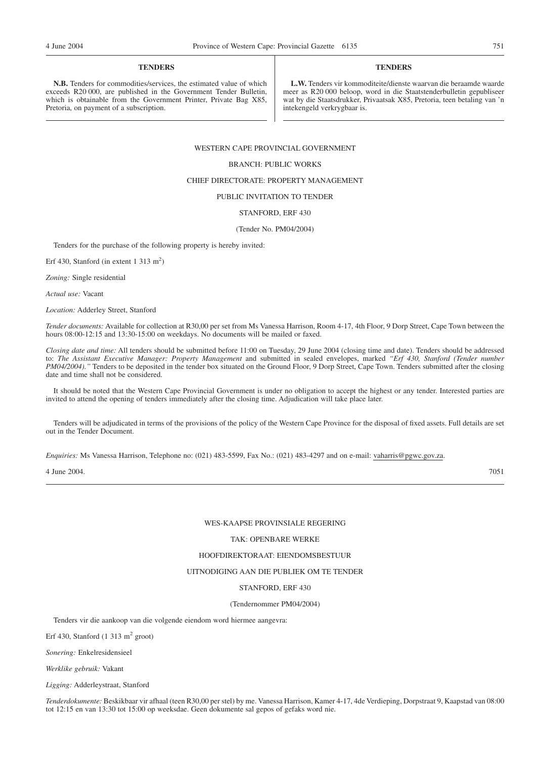# **TENDERS**

**N.B.** Tenders for commodities/services, the estimated value of which exceeds R20 000, are published in the Government Tender Bulletin, which is obtainable from the Government Printer, Private Bag X85, Pretoria, on payment of a subscription.

# **TENDERS**

**L.W.** Tenders vir kommoditeite/dienste waarvan die beraamde waarde meer as R20 000 beloop, word in die Staatstenderbulletin gepubliseer wat by die Staatsdrukker, Privaatsak X85, Pretoria, teen betaling van 'n intekengeld verkrygbaar is.

# WESTERN CAPE PROVINCIAL GOVERNMENT

# BRANCH: PUBLIC WORKS

# CHIEF DIRECTORATE: PROPERTY MANAGEMENT

# PUBLIC INVITATION TO TENDER

# STANFORD, ERF 430

#### (Tender No. PM04/2004)

Tenders for the purchase of the following property is hereby invited:

Erf 430, Stanford (in extent 1 313 m<sup>2</sup>)

*Zoning:* Single residential

*Actual use:* Vacant

*Location:* Adderley Street, Stanford

*Tender documents:* Available for collection at R30,00 per set from Ms Vanessa Harrison, Room 4-17, 4th Floor, 9 Dorp Street, Cape Town between the hours 08:00-12:15 and 13:30-15:00 on weekdays. No documents will be mailed or faxed.

*Closing date and time:* All tenders should be submitted before 11:00 on Tuesday, 29 June 2004 (closing time and date). Tenders should be addressed to: *The Assistant Executive Manager: Property Management* and submitted in sealed envelopes, marked *''Erf 430, Stanford (Tender number PM04/2004).''* Tenders to be deposited in the tender box situated on the Ground Floor, 9 Dorp Street, Cape Town. Tenders submitted after the closing date and time shall not be considered.

It should be noted that the Western Cape Provincial Government is under no obligation to accept the highest or any tender. Interested parties are invited to attend the opening of tenders immediately after the closing time. Adjudication will take place later.

Tenders will be adjudicated in terms of the provisions of the policy of the Western Cape Province for the disposal of fixed assets. Full details are set out in the Tender Document.

*Enquiries:* Ms Vanessa Harrison, Telephone no: (021) 483-5599, Fax No.: (021) 483-4297 and on e-mail: vaharris@pgwc.gov.za.

4 June 2004. 7051

WES-KAAPSE PROVINSIALE REGERING

TAK: OPENBARE WERKE

HOOFDIREKTORAAT: EIENDOMSBESTUUR

# UITNODIGING AAN DIE PUBLIEK OM TE TENDER

# STANFORD, ERF 430

#### (Tendernommer PM04/2004)

Tenders vir die aankoop van die volgende eiendom word hiermee aangevra:

Erf 430, Stanford  $(1\ 313 \text{ m}^2 \text{ groot})$ 

*Sonering:* Enkelresidensieel

*Werklike gebruik:* Vakant

*Ligging:* Adderleystraat, Stanford

*Tenderdokumente:* Beskikbaar vir afhaal (teen R30,00 per stel) by me. Vanessa Harrison, Kamer 4-17, 4de Verdieping, Dorpstraat 9, Kaapstad van 08:00 tot 12:15 en van 13:30 tot 15:00 op weeksdae. Geen dokumente sal gepos of gefaks word nie.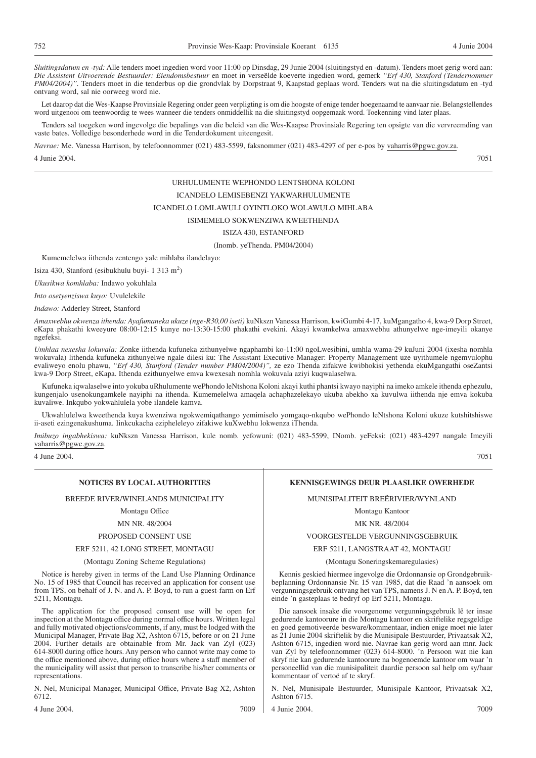*Sluitingsdatum en -tyd:* Alle tenders moet ingedien word voor 11:00 op Dinsdag, 29 Junie 2004 (sluitingstyd en -datum). Tenders moet gerig word aan: *Die Assistent Uitvoerende Bestuurder: Eiendomsbestuur* en moet in verseëlde koeverte ingedien word, gemerk *''Erf 430, Stanford (Tendernommer PM04/2004)''.* Tenders moet in die tenderbus op die grondvlak by Dorpstraat 9, Kaapstad geplaas word. Tenders wat na die sluitingsdatum en -tyd ontvang word, sal nie oorweeg word nie.

Let daarop dat die Wes-Kaapse Provinsiale Regering onder geen verpligting is om die hoogste of enige tender hoegenaamd te aanvaar nie. Belangstellendes word uitgenooi om teenwoordig te wees wanneer die tenders onmiddellik na die sluitingstyd oopgemaak word. Toekenning vind later plaas.

Tenders sal toegeken word ingevolge die bepalings van die beleid van die Wes-Kaapse Provinsiale Regering ten opsigte van die vervreemding van vaste bates. Volledige besonderhede word in die Tenderdokument uiteengesit.

*Navrae:* Me. Vanessa Harrison, by telefoonnommer (021) 483-5599, faksnommer (021) 483-4297 of per e-pos by vaharris@pgwc.gov.za. 4 Junie 2004. 7051

# URHULUMENTE WEPHONDO LENTSHONA KOLONI

# ICANDELO LEMISEBENZI YAKWARHULUMENTE

# ICANDELO LOMLAWULI OYINTLOKO WOLAWULO MIHLABA

# ISIMEMELO SOKWENZIWA KWEETHENDA

# ISIZA 430, ESTANFORD

(Inomb. yeThenda. PM04/2004)

Kumemelelwa iithenda zentengo yale mihlaba ilandelayo:

Isiza 430, Stanford (esibukhulu buyi- 1 313 m<sup>2</sup>)

*Ukusikwa komhlaba:* Indawo yokuhlala

*Into osetyenziswa kuyo:* Uvulelekile

*Indawo:* Adderley Street, Stanford

*Amaxwebhu okwenza ithenda: Ayafumaneka ukuze (nge-R30,00 iseti)* kuNkszn Vanessa Harrison, kwiGumbi 4-17, kuMgangatho 4, kwa-9 Dorp Street, eKapa phakathi kweeyure 08:00-12:15 kunye no-13:30-15:00 phakathi evekini. Akayi kwamkelwa amaxwebhu athunyelwe nge-imeyili okanye ngefeksi.

*Umhlaa nexesha lokuvala:* Zonke iithenda kufuneka zithunyelwe ngaphambi ko-11:00 ngoLwesibini, umhla wama-29 kuJuni 2004 (ixesha nomhla wokuvala) lithenda kufuneka zithunyelwe ngale dilesi ku: The Assistant Executive Manager: Property Management uze uyithumele ngemvulophu evaliweyo enolu phawu, *''Erf 430, Stanford (Tender number PM04/2004)'',* ze ezo Thenda zifakwe kwibhokisi yethenda ekuMgangathi oseZantsi kwa-9 Dorp Street, eKapa. Ithenda ezithunyelwe emva kwexesah nomhla wokuvala aziyi kuqwalaselwa.

Kufuneka iqwalaselwe into yokuba uRhulumente wePhondo leNtshona Koloni akayi kuthi phantsi kwayo nayiphi na imeko amkele ithenda ephezulu, kungenjalo usenokungamkele nayiphi na ithenda. Kumemelelwa amaqela achaphazelekayo ukuba abekho xa kuvulwa iithenda nje emva kokuba kuvaliwe. Inkqubo yokwahlulela yobe ilandele kamva.

Ukwahlulelwa kweethenda kuya kwenziwa ngokwemiqathango yemimiselo yomgaqo-nkqubo wePhondo leNtshona Koloni ukuze kutshitshiswe ii-aseti ezingenakushuma. Iinkcukacha ezipheleleyo zifakiwe kuXwebhu lokwenza iThenda.

*Imibuzo ingabhekiswa:* kuNkszn Vanessa Harrison, kule nomb. yefowuni: (021) 483-5599, INomb. yeFeksi: (021) 483-4297 nangale Imeyili vaharris@pgwc.gov.za.

4 June 2004. 7051

BREEDE RIVER/WINELANDS MUNICIPALITY

# Montagu Office

# MN NR. 48/2004

# PROPOSED CONSENT USE

# ERF 5211, 42 LONG STREET, MONTAGU

(Montagu Zoning Scheme Regulations)

Notice is hereby given in terms of the Land Use Planning Ordinance No. 15 of 1985 that Council has received an application for consent use from TPS, on behalf of J. N. and A. P. Boyd, to run a guest-farm on Erf 5211, Montagu.

The application for the proposed consent use will be open for inspection at the Montagu office during normal office hours. Written legal and fully motivated objections/comments, if any, must be lodged with the Municipal Manager, Private Bag X2, Ashton 6715, before or on 21 June 2004. Further details are obtainable from Mr. Jack van Zyl (023) 614-8000 during office hours. Any person who cannot write may come to the office mentioned above, during office hours where a staff member of the municipality will assist that person to transcribe his/her comments or representations.

N. Nel, Municipal Manager, Municipal Office, Private Bag X2, Ashton 6712.

4 June 2004. 7009

# **NOTICES BY LOCAL AUTHORITIES KENNISGEWINGS DEUR PLAASLIKE OWERHEDE**

MUNISIPALITEIT BREËRIVIER/WYNLAND

Montagu Kantoor

## MK NR. 48/2004

# VOORGESTELDE VERGUNNINGSGEBRUIK

#### ERF 5211, LANGSTRAAT 42, MONTAGU

(Montagu Soneringskemaregulasies)

Kennis geskied hiermee ingevolge die Ordonnansie op Grondgebruikbeplanning Ordonnansie Nr. 15 van 1985, dat die Raad 'n aansoek om vergunningsgebruik ontvang het van TPS, namens J. N en A. P. Boyd, ten einde 'n gasteplaas te bedryf op Erf 5211, Montagu.

Die aansoek insake die voorgenome vergunningsgebruik lê ter insae gedurende kantoorure in die Montagu kantoor en skriftelike regsgeldige en goed gemotiveerde besware/kommentaar, indien enige moet nie later as 21 Junie 2004 skriftelik by die Munisipale Bestuurder, Privaatsak X2, Ashton 6715, ingedien word nie. Navrae kan gerig word aan mnr. Jack van Zyl by telefoonnommer (023) 614-8000. 'n Persoon wat nie kan skryf nie kan gedurende kantoorure na bogenoemde kantoor om waar 'n personeellid van die munisipaliteit daardie persoon sal help om sy/haar kommentaar of vertoë af te skryf.

N. Nel, Munisipale Bestuurder, Munisipale Kantoor, Privaatsak X2, Ashton 6715.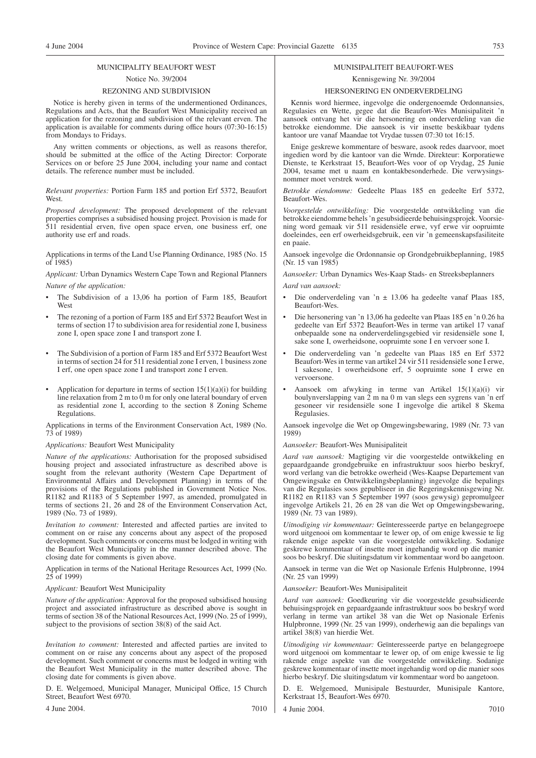# MUNICIPALITY BEAUFORT WEST

# Notice No. 39/2004

# REZONING AND SUBDIVISION

Notice is hereby given in terms of the undermentioned Ordinances, Regulations and Acts, that the Beaufort West Municipality received an application for the rezoning and subdivision of the relevant erven. The application is available for comments during office hours (07:30-16:15) from Mondays to Fridays.

Any written comments or objections, as well as reasons therefor, should be submitted at the office of the Acting Director: Corporate Services on or before 25 June 2004, including your name and contact details. The reference number must be included.

*Relevant properties:* Portion Farm 185 and portion Erf 5372, Beaufort West.

*Proposed development:* The proposed development of the relevant properties comprises a subsidised housing project. Provision is made for 511 residential erven, five open space erven, one business erf, one authority use erf and roads.

Applications in terms of the Land Use Planning Ordinance, 1985 (No. 15 of 1985)

*Applicant:* Urban Dynamics Western Cape Town and Regional Planners *Nature of the application:*

- The Subdivision of a 13,06 ha portion of Farm 185, Beaufort West
- The rezoning of a portion of Farm 185 and Erf 5372 Beaufort West in terms of section  $17$  to subdivision area for residential zone I, business zone I, open space zone I and transport zone I.
- The Subdivision of a portion of Farm 185 and Erf 5372 Beaufort West in terms of section 24 for 511 residential zone I erven, 1 business zone I erf, one open space zone I and transport zone I erven.
- Application for departure in terms of section  $15(1)(a)(i)$  for building line relaxation from 2 m to 0 m for only one lateral boundary of erven as residential zone I, according to the section 8 Zoning Scheme Regulations.

Applications in terms of the Environment Conservation Act, 1989 (No. 73 of 1989)

*Applications:* Beaufort West Municipality

*Nature of the applications:* Authorisation for the proposed subsidised housing project and associated infrastructure as described above is sought from the relevant authority (Western Cape Department of Environmental Affairs and Development Planning) in terms of the provisions of the Regulations published in Government Notice Nos. R1182 and R1183 of 5 September 1997, as amended, promulgated in terms of sections 21, 26 and 28 of the Environment Conservation Act, 1989 (No. 73 of 1989).

*Invitation to comment:* Interested and affected parties are invited to comment on or raise any concerns about any aspect of the proposed development. Such comments or concerns must be lodged in writing with the Beaufort West Municipality in the manner described above. The closing date for comments is given above.

Application in terms of the National Heritage Resources Act, 1999 (No. 25 of 1999)

*Applicant:* Beaufort West Municipality

*Nature of the application:* Approval for the proposed subsidised housing project and associated infrastructure as described above is sought in terms of section 38 of the National Resources Act, 1999 (No. 25 of 1999), subject to the provisions of section 38(8) of the said Act.

*Invitation to comment:* Interested and affected parties are invited to comment on or raise any concerns about any aspect of the proposed development. Such comment or concerns must be lodged in writing with the Beaufort West Municipality in the matter described above. The closing date for comments is given above.

D. E. Welgemoed, Municipal Manager, Municipal Office, 15 Church Street, Beaufort West 6970.

4 June 2004. 7010

# MUNISIPALITEIT BEAUFORT-WES Kennisgewing Nr. 39/2004

# HERSONERING EN ONDERVERDELING

Kennis word hiermee, ingevolge die ondergenoemde Ordonnansies, Regulasies en Wette, gegee dat die Beaufort-Wes Munisipaliteit 'n aansoek ontvang het vir die hersonering en onderverdeling van die betrokke eiendomme. Die aansoek is vir insette beskikbaar tydens kantoor ure vanaf Maandae tot Vrydae tussen 07:30 tot 16:15.

Enige geskrewe kommentare of besware, asook redes daarvoor, moet ingedien word by die kantoor van die Wrnde. Direkteur: Korporatiewe Dienste, te Kerkstraat 15, Beaufort-Wes voor of op Vrydag, 25 Junie 2004, tesame met u naam en kontakbesonderhede. Die verwysingsnommer moet verstrek word.

*Betrokke eiendomme:* Gedeelte Plaas 185 en gedeelte Erf 5372, Beaufort-Wes.

*Voorgestelde ontwikkeling:* Die voorgestelde ontwikkeling van die betrokke eiendomme behels 'n gesubsidieerde behuisingsprojek. Voorsiening word gemaak vir 511 residensiële erwe, vyf erwe vir oopruimte doeleindes, een erf owerheidsgebruik, een vir 'n gemeenskapsfasiliteite en paaie.

Aansoek ingevolge die Ordonnansie op Grondgebruikbeplanning, 1985 (Nr. 15 van 1985)

*Aansoeker:* Urban Dynamics Wes-Kaap Stads- en Streeksbeplanners *Aard van aansoek:*

- Die onderverdeling van 'n  $\pm$  13.06 ha gedeelte vanaf Plaas 185, Beaufort-Wes.
- Die hersonering van 'n 13,06 ha gedeelte van Plaas 185 en 'n 0.26 ha gedeelte van Erf 5372 Beaufort-Wes in terme van artikel 17 vanaf onbepaalde sone na onderverdelingsgebied vir residensiële sone I, sake sone I, owerheidsone, oopruimte sone I en vervoer sone I.
- Die onderverdeling van 'n gedeelte van Plaas 185 en Erf 5372 Beaufort-Wes in terme van artikel 24 vir 511 residensiële sone I erwe, 1 sakesone, 1 owerheidsone erf, 5 oopruimte sone I erwe en vervoersone.
- Aansoek om afwyking in terme van Artikel 15(1)(a)(i) vir boulynverslapping van  $\overline{2}$  m na 0 m van slegs een sygrens van 'n erf gesoneer vir residensiële sone I ingevolge die artikel 8 Skema Regulasies.

Aansoek ingevolge die Wet op Omgewingsbewaring, 1989 (Nr. 73 van 1989)

*Aansoeker:* Beaufort-Wes Munisipaliteit

*Aard van aansoek:* Magtiging vir die voorgestelde ontwikkeling en gepaardgaande grondgebruike en infrastruktuur soos hierbo beskryf, word verlang van die betrokke owerheid (Wes-Kaapse Departement van Omgewingsake en Ontwikkelingsbeplanning) ingevolge die bepalings van die Regulasies soos gepubliseer in die Regeringskennisgewing Nr. R1182 en R1183 van 5 September 1997 (soos gewysig) gepromulgeer ingevolge Artikels 21, 26 en 28 van die Wet op Omgewingsbewaring, 1989 (Nr. 73 van 1989).

*Uitnodiging vir kommentaar:* Geïnteresseerde partye en belangegroepe word uitgenooi om kommentaar te lewer op, of om enige kwessie te lig rakende enige aspekte van die voorgestelde ontwikkeling. Sodanige geskrewe kommentaar of insette moet ingehandig word op die manier soos bo beskryf. Die sluitingsdatum vir kommentaar word bo aangetoon.

Aansoek in terme van die Wet op Nasionale Erfenis Hulpbronne, 1994 (Nr. 25 van 1999)

*Aansoeker:* Beaufort-Wes Munisipaliteit

*Aard van aansoek:* Goedkeuring vir die voorgestelde gesubsidieerde behuisingsprojek en gepaardgaande infrastruktuur soos bo beskryf word verlang in terme van artikel 38 van die Wet op Nasionale Erfenis Hulpbronne, 1999 (Nr. 25 van 1999), onderhewig aan die bepalings van artikel 38(8) van hierdie Wet.

*Uitnodiging vir kommentaar:* Geïnteresseerde partye en belangegroepe word uitgenooi om kommentaar te lewer op, of om enige kwessie te lig rakende enige aspekte van die voorgestelde ontwikkeling. Sodanige geskrewe kommentaar of insette moet ingehandig word op die manier soos hierbo beskryf. Die sluitingsdatum vir kommentaar word bo aangetoon.

D. E. Welgemoed, Munisipale Bestuurder, Munisipale Kantore, Kerkstraat 15, Beaufort-Wes 6970.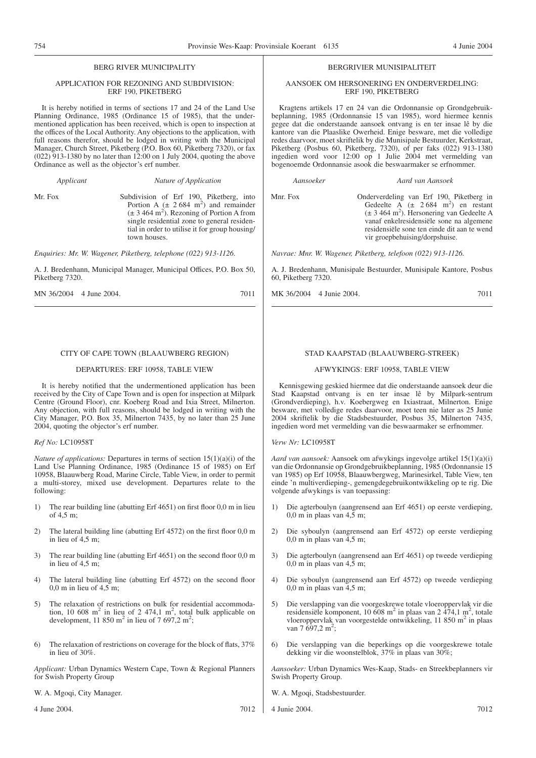# BERG RIVER MUNICIPALITY

# APPLICATION FOR REZONING AND SUBDIVISION: ERF 190, PIKETBERG

It is hereby notified in terms of sections 17 and 24 of the Land Use Planning Ordinance, 1985 (Ordinance 15 of 1985), that the undermentioned application has been received, which is open to inspection at the offices of the Local Authority. Any objections to the application, with full reasons therefor, should be lodged in writing with the Municipal Manager, Church Street, Piketberg (P.O. Box 60, Piketberg 7320), or fax (022) 913-1380 by no later than 12:00 on 1 July 2004, quoting the above Ordinance as well as the objector's erf number.

*Applicant Nature of Application*

Mr. Fox Subdivision of Erf 190, Piketberg, into<br>Portion A ( $\pm$  2 684 m<sup>2</sup>) and remainder  $(\pm 3.464 \text{ m}^2)$ . Rezoning of Portion A from single residential zone to general residential in order to utilise it for group housing/ town houses.

*Enquiries: Mr. W. Wagener, Piketberg, telephone (022) 913-1126.*

A. J. Bredenhann, Municipal Manager, Municipal Offices, P.O. Box 50, Piketberg 7320.

MN 36/2004 4 June 2004. 2005 7011

# CITY OF CAPE TOWN (BLAAUWBERG REGION)

# DEPARTURES: ERF 10958, TABLE VIEW

It is hereby notified that the undermentioned application has been received by the City of Cape Town and is open for inspection at Milpark Centre (Ground Floor), cnr. Koeberg Road and Ixia Street, Milnerton. Any objection, with full reasons, should be lodged in writing with the City Manager, P.O. Box 35, Milnerton 7435, by no later than 25 June 2004, quoting the objector's erf number.

*Ref No:* LC10958T

*Nature of applications:* Departures in terms of section 15(1)(a)(i) of the Land Use Planning Ordinance, 1985 (Ordinance 15 of 1985) on Erf 10958, Blaauwberg Road, Marine Circle, Table View, in order to permit a multi-storey, mixed use development. Departures relate to the following:

- 1) The rear building line (abutting Erf 4651) on first floor 0,0 m in lieu of 4,5 m;
- 2) The lateral building line (abutting Erf 4572) on the first floor 0,0 m in lieu of 4,5 m;
- 3) The rear building line (abutting Erf 4651) on the second floor 0,0 m in lieu of 4,5 m;
- 4) The lateral building line (abutting Erf 4572) on the second floor  $0,0$  m in lieu of  $4.5$  m:
- 5) The relaxation of restrictions on bulk for residential accommodation, 10 608 m<sup>2</sup> in lieu of 2 474,1 m<sup>2</sup>, total bulk applicable on development, 11 850 m<sup>2</sup> in lieu of 7 697,2 m<sup>2</sup>;
- 6) The relaxation of restrictions on coverage for the block of flats, 37% in lieu of 30%.

*Applicant:* Urban Dynamics Western Cape, Town & Regional Planners for Swish Property Group

W. A. Mgoqi, City Manager.

4 June 2004. 7012

# BERGRIVIER MUNISIPALITEIT

# AANSOEK OM HERSONERING EN ONDERVERDELING: ERF 190, PIKETBERG

Kragtens artikels 17 en 24 van die Ordonnansie op Grondgebruikbeplanning, 1985 (Ordonnansie 15 van 1985), word hiermee kennis gegee dat die onderstaande aansoek ontvang is en ter insae lê by die kantore van die Plaaslike Owerheid. Enige besware, met die volledige redes daarvoor, moet skriftelik by die Munisipale Bestuurder, Kerkstraat, Piketberg (Posbus 60, Piketberg, 7320), of per faks (022) 913-1380 ingedien word voor 12:00 op 1 Julie 2004 met vermelding van bogenoemde Ordonnansie asook die beswaarmaker se erfnommer.

*Aansoeker Aard van Aansoek*

Mnr. Fox Onderverdeling van Erf 190, Piketberg in Gedeelte  $\overrightarrow{A}$  ( $\pm$  2.684 m<sup>2</sup>) en restant (± 3 464 m2 ). Hersonering van Gedeelte A vanaf enkelresidensiële sone na algemene residensiële sone ten einde dit aan te wend vir groepbehuising/dorpshuise.

*Navrae: Mnr. W. Wagener, Piketberg, telefoon (022) 913-1126.*

A. J. Bredenhann, Munisipale Bestuurder, Munisipale Kantore, Posbus 60, Piketberg 7320.

MK 36/2004 4 Junie 2004. 7011

# STAD KAAPSTAD (BLAAUWBERG-STREEK)

# AFWYKINGS: ERF 10958, TABLE VIEW

Kennisgewing geskied hiermee dat die onderstaande aansoek deur die Stad Kaapstad ontvang is en ter insae lê by Milpark-sentrum (Grondverdieping), h.v. Koebergweg en Ixiastraat, Milnerton. Enige besware, met volledige redes daarvoor, moet teen nie later as 25 Junie 2004 skriftelik by die Stadsbestuurder, Posbus 35, Milnerton 7435, ingedien word met vermelding van die beswaarmaker se erfnommer.

*Verw Nr:* LC10958T

*Aard van aansoek:* Aansoek om afwykings ingevolge artikel 15(1)(a)(i) van die Ordonnansie op Grondgebruikbeplanning, 1985 (Ordonnansie 15 van 1985) op Erf 10958, Blaauwbergweg, Marinesirkel, Table View, ten einde 'n multiverdieping-, gemengdegebruikontwikkeling op te rig. Die volgende afwykings is van toepassing:

- 1) Die agterboulyn (aangrensend aan Erf 4651) op eerste verdieping, 0,0 m in plaas van  $4,\bar{5}$  m;
- 2) Die syboulyn (aangrensend aan Erf 4572) op eerste verdieping 0,0 m in plaas van 4,5 m;
- 3) Die agterboulyn (aangrensend aan Erf 4651) op tweede verdieping 0,0 m in plaas van  $4,\bar{5}$  m;
- 4) Die syboulyn (aangrensend aan Erf 4572) op tweede verdieping 0,0 m in plaas van 4,5 m;
- 5) Die verslapping van die voorgeskrewe totale vloeroppervlak vir die residensiële komponent, 10 608 m<sup>2</sup> in plaas van 2 474,1 m<sup>2</sup>, totale vloeroppervlak van voorgestelde ontwikkeling, 11 850 m<sup>2</sup> in plaas van 7 697,2 m<sup>2</sup>;
- 6) Die verslapping van die beperkings op die voorgeskrewe totale dekking vir die woonstelblok, 37% in plaas van 30%;

*Aansoeker:* Urban Dynamics Wes-Kaap, Stads- en Streekbeplanners vir Swish Property Group.

- W. A. Mgoqi, Stadsbestuurder.
- 4 Junie 2004. 7012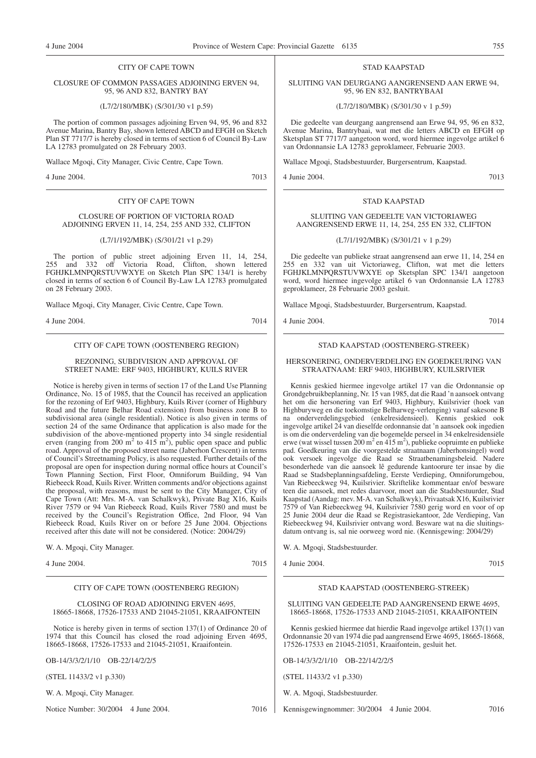# CITY OF CAPE TOWN

# CLOSURE OF COMMON PASSAGES ADJOINING ERVEN 94, 95, 96 AND 832, BANTRY BAY

(L7/2/180/MBK) (S/301/30 v1 p.59)

The portion of common passages adjoining Erven 94, 95, 96 and 832 Avenue Marina, Bantry Bay, shown lettered ABCD and EFGH on Sketch Plan ST 7717/7 is hereby closed in terms of section 6 of Council By-Law LA 12783 promulgated on 28 February 2003.

Wallace Mgoqi, City Manager, Civic Centre, Cape Town.

4 June 2004. 7013

# CITY OF CAPE TOWN

# CLOSURE OF PORTION OF VICTORIA ROAD ADJOINING ERVEN 11, 14, 254, 255 AND 332, CLIFTON

# (L7/1/192/MBK) (S/301/21 v1 p.29)

The portion of public street adjoining Erven 11, 14, 254, 255 and 332 off Victoria Road, Clifton, shown lettered FGHJKLMNPQRSTUVWXYE on Sketch Plan SPC 134/1 is hereby closed in terms of section 6 of Council By-Law LA 12783 promulgated on 28 February 2003.

Wallace Mgoqi, City Manager, Civic Centre, Cape Town.

4 June 2004. 7014

CITY OF CAPE TOWN (OOSTENBERG REGION)

# REZONING, SUBDIVISION AND APPROVAL OF STREET NAME: ERF 9403, HIGHBURY, KUILS RIVER

Notice is hereby given in terms of section 17 of the Land Use Planning Ordinance, No. 15 of 1985, that the Council has received an application for the rezoning of Erf 9403, Highbury, Kuils River (corner of Highbury Road and the future Belhar Road extension) from business zone B to subdivisional area (single residential). Notice is also given in terms of section 24 of the same Ordinance that application is also made for the subdivision of the above-mentioned property into 34 single residential erven (ranging from 200 m<sup>2</sup> to 415 m<sup>2</sup>), public open space and public road. Approval of the proposed street name (Jaberhon Crescent) in terms of Council's Streetnaming Policy, is also requested. Further details of the proposal are open for inspection during normal office hours at Council's Town Planning Section, First Floor, Omniforum Building, 94 Van Riebeeck Road, Kuils River. Written comments and/or objections against the proposal, with reasons, must be sent to the City Manager, City of Cape Town (Att: Mrs. M-A. van Schalkwyk), Private Bag X16, Kuils River 7579 or 94 Van Riebeeck Road, Kuils River 7580 and must be received by the Council's Registration Office, 2nd Floor, 94 Van Riebeeck Road, Kuils River on or before 25 June 2004. Objections received after this date will not be considered. (Notice: 2004/29)

W. A. Mgoqi, City Manager.

4 June 2004. 7015

# CITY OF CAPE TOWN (OOSTENBERG REGION)

CLOSING OF ROAD ADJOINING ERVEN 4695, 18665-18668, 17526-17533 AND 21045-21051, KRAAIFONTEIN

Notice is hereby given in terms of section 137(1) of Ordinance 20 of 1974 that this Council has closed the road adjoining Erven 4695, 18665-18668, 17526-17533 and 21045-21051, Kraaifontein.

OB-14/3/3/2/1/10 OB-22/14/2/2/5

(STEL 11433/2 v1 p.330)

W. A. Mgoqi, City Manager.

Notice Number: 30/2004 4 June 2004. 7016

# STAD KAAPSTAD

SLUITING VAN DEURGANG AANGRENSEND AAN ERWE 94, 95, 96 EN 832, BANTRYBAAI

(L7/2/180/MBK) (S/301/30 v 1 p.59)

Die gedeelte van deurgang aangrensend aan Erwe 94, 95, 96 en 832, Avenue Marina, Bantrybaai, wat met die letters ABCD en EFGH op Sketsplan ST 7717/7 aangetoon word, word hiermee ingevolge artikel 6 van Ordonnansie LA 12783 geproklameer, Februarie 2003.

Wallace Mgoqi, Stadsbestuurder, Burgersentrum, Kaapstad.

4 Junie 2004. 7013

# SLUITING VAN GEDEELTE VAN VICTORIAWEG AANGRENSEND ERWE 11, 14, 254, 255 EN 332, CLIFTON

STAD KAAPSTAD

(L7/1/192/MBK) (S/301/21 v 1 p.29)

Die gedeelte van publieke straat aangrensend aan erwe 11, 14, 254 en 255 en 332 van uit Victoriaweg, Clifton, wat met die letters FGHJKLMNPQRSTUVWXYE op Sketsplan SPC 134/1 aangetoon word, word hiermee ingevolge artikel 6 van Ordonnansie LA 12783 geproklameer, 28 Februarie 2003 gesluit.

Wallace Mgoqi, Stadsbestuurder, Burgersentrum, Kaapstad.

4 Junie 2004. 7014

# STAD KAAPSTAD (OOSTENBERG-STREEK)

# HERSONERING, ONDERVERDELING EN GOEDKEURING VAN STRAATNAAM: ERF 9403, HIGHBURY, KUILSRIVIER

Kennis geskied hiermee ingevolge artikel 17 van die Ordonnansie op Grondgebruikbeplanning, Nr. 15 van 1985, dat die Raad 'n aansoek ontvang het om die hersonering van Erf 9403, Highbury, Kuilsrivier (hoek van Highburyweg en die toekomstige Belharweg-verlenging) vanaf sakesone B na onderverdelingsgebied (enkelresidensieel). Kennis geskied ook ingevolge artikel 24 van dieselfde ordonnansie dat 'n aansoek ook ingedien is om die onderverdeling van die bogemelde perseel in 34 enkelresidensiële erwe (wat wissel tussen  $200 \text{ m}^2$  en  $415 \text{ m}^2$ ), publieke oopruimte en publieke pad. Goedkeuring van die voorgestelde straatnaam (Jaberhonsingel) word ook versoek ingevolge die Raad se Straatbenamingsbeleid. Nadere besonderhede van die aansoek lê gedurende kantoorure ter insae by die Raad se Stadsbeplanningsafdeling, Eerste Verdieping, Omniforumgebou, Van Riebeeckweg 94, Kuilsrivier. Skriftelike kommentaar en/of besware teen die aansoek, met redes daarvoor, moet aan die Stadsbestuurder, Stad Kaapstad (Aandag: mev. M-A. van Schalkwyk), Privaatsak X16, Kuilsrivier 7579 of Van Riebeeckweg 94, Kuilsrivier 7580 gerig word en voor of op 25 Junie 2004 deur die Raad se Registrasiekantoor, 2de Verdieping, Van Riebeeckweg 94, Kuilsrivier ontvang word. Besware wat na die sluitingsdatum ontvang is, sal nie oorweeg word nie. (Kennisgewing: 2004/29)

W. A. Mgoqi, Stadsbestuurder.

4 Junie 2004. 7015

# STAD KAAPSTAD (OOSTENBERG-STREEK)

SLUITING VAN GEDEELTE PAD AANGRENSEND ERWE 4695, 18665-18668, 17526-17533 AND 21045-21051, KRAAIFONTEIN

Kennis geskied hiermee dat hierdie Raad ingevolge artikel 137(1) van Ordonnansie 20 van 1974 die pad aangrensend Erwe 4695, 18665-18668, 17526-17533 en 21045-21051, Kraaifontein, gesluit het.

OB-14/3/3/2/1/10 OB-22/14/2/2/5

(STEL 11433/2 v1 p.330)

W. A. Mgoqi, Stadsbestuurder.

Kennisgewingnommer: 30/2004 4 Junie 2004. 7016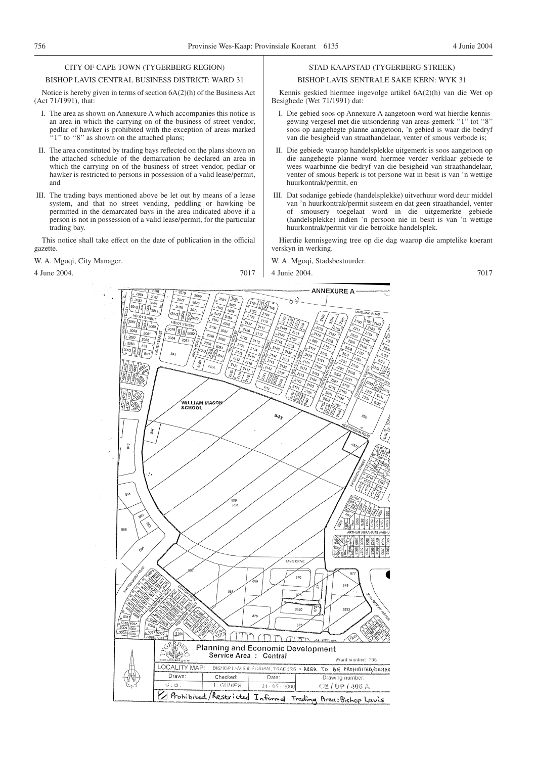# CITY OF CAPE TOWN (TYGERBERG REGION)

#### BISHOP LAVIS CENTRAL BUSINESS DISTRICT: WARD 31

Notice is hereby given in terms of section 6A(2)(h) of the Business Act (Act 71/1991), that:

- I. The area as shown on Annexure A which accompanies this notice is an area in which the carrying on of the business of street vendor, pedlar of hawker is prohibited with the exception of areas marked "1" to "8" as shown on the attached plans;
- II. The area constituted by trading bays reflected on the plans shown on the attached schedule of the demarcation be declared an area in which the carrying on of the business of street vendor, pedlar or hawker is restricted to persons in possession of a valid lease/permit, and
- III. The trading bays mentioned above be let out by means of a lease system, and that no street vending, peddling or hawking be permitted in the demarcated bays in the area indicated above if a person is not in possession of a valid lease/permit, for the particular trading bay.

This notice shall take effect on the date of publication in the official gazette.

# W. A. Mgoqi, City Manager.

4 June 2004. 7017

# STAD KAAPSTAD (TYGERBERG-STREEK)

# BISHOP LAVIS SENTRALE SAKE KERN: WYK 31

Kennis geskied hiermee ingevolge artikel 6A(2)(h) van die Wet op Besighede (Wet 71/1991) dat:

- I. Die gebied soos op Annexure A aangetoon word wat hierdie kennisgewing vergesel met die uitsondering van areas gemerk "1" tot "8" soos op aangehegte planne aangetoon, 'n gebied is waar die bedryf van die besigheid van straathandelaar, venter of smous verbode is;
- II. Die gebiede waarop handelsplekke uitgemerk is soos aangetoon op die aangehegte planne word hiermee verder verklaar gebiede te wees waarbinne die bedryf van die besigheid van straathandelaar, venter of smous beperk is tot persone wat in besit is van 'n wettige huurkontrak/permit, en
- III. Dat sodanige gebiede (handelsplekke) uitverhuur word deur middel van 'n huurkontrak/permit sisteem en dat geen straathandel, venter of smousery toegelaat word in die uitgemerkte gebiede (handelsplekke) indien 'n persoon nie in besit is van 'n wettige huurkontrak/permit vir die betrokke handelsplek.

Hierdie kennisgewing tree op die dag waarop die amptelike koerant verskyn in werking.

W. A. Mgoqi, Stadsbestuurder.

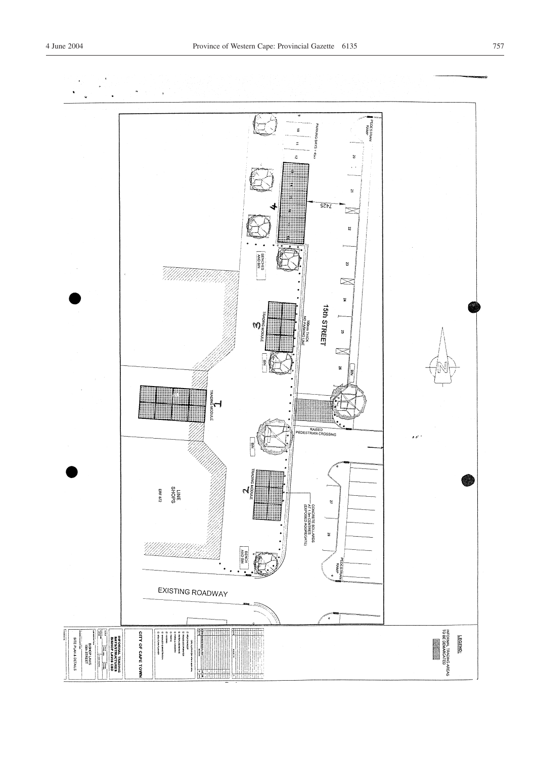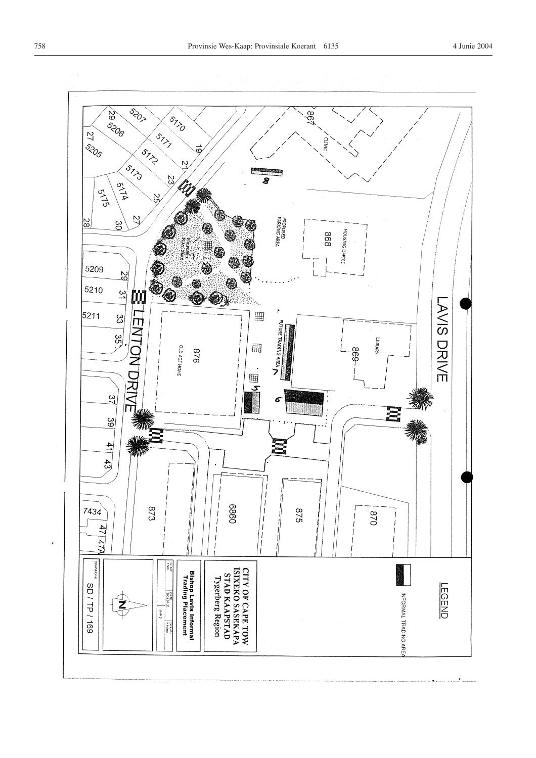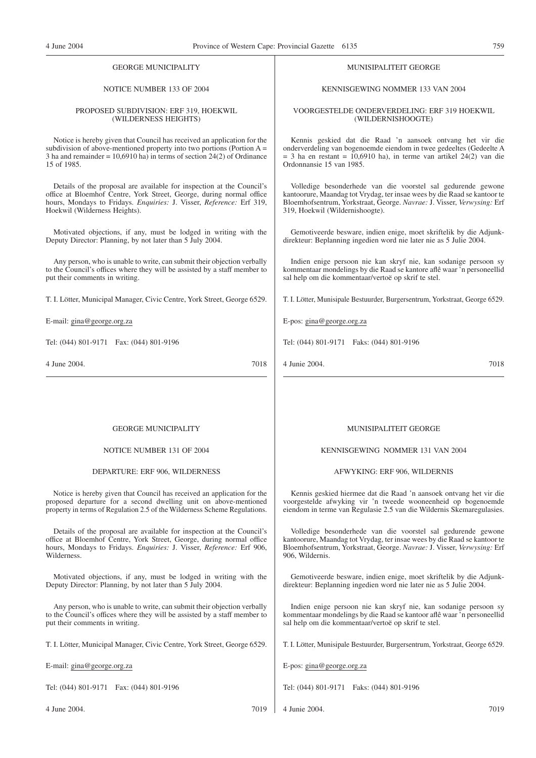# GEORGE MUNICIPALITY

# NOTICE NUMBER 133 OF 2004

#### PROPOSED SUBDIVISION: ERF 319, HOEKWIL (WILDERNESS HEIGHTS)

Notice is hereby given that Council has received an application for the subdivision of above-mentioned property into two portions (Portion  $A =$ 3 ha and remainder  $= 10,6910$  ha) in terms of section 24(2) of Ordinance 15 of 1985.

Details of the proposal are available for inspection at the Council's office at Bloemhof Centre, York Street, George, during normal office hours, Mondays to Fridays. *Enquiries:* J. Visser, *Reference:* Erf 319, Hoekwil (Wilderness Heights).

Motivated objections, if any, must be lodged in writing with the Deputy Director: Planning, by not later than 5 July 2004.

Any person, who is unable to write, can submit their objection verbally to the Council's offices where they will be assisted by a staff member to put their comments in writing.

T. I. Lötter, Municipal Manager, Civic Centre, York Street, George 6529.

E-mail: gina@george.org.za

Tel: (044) 801-9171 Fax: (044) 801-9196

4 June 2004. 7018

# MUNISIPALITEIT GEORGE

# KENNISGEWING NOMMER 133 VAN 2004

# VOORGESTELDE ONDERVERDELING: ERF 319 HOEKWIL (WILDERNISHOOGTE)

Kennis geskied dat die Raad 'n aansoek ontvang het vir die onderverdeling van bogenoemde eiendom in twee gedeeltes (Gedeelte A  $= 3$  ha en restant  $= 10,6910$  ha), in terme van artikel 24(2) van die Ordonnansie 15 van 1985.

Volledige besonderhede van die voorstel sal gedurende gewone kantoorure, Maandag tot Vrydag, ter insae wees by die Raad se kantoor te Bloemhofsentrum, Yorkstraat, George. *Navrae:* J. Visser, *Verwysing:* Erf 319, Hoekwil (Wildernishoogte).

Gemotiveerde besware, indien enige, moet skriftelik by die Adjunkdirekteur: Beplanning ingedien word nie later nie as 5 Julie 2004.

Indien enige persoon nie kan skryf nie, kan sodanige persoon sy kommentaar mondelings by die Raad se kantore aflê waar 'n personeellid sal help om die kommentaar/vertoë op skrif te stel.

T. I. Lötter, Munisipale Bestuurder, Burgersentrum, Yorkstraat, George 6529.

E-pos: gina@george.org.za

Tel: (044) 801-9171 Faks: (044) 801-9196

4 Junie 2004. 7018

# GEORGE MUNICIPALITY

# NOTICE NUMBER 131 OF 2004

# DEPARTURE: ERF 906, WILDERNESS

Notice is hereby given that Council has received an application for the proposed departure for a second dwelling unit on above-mentioned property in terms of Regulation 2.5 of the Wilderness Scheme Regulations.

Details of the proposal are available for inspection at the Council's office at Bloemhof Centre, York Street, George, during normal office hours, Mondays to Fridays. *Enquiries:* J. Visser, *Reference:* Erf 906, Wilderness.

Motivated objections, if any, must be lodged in writing with the Deputy Director: Planning, by not later than 5 July 2004.

Any person, who is unable to write, can submit their objection verbally to the Council's offices where they will be assisted by a staff member to put their comments in writing.

T. I. Lötter, Municipal Manager, Civic Centre, York Street, George 6529.

E-mail: gina@george.org.za

Tel: (044) 801-9171 Fax: (044) 801-9196

4 June 2004. 7019

# MUNISIPALITEIT GEORGE

# KENNISGEWING NOMMER 131 VAN 2004

#### AFWYKING: ERF 906, WILDERNIS

Kennis geskied hiermee dat die Raad 'n aansoek ontvang het vir die voorgestelde afwyking vir 'n tweede wooneenheid op bogenoemde eiendom in terme van Regulasie 2.5 van die Wildernis Skemaregulasies.

Volledige besonderhede van die voorstel sal gedurende gewone kantoorure, Maandag tot Vrydag, ter insae wees by die Raad se kantoor te Bloemhofsentrum, Yorkstraat, George. *Navrae:* J. Visser, *Verwysing:* Erf 906, Wildernis.

Gemotiveerde besware, indien enige, moet skriftelik by die Adjunkdirekteur: Beplanning ingedien word nie later nie as 5 Julie 2004.

Indien enige persoon nie kan skryf nie, kan sodanige persoon sy kommentaar mondelings by die Raad se kantoor aflê waar 'n personeellid sal help om die kommentaar/vertoë op skrif te stel.

T. I. Lötter, Munisipale Bestuurder, Burgersentrum, Yorkstraat, George 6529.

E-pos: gina@george.org.za

Tel: (044) 801-9171 Faks: (044) 801-9196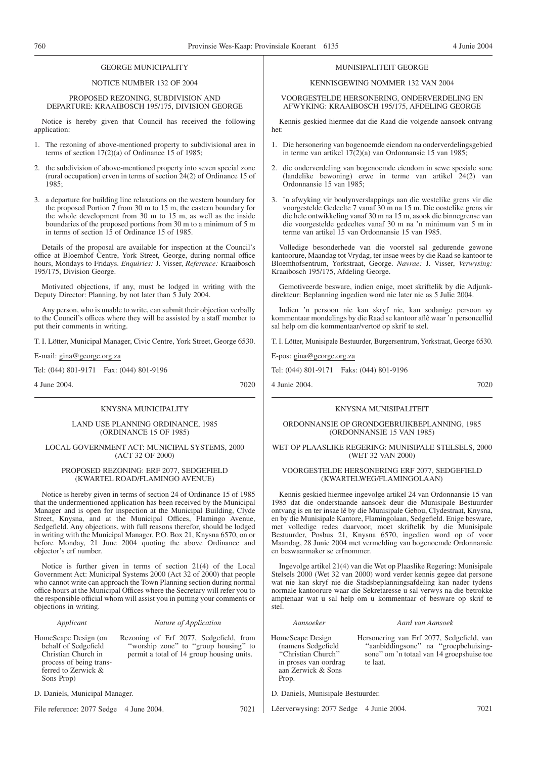# GEORGE MUNICIPALITY

# NOTICE NUMBER 132 OF 2004

PROPOSED REZONING, SUBDIVISION AND DEPARTURE: KRAAIBOSCH 195/175, DIVISION GEORGE

Notice is hereby given that Council has received the following application:

- 1. The rezoning of above-mentioned property to subdivisional area in terms of section 17(2)(a) of Ordinance 15 of 1985;
- 2. the subdivision of above-mentioned property into seven special zone (rural occupation) erven in terms of section 24(2) of Ordinance 15 of 1985;
- 3. a departure for building line relaxations on the western boundary for the proposed Portion 7 from 30 m to 15 m, the eastern boundary for the whole development from 30 m to 15 m, as well as the inside boundaries of the proposed portions from 30 m to a minimum of 5 m in terms of section 15 of Ordinance 15 of 1985.

Details of the proposal are available for inspection at the Council's office at Bloemhof Centre, York Street, George, during normal office hours, Mondays to Fridays. *Enquiries:* J. Visser, *Reference:* Kraaibosch 195/175, Division George.

Motivated objections, if any, must be lodged in writing with the Deputy Director: Planning, by not later than 5 July 2004.

Any person, who is unable to write, can submit their objection verbally to the Council's offices where they will be assisted by a staff member to put their comments in writing.

T. I. Lötter, Municipal Manager, Civic Centre, York Street, George 6530.

E-mail: gina@george.org.za

Tel: (044) 801-9171 Fax: (044) 801-9196

4 June 2004. 7020

# KNYSNA MUNICIPALITY

# LAND USE PLANNING ORDINANCE, 1985 (ORDINANCE 15 OF 1985)

# LOCAL GOVERNMENT ACT: MUNICIPAL SYSTEMS, 2000 (ACT 32 OF 2000)

# PROPOSED REZONING: ERF 2077, SEDGEFIELD (KWARTEL ROAD/FLAMINGO AVENUE)

Notice is hereby given in terms of section 24 of Ordinance 15 of 1985 that the undermentioned application has been received by the Municipal Manager and is open for inspection at the Municipal Building, Clyde Street, Knysna, and at the Municipal Offices, Flamingo Avenue, Sedgefield. Any objections, with full reasons therefor, should be lodged in writing with the Municipal Manager, P.O. Box 21, Knysna 6570, on or before Monday, 21 June 2004 quoting the above Ordinance and objector's erf number.

Notice is further given in terms of section 21(4) of the Local Government Act: Municipal Systems 2000 (Act 32 of 2000) that people who cannot write can approach the Town Planning section during normal office hours at the Municipal Offices where the Secretary will refer you to the responsible official whom will assist you in putting your comments or objections in writing.

| Applicant                                                                                                                           | Nature of Application                                                                                                       | Aansoeker                                                                                                             | Aard van Aansoek                                                                                                                           |
|-------------------------------------------------------------------------------------------------------------------------------------|-----------------------------------------------------------------------------------------------------------------------------|-----------------------------------------------------------------------------------------------------------------------|--------------------------------------------------------------------------------------------------------------------------------------------|
| HomeScape Design (on<br>behalf of Sedgefield<br>Christian Church in<br>process of being trans-<br>ferred to Zerwick &<br>Sons Prop) | Rezoning of Erf 2077, Sedgefield, from<br>"worship zone" to "group housing" to<br>permit a total of 14 group housing units. | HomeScape Design<br>(namens Sedgefield)<br>"Christian Church"<br>in proses van oordrag<br>aan Zerwick & Sons<br>Prop. | Hersonering van Erf 2077, Sedgefield, van<br>"aanbiddingsone" na "groepbehuising-<br>sone" om 'n totaal van 14 groepshuise toe<br>te laat. |
| D. Daniels, Municipal Manager.                                                                                                      |                                                                                                                             | D. Daniels, Munisipale Bestuurder.                                                                                    |                                                                                                                                            |
| File reference: 2077 Sedge 4 June 2004.                                                                                             | 7021                                                                                                                        | Lêerverwysing: 2077 Sedge                                                                                             | 7021<br>4 Junie 2004.                                                                                                                      |

# MUNISIPALITEIT GEORGE

# KENNISGEWING NOMMER 132 VAN 2004

VOORGESTELDE HERSONERING, ONDERVERDELING EN AFWYKING: KRAAIBOSCH 195/175, AFDELING GEORGE

Kennis geskied hiermee dat die Raad die volgende aansoek ontvang het:

- 1. Die hersonering van bogenoemde eiendom na onderverdelingsgebied in terme van artikel  $17(2)(a)$  van Ordonnansie 15 van 1985;
- 2. die onderverdeling van bogenoemde eiendom in sewe spesiale sone (landelike bewoning) erwe in terme van artikel 24(2) van Ordonnansie 15 van 1985;
- 3. 'n afwyking vir boulynverslappings aan die westelike grens vir die voorgestelde Gedeelte 7 vanaf 30 m na 15 m. Die oostelike grens vir die hele ontwikkeling vanaf 30 m na 15 m, asook die binnegrense van die voorgestelde gedeeltes vanaf 30 m na 'n minimum van 5 m in terme van artikel 15 van Ordonnansie 15 van 1985.

Volledige besonderhede van die voorstel sal gedurende gewone kantoorure, Maandag tot Vrydag, ter insae wees by die Raad se kantoor te Bloemhofsentrum, Yorkstraat, George. *Navrae:* J. Visser, *Verwysing:* Kraaibosch 195/175, Afdeling George.

Gemotiveerde besware, indien enige, moet skriftelik by die Adjunkdirekteur: Beplanning ingedien word nie later nie as 5 Julie 2004.

Indien 'n persoon nie kan skryf nie, kan sodanige persoon sy kommentaar mondelings by die Raad se kantoor aflê waar 'n personeellid sal help om die kommentaar/vertoë op skrif te stel.

T. I. Lötter, Munisipale Bestuurder, Burgersentrum, Yorkstraat, George 6530.

E-pos: gina@george.org.za

Tel: (044) 801-9171 Faks: (044) 801-9196

4 Junie 2004. 7020

# KNYSNA MUNISIPALITEIT

ORDONNANSIE OP GRONDGEBRUIKBEPLANNING, 1985 (ORDONNANSIE 15 VAN 1985)

# WET OP PLAASLIKE REGERING: MUNISIPALE STELSELS, 2000 (WET 32 VAN 2000)

# VOORGESTELDE HERSONERING ERF 2077, SEDGEFIELD (KWARTELWEG/FLAMINGOLAAN)

Kennis geskied hiermee ingevolge artikel 24 van Ordonnansie 15 van 1985 dat die onderstaande aansoek deur die Munisipale Bestuurder ontvang is en ter insae lê by die Munisipale Gebou, Clydestraat, Knysna, en by die Munisipale Kantore, Flamingolaan, Sedgefield. Enige besware, met volledige redes daarvoor, moet skriftelik by die Munisipale Bestuurder, Posbus 21, Knysna 6570, ingedien word op of voor Maandag, 28 Junie 2004 met vermelding van bogenoemde Ordonnansie en beswaarmaker se erfnommer.

Ingevolge artikel 21(4) van die Wet op Plaaslike Regering: Munisipale Stelsels 2000 (Wet 32 van 2000) word verder kennis gegee dat persone wat nie kan skryf nie die Stadsbeplanningsafdeling kan nader tydens normale kantoorure waar die Sekretaresse u sal verwys na die betrokke amptenaar wat u sal help om u kommentaar of besware op skrif te stel.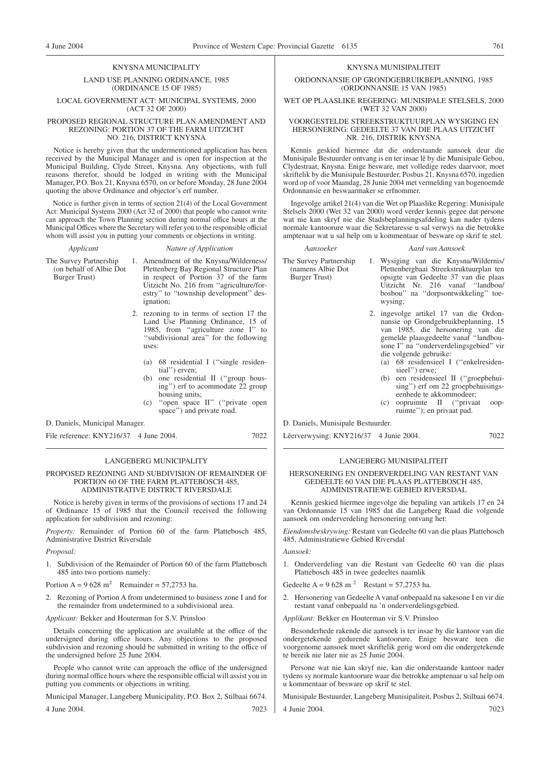# KNYSNA MUNICIPALITY

# LAND USE PLANNING ORDINANCE, 1985 (ORDINANCE 15 OF 1985)

# LOCAL GOVERNMENT ACT: MUNICIPAL SYSTEMS, 2000 (ACT 32 OF 2000)

# PROPOSED REGIONAL STRUCTURE PLAN AMENDMENT AND REZONING: PORTION 37 OF THE FARM UITZICHT NO. 216, DISTRICT KNYSNA

Notice is hereby given that the undermentioned application has been received by the Municipal Manager and is open for inspection at the Municipal Building, Clyde Street, Knysna. Any objections, with full reasons therefor, should be lodged in writing with the Municipal Manager, P.O. Box 21, Knysna 6570, on or before Monday, 28 June 2004 quoting the above Ordinance and objector's erf number.

Notice is further given in terms of section 21(4) of the Local Government Act: Municipal Systems 2000 (Act 32 of 2000) that people who cannot write can approach the Town Planning section during normal office hours at the Municipal Offices where the Secretary will refer you to the responsible official whom will assist you in putting your comments or objections in writing.

# *Applicant Nature of Application*

The Survey Partnership (on behalf of Albie Dot Burger Trust)

1. Amendment of the Knysna/Wilderness/ Plettenberg Bay Regional Structure Plan in respect of Portion 37 of the farm Uitzicht No. 216 from ''agriculture/forestry'' to ''township development'' designation;

- 2. rezoning to in terms of section 17 the Land Use Planning Ordinance, 15 of 1985, from ''agriculture zone I'' to ''subdivisional area'' for the following uses:
	- (a) 68 residential I (''single residential'') erven;
	- (b) one residential II ("group housing'') erf to acommodate 22 group housing units;
	- (c) ''open space II'' (''private open space") and private road.

D. Daniels, Municipal Manager.

File reference: KNY216/37 4 June 2004. 7022

# LANGEBERG MUNICIPALITY

# PROPOSED REZONING AND SUBDIVISION OF REMAINDER OF PORTION 60 OF THE FARM PLATTEBOSCH 485. ADMINISTRATIVE DISTRICT RIVERSDALE

Notice is hereby given in terms of the provisions of sections 17 and 24 of Ordinance 15 of 1985 that the Council received the following application for subdivision and rezoning:

*Property:* Remainder of Portion 60 of the farm Plattebosch 485, Administrative District Riversdale

#### *Proposal:*

1. Subdivision of the Remainder of Portion 60 of the farm Plattebosch 485 into two portions namely:

Portion  $A = 9628$  m<sup>2</sup> Remainder = 57,2753 ha.

2. Rezoning of Portion A from undetermined to business zone I and for the remainder from undetermined to a subdivisional area.

*Applicant:* Bekker and Houterman for S.V. Prinsloo

Details concerning the application are available at the office of the undersigned during office hours. Any objections to the proposed subdivision and rezoning should be submitted in writing to the office of the undersigned before 25 June 2004.

People who cannot write can approach the office of the undersigned during normal office hours where the responsible official will assist you in putting you comments or objections in writing.

Municipal Manager, Langeberg Municipality, P.O. Box 2, Stilbaai 6674.

4 June 2004. 7023

# KNYSNA MUNISIPALITEIT

ORDONNANSIE OP GRONDGEBRUIKBEPLANNING, 1985 (ORDONNANSIE 15 VAN 1985)

WET OP PLAASLIKE REGERING: MUNISIPALE STELSELS, 2000 (WET 32 VAN 2000)

# VOORGESTELDE STREEKSTRUKTUURPLAN WYSIGING EN HERSONERING: GEDEELTE 37 VAN DIE PLAAS UITZICHT NR. 216, DISTRIK KNYSNA

Kennis geskied hiermee dat die onderstaande aansoek deur die Munisipale Bestuurder ontvang is en ter insae lê by die Munisipale Gebou, Clydestraat, Knysna. Enige besware, met volledige redes daarvoor, moet skriftelik by die Munisipale Bestuurder, Posbus 21, Knysna 6570, ingedien word op of voor Maandag, 28 Junie 2004 met vermelding van bogenoemde Ordonnansie en beswaarmaker se erfnommer.

Ingevolge artikel 21(4) van die Wet op Plaaslike Regering: Munisipale Stelsels 2000 (Wet 32 van 2000) word verder kennis gegee dat persone wat nie kan skryf nie die Stadsbeplanningsafdeling kan nader tydens normale kantoorure waar die Sekretaresse u sal verwys na die betrokke amptenaar wat u sal help om u kommentaar of besware op skrif te stel.

*Aansoeker Aard van Aansoek*

# The Survey Partnership (namens Albie Dot Burger Trust)

- 1. Wysiging van die Knysna/Wildernis/ Plettenbergbaai Streekstruktuurplan ten opsigte van Gedeelte 37 van die plaas Uitzicht Nr. 216 vanaf ''landbou/ bosbou'' na ''dorpsontwikkeling'' toewysing;
- 2. ingevolge artikel 17 van die Ordonnansie op Grondgebruikbeplanning, 15 van 1985, die hersonering van die gemelde plaasgedeelte vanaf ''landbousone I'' na ''onderverdelingsgebied'' vir die volgende gebruike:
	- (a) 68 residensieel I (''enkelresidensieel'') erwe;
	- (b) een residensieel II (''groepbehuising'') erf om 22 groepbehuisingseenhede te akkommodeer;
	- (c) oopruimte II (''privaat oopruimte''); en privaat pad.

D. Daniels, Munisipale Bestuurder.

Lêerverwysing: KNY216/37 4 Junie 2004. 7022

# LANGEBERG MUNISIPALITEIT

HERSONERING EN ONDERVERDELING VAN RESTANT VAN GEDEELTE 60 VAN DIE PLAAS PLATTEBOSCH 485, ADMINISTRATIEWE GEBIED RIVERSDAL

Kennis geskied hiermee ingevolge die bepaling van artikels 17 en 24 van Ordonnansie 15 van 1985 dat die Langeberg Raad die volgende aansoek om onderverdeling hersonering ontvang het:

*Eiendomsbeskrywing:* Restant van Gedeelte 60 van die plaas Plattebosch 485, Administratiewe Gebied Riversdal

*Aansoek:*

1. Onderverdeling van die Restant van Gedeelte 60 van die plaas Plattebosch 485 in twee gedeeltes naamlik

Gedeelte A = 9.628 m<sup>2</sup> Restant = 57,2753 ha.

- 2. Hersonering van Gedeelte A vanaf onbepaald na sakesone I en vir die restant vanaf onbepaald na 'n onderverdelingsgebied.
- *Applikant:* Bekker en Houterman vir S.V. Prinsloo

Besonderhede rakende die aansoek is ter insae by die kantoor van die ondergetekende gedurende kantoorure. Enige besware teen die voorgenome aansoek moet skriftelik gerig word om die ondergetekende te bereik nie later nie as 25 Junie 2004.

Persone wat nie kan skryf nie, kan die onderstaande kantoor nader tydens sy normale kantoorure waar die betrokke amptenaar u sal help om u kommentaar of besware op skrif te stel.

Munisipale Bestuurder, Langeberg Munisipaliteit, Posbus 2, Stilbaai 6674. 4 Junie 2004. 7023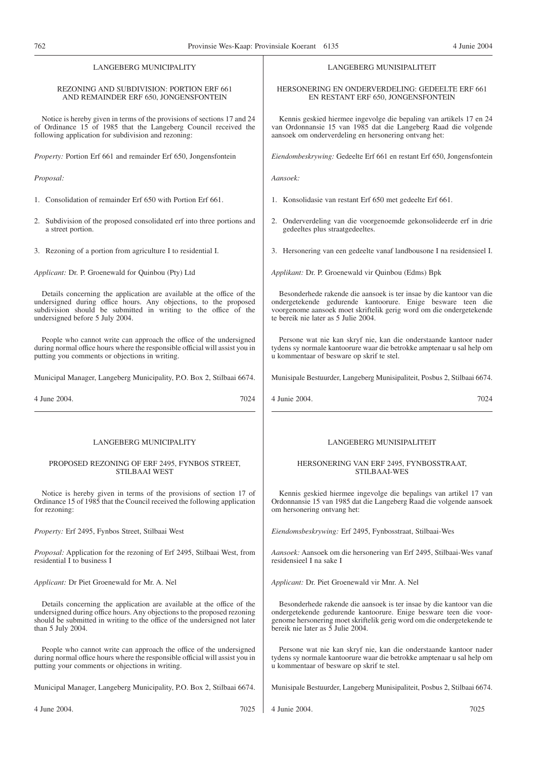| <b>LANGEBERG MUNICIPALITY</b>                                                                                                                                                                                                                       | LANGEBERG MUNISIPALITEIT                                                                                                                                                                                                                                 |
|-----------------------------------------------------------------------------------------------------------------------------------------------------------------------------------------------------------------------------------------------------|----------------------------------------------------------------------------------------------------------------------------------------------------------------------------------------------------------------------------------------------------------|
| <b>REZONING AND SUBDIVISION: PORTION ERF 661</b><br>AND REMAINDER ERF 650, JONGENSFONTEIN                                                                                                                                                           | HERSONERING EN ONDERVERDELING: GEDEELTE ERF 661<br>EN RESTANT ERF 650, JONGENSFONTEIN                                                                                                                                                                    |
| Notice is hereby given in terms of the provisions of sections 17 and 24<br>of Ordinance 15 of 1985 that the Langeberg Council received the<br>following application for subdivision and rezoning:                                                   | Kennis geskied hiermee ingevolge die bepaling van artikels 17 en 24<br>van Ordonnansie 15 van 1985 dat die Langeberg Raad die volgende<br>aansoek om onderverdeling en hersonering ontvang het:                                                          |
| <i>Property:</i> Portion Erf 661 and remainder Erf 650, Jongensfontein                                                                                                                                                                              | Eiendombeskrywing: Gedeelte Erf 661 en restant Erf 650, Jongensfontein                                                                                                                                                                                   |
| Proposal:                                                                                                                                                                                                                                           | Aansoek:                                                                                                                                                                                                                                                 |
| 1. Consolidation of remainder Erf 650 with Portion Erf 661.                                                                                                                                                                                         | 1. Konsolidasie van restant Erf 650 met gedeelte Erf 661.                                                                                                                                                                                                |
| 2. Subdivision of the proposed consolidated erf into three portions and<br>a street portion.                                                                                                                                                        | 2. Onderverdeling van die voorgenoemde gekonsolideerde erf in drie<br>gedeeltes plus straatgedeeltes.                                                                                                                                                    |
| 3. Rezoning of a portion from agriculture I to residential I.                                                                                                                                                                                       | 3. Hersonering van een gedeelte vanaf landbousone I na residensieel I.                                                                                                                                                                                   |
| Applicant: Dr. P. Groenewald for Quinbou (Pty) Ltd                                                                                                                                                                                                  | Applikant: Dr. P. Groenewald vir Quinbou (Edms) Bpk                                                                                                                                                                                                      |
| Details concerning the application are available at the office of the<br>undersigned during office hours. Any objections, to the proposed<br>subdivision should be submitted in writing to the office of the<br>undersigned before 5 July 2004.     | Besonderhede rakende die aansoek is ter insae by die kantoor van die<br>ondergetekende gedurende kantoorure. Enige besware teen die<br>voorgenome aansoek moet skriftelik gerig word om die ondergetekende<br>te bereik nie later as 5 Julie 2004.       |
| People who cannot write can approach the office of the undersigned<br>during normal office hours where the responsible official will assist you in<br>putting you comments or objections in writing.                                                | Persone wat nie kan skryf nie, kan die onderstaande kantoor nader<br>tydens sy normale kantoorure waar die betrokke amptenaar u sal help om<br>u kommentaar of besware op skrif te stel.                                                                 |
| Municipal Manager, Langeberg Municipality, P.O. Box 2, Stilbaai 6674.                                                                                                                                                                               | Munisipale Bestuurder, Langeberg Munisipaliteit, Posbus 2, Stilbaai 6674.                                                                                                                                                                                |
| 4 June 2004.<br>7024                                                                                                                                                                                                                                | 4 Junie 2004.<br>7024                                                                                                                                                                                                                                    |
| <b>LANGEBERG MUNICIPALITY</b>                                                                                                                                                                                                                       | LANGEBERG MUNISIPALITEIT                                                                                                                                                                                                                                 |
| PROPOSED REZONING OF ERF 2495, FYNBOS STREET,<br><b>STILBAAI WEST</b>                                                                                                                                                                               | HERSONERING VAN ERF 2495, FYNBOSSTRAAT,<br><b>STILBAAI-WES</b>                                                                                                                                                                                           |
| Notice is hereby given in terms of the provisions of section 17 of<br>Ordinance 15 of 1985 that the Council received the following application<br>for rezoning:                                                                                     | Kennis geskied hiermee ingevolge die bepalings van artikel 17 van<br>Ordonnansie 15 van 1985 dat die Langeberg Raad die volgende aansoek<br>om hersonering ontvang het:                                                                                  |
| Property: Erf 2495, Fynbos Street, Stilbaai West                                                                                                                                                                                                    | Eiendomsbeskrywing: Erf 2495, Fynbosstraat, Stilbaai-Wes                                                                                                                                                                                                 |
| <i>Proposal:</i> Application for the rezoning of Erf 2495, Stilbaai West, from<br>residential I to business I                                                                                                                                       | Aansoek: Aansoek om die hersonering van Erf 2495, Stilbaai-Wes vanaf<br>residensieel I na sake I                                                                                                                                                         |
| Applicant: Dr Piet Groenewald for Mr. A. Nel                                                                                                                                                                                                        | Applicant: Dr. Piet Groenewald vir Mnr. A. Nel                                                                                                                                                                                                           |
| Details concerning the application are available at the office of the<br>undersigned during office hours. Any objections to the proposed rezoning<br>should be submitted in writing to the office of the undersigned not later<br>than 5 July 2004. | Besonderhede rakende die aansoek is ter insae by die kantoor van die<br>ondergetekende gedurende kantoorure. Enige besware teen die voor-<br>genome hersonering moet skriftelik gerig word om die ondergetekende te<br>bereik nie later as 5 Julie 2004. |
| People who cannot write can approach the office of the undersigned<br>during normal office hours where the responsible official will assist you in<br>putting your comments or ohjections in writing.                                               | Persone wat nie kan skryf nie, kan die onderstaande kantoor nader<br>tydens sy normale kantoorure waar die betrokke amptenaar u sal help om<br>u kommentaar of besware op skrif te stel.                                                                 |
| Municipal Manager, Langeberg Municipality, P.O. Box 2, Stilbaai 6674.                                                                                                                                                                               | Munisipale Bestuurder, Langeberg Munisipaliteit, Posbus 2, Stilbaai 6674.                                                                                                                                                                                |

4 Junie 2004. 7025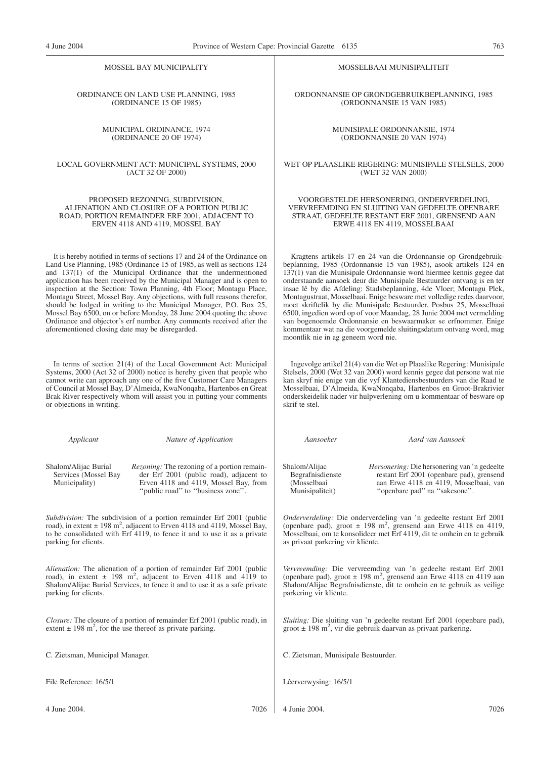| MOSSEL BAY MUNICIPALITY                                                   |                                                                                                                                                                                                                                                                                                                                                                                                                                                                                                                                                                                                                                                                      | MOSSELBAAI MUNISIPALITEIT                                                |                                                                                                                                                                                                                                                                                                                                                                                                                                                                                                                                                                                                                                                                                                                              |  |
|---------------------------------------------------------------------------|----------------------------------------------------------------------------------------------------------------------------------------------------------------------------------------------------------------------------------------------------------------------------------------------------------------------------------------------------------------------------------------------------------------------------------------------------------------------------------------------------------------------------------------------------------------------------------------------------------------------------------------------------------------------|--------------------------------------------------------------------------|------------------------------------------------------------------------------------------------------------------------------------------------------------------------------------------------------------------------------------------------------------------------------------------------------------------------------------------------------------------------------------------------------------------------------------------------------------------------------------------------------------------------------------------------------------------------------------------------------------------------------------------------------------------------------------------------------------------------------|--|
|                                                                           | ORDINANCE ON LAND USE PLANNING, 1985<br>(ORDINANCE 15 OF 1985)                                                                                                                                                                                                                                                                                                                                                                                                                                                                                                                                                                                                       | ORDONNANSIE OP GRONDGEBRUIKBEPLANNING, 1985<br>(ORDONNANSIE 15 VAN 1985) |                                                                                                                                                                                                                                                                                                                                                                                                                                                                                                                                                                                                                                                                                                                              |  |
|                                                                           | MUNICIPAL ORDINANCE, 1974<br>(ORDINANCE 20 OF 1974)                                                                                                                                                                                                                                                                                                                                                                                                                                                                                                                                                                                                                  |                                                                          | MUNISIPALE ORDONNANSIE, 1974<br>(ORDONNANSIE 20 VAN 1974)                                                                                                                                                                                                                                                                                                                                                                                                                                                                                                                                                                                                                                                                    |  |
|                                                                           | LOCAL GOVERNMENT ACT: MUNICIPAL SYSTEMS, 2000<br>(ACT 32 OF 2000)                                                                                                                                                                                                                                                                                                                                                                                                                                                                                                                                                                                                    |                                                                          | WET OP PLAASLIKE REGERING: MUNISIPALE STELSELS, 2000<br>(WET 32 VAN 2000)                                                                                                                                                                                                                                                                                                                                                                                                                                                                                                                                                                                                                                                    |  |
|                                                                           | PROPOSED REZONING, SUBDIVISION,<br>ALIENATION AND CLOSURE OF A PORTION PUBLIC<br>ROAD, PORTION REMAINDER ERF 2001, ADJACENT TO<br>ERVEN 4118 AND 4119, MOSSEL BAY                                                                                                                                                                                                                                                                                                                                                                                                                                                                                                    |                                                                          | VOORGESTELDE HERSONERING, ONDERVERDELING,<br>VERVREEMDING EN SLUITING VAN GEDEELTE OPENBARE<br>STRAAT, GEDEELTE RESTANT ERF 2001, GRENSEND AAN<br>ERWE 4118 EN 4119, MOSSELBAAI                                                                                                                                                                                                                                                                                                                                                                                                                                                                                                                                              |  |
| aforementioned closing date may be disregarded.                           | It is hereby notified in terms of sections 17 and 24 of the Ordinance on<br>Land Use Planning, 1985 (Ordinance 15 of 1985, as well as sections 124<br>and 137(1) of the Municipal Ordinance that the undermentioned<br>application has been received by the Municipal Manager and is open to<br>inspection at the Section: Town Planning, 4th Floor; Montagu Place,<br>Montagu Street, Mossel Bay. Any objections, with full reasons therefor,<br>should be lodged in writing to the Municipal Manager, P.O. Box 25,<br>Mossel Bay 6500, on or before Monday, 28 June 2004 quoting the above<br>Ordinance and objector's erf number. Any comments received after the | moontlik nie in ag geneem word nie.                                      | Kragtens artikels 17 en 24 van die Ordonnansie op Grondgebruik-<br>beplanning, 1985 (Ordonnansie 15 van 1985), asook artikels 124 en<br>137(1) van die Munisipale Ordonnansie word hiermee kennis gegee dat<br>onderstaande aansoek deur die Munisipale Bestuurder ontvang is en ter<br>insae lê by die Afdeling: Stadsbeplanning, 4de Vloer; Montagu Plek,<br>Montagustraat, Mosselbaai. Enige besware met volledige redes daarvoor,<br>moet skriftelik by die Munisipale Bestuurder, Posbus 25, Mosselbaai<br>6500, ingedien word op of voor Maandag, 28 Junie 2004 met vermelding<br>van bogenoemde Ordonnansie en beswaarmaker se erfnommer. Enige<br>kommentaar wat na die voorgemelde sluitingsdatum ontvang word, mag |  |
| or objections in writing.                                                 | In terms of section 21(4) of the Local Government Act: Municipal<br>Systems, 2000 (Act 32 of 2000) notice is hereby given that people who<br>cannot write can approach any one of the five Customer Care Managers<br>of Council at Mossel Bay, D'Almeida, KwaNonqaba, Hartenbos en Great<br>Brak River respectively whom will assist you in putting your comments                                                                                                                                                                                                                                                                                                    | skrif te stel.                                                           | Ingevolge artikel 21(4) van die Wet op Plaaslike Regering: Munisipale<br>Stelsels, 2000 (Wet 32 van 2000) word kennis gegee dat persone wat nie<br>kan skryf nie enige van die vyf Klantediensbestuurders van die Raad te<br>Mosselbaai, D'Almeida, KwaNonqaba, Hartenbos en Groot-Brakrivier<br>onderskeidelik nader vir hulpverlening om u kommentaar of besware op                                                                                                                                                                                                                                                                                                                                                        |  |
| Applicant                                                                 | Nature of Application                                                                                                                                                                                                                                                                                                                                                                                                                                                                                                                                                                                                                                                | Aansoeker                                                                | Aard van Aansoek                                                                                                                                                                                                                                                                                                                                                                                                                                                                                                                                                                                                                                                                                                             |  |
| Shalom/Alijac Burial<br>Services (Mossel Bay<br>Municipality)             | Rezoning: The rezoning of a portion remain-<br>der Erf 2001 (public road), adjacent to<br>Erven 4118 and 4119, Mossel Bay, from<br>"public road" to "business zone".                                                                                                                                                                                                                                                                                                                                                                                                                                                                                                 | Shalom/Alijac<br>Begrafnisdienste<br>(Mosselbaai<br>Munisipaliteit)      | <i>Hersonering:</i> Die hersonering van 'n gedeelte<br>restant Erf 2001 (openbare pad), grensend<br>aan Erwe 4118 en 4119, Mosselbaai, van<br>"openbare pad" na "sakesone".                                                                                                                                                                                                                                                                                                                                                                                                                                                                                                                                                  |  |
| parking for clients.                                                      | Subdivision: The subdivision of a portion remainder Erf 2001 (public<br>road), in extent $\pm$ 198 m <sup>2</sup> , adjacent to Erven 4118 and 4119, Mossel Bay,<br>to be consolidated with Erf 4119, to fence it and to use it as a private                                                                                                                                                                                                                                                                                                                                                                                                                         | as privaat parkering vir kliënte.                                        | Onderverdeling: Die onderverdeling van 'n gedeelte restant Erf 2001<br>(openbare pad), groot $\pm$ 198 m <sup>2</sup> , grensend aan Erwe 4118 en 4119,<br>Mosselbaai, om te konsolideer met Erf 4119, dit te omhein en te gebruik                                                                                                                                                                                                                                                                                                                                                                                                                                                                                           |  |
| parking for clients.                                                      | Alienation: The alienation of a portion of remainder Erf 2001 (public<br>road), in extent $\pm$ 198 m <sup>2</sup> , adjacent to Erven 4118 and 4119 to<br>Shalom/Alijac Burial Services, to fence it and to use it as a safe private                                                                                                                                                                                                                                                                                                                                                                                                                                | parkering vir kliënte.                                                   | Vervreemding: Die vervreemding van 'n gedeelte restant Erf 2001<br>(openbare pad), groot $\pm$ 198 m <sup>2</sup> , grensend aan Erwe 4118 en 4119 aan<br>Shalom/Alijac Begrafnisdienste, dit te omhein en te gebruik as veilige                                                                                                                                                                                                                                                                                                                                                                                                                                                                                             |  |
| extent $\pm$ 198 m <sup>2</sup> , for the use thereof as private parking. | Closure: The closure of a portion of remainder Erf 2001 (public road), in                                                                                                                                                                                                                                                                                                                                                                                                                                                                                                                                                                                            |                                                                          | <i>Sluiting:</i> Die sluiting van 'n gedeelte restant Erf 2001 (openbare pad),<br>groot $\pm$ 198 m <sup>2</sup> , vir die gebruik daarvan as privaat parkering.                                                                                                                                                                                                                                                                                                                                                                                                                                                                                                                                                             |  |
| C. Zietsman, Municipal Manager.                                           |                                                                                                                                                                                                                                                                                                                                                                                                                                                                                                                                                                                                                                                                      | C. Zietsman, Munisipale Bestuurder.                                      |                                                                                                                                                                                                                                                                                                                                                                                                                                                                                                                                                                                                                                                                                                                              |  |
| File Reference: 16/5/1                                                    |                                                                                                                                                                                                                                                                                                                                                                                                                                                                                                                                                                                                                                                                      | Lêerverwysing: 16/5/1                                                    |                                                                                                                                                                                                                                                                                                                                                                                                                                                                                                                                                                                                                                                                                                                              |  |
| 4 June 2004.                                                              | 7026                                                                                                                                                                                                                                                                                                                                                                                                                                                                                                                                                                                                                                                                 | 4 Junie 2004.                                                            | 7026                                                                                                                                                                                                                                                                                                                                                                                                                                                                                                                                                                                                                                                                                                                         |  |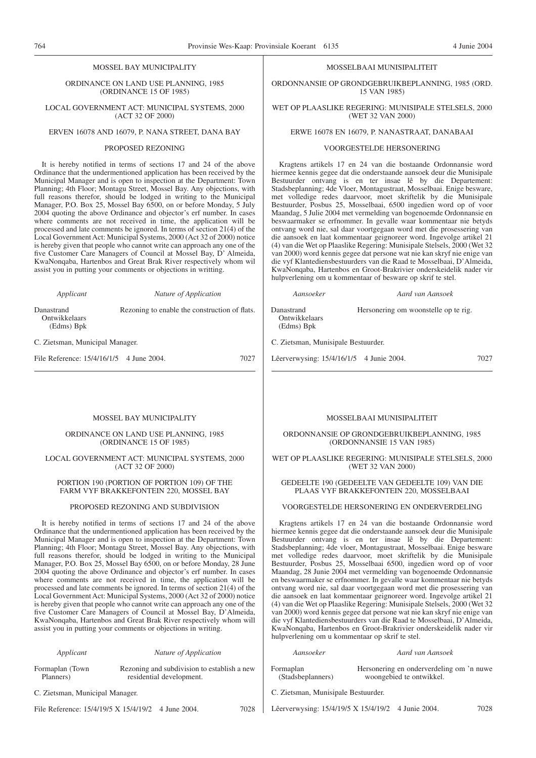ORDINANCE ON LAND USE PLANNING, 1985 (ORDINANCE 15 OF 1985)

LOCAL GOVERNMENT ACT: MUNICIPAL SYSTEMS, 2000 (ACT 32 OF 2000)

# ERVEN 16078 AND 16079, P. NANA STREET, DANA BAY

#### PROPOSED REZONING

It is hereby notified in terms of sections 17 and 24 of the above Ordinance that the undermentioned application has been received by the Municipal Manager and is open to inspection at the Department: Town Planning; 4th Floor; Montagu Street, Mossel Bay. Any objections, with full reasons therefor, should be lodged in writing to the Municipal Manager, P.O. Box 25, Mossel Bay 6500, on or before Monday, 5 July 2004 quoting the above Ordinance and objector's erf number. In cases where comments are not received in time, the application will be processed and late comments be ignored. In terms of section 21(4) of the Local Government Act: Municipal Systems, 2000 (Act 32 of 2000) notice is hereby given that people who cannot write can approach any one of the five Customer Care Managers of Council at Mossel Bay, D' Almeida, KwaNonqaba, Hartenbos and Great Brak River respectively whom wil assist you in putting your comments or objections in writting.

*Applicant Nature of Application*

Rezoning to enable the construction of flats.

Danastrand Ontwikkelaars (Edms) Bpk

C. Zietsman, Municipal Manager.

File Reference:  $15/4/16/1/5$  4 June 2004. 7027

# MOSSEL BAY MUNICIPALITY

ORDINANCE ON LAND USE PLANNING, 1985 (ORDINANCE 15 OF 1985)

# LOCAL GOVERNMENT ACT: MUNICIPAL SYSTEMS, 2000 (ACT 32 OF 2000)

# PORTION 190 (PORTION OF PORTION 109) OF THE FARM VYF BRAKKEFONTEIN 220, MOSSEL BAY

# PROPOSED REZONING AND SUBDIVISION

It is hereby notified in terms of sections 17 and 24 of the above Ordinance that the undermentioned application has been received by the Municipal Manager and is open to inspection at the Department: Town Planning; 4th Floor; Montagu Street, Mossel Bay. Any objections, with full reasons therefor, should be lodged in writing to the Municipal Manager, P.O. Box 25, Mossel Bay 6500, on or before Monday, 28 June 2004 quoting the above Ordinance and objector's erf number. In cases where comments are not received in time, the application will be processed and late comments be ignored. In terms of section 21(4) of the Local Government Act: Municipal Systems, 2000 (Act 32 of 2000) notice is hereby given that people who cannot write can approach any one of the five Customer Care Managers of Council at Mossel Bay, D'Almeida, KwaNonqaba, Hartenbos and Great Brak River respectively whom will assist you in putting your comments or objections in writing.

| Applicant                       | Nature of Application                                                   |             |
|---------------------------------|-------------------------------------------------------------------------|-------------|
| Formaplan (Town)<br>Planners)   | Rezoning and subdivision to establish a new<br>residential development. | Form<br>(Si |
| C. Zietsman, Municipal Manager. |                                                                         | C. Zi       |

File Reference: 15/4/19/5 X 15/4/19/2 4 June 2004. 7028

#### MOSSELBAAI MUNISIPALITEIT

ORDONNANSIE OP GRONDGEBRUIKBEPLANNING, 1985 (ORD. 15 VAN 1985)

# WET OP PLAASLIKE REGERING: MUNISIPALE STELSELS, 2000 (WET 32 VAN 2000)

# ERWE 16078 EN 16079, P. NANASTRAAT, DANABAAI

## VOORGESTELDE HERSONERING

Kragtens artikels 17 en 24 van die bostaande Ordonnansie word hiermee kennis gegee dat die onderstaande aansoek deur die Munisipale Bestuurder ontvang is en ter insae lê by die Departement: Stadsbeplanning; 4de Vloer, Montagustraat, Mosselbaai. Enige besware, met volledige redes daarvoor, moet skriftelik by die Munisipale Bestuurder, Posbus 25, Mosselbaai, 6500 ingedien word op of voor Maandag, 5 Julie 2004 met vermelding van bogenoemde Ordonnansie en beswaarmaker se erfnommer. In gevalle waar kommentaar nie betyds ontvang word nie, sal daar voortgegaan word met die prosessering van die aansoek en laat kommentaar geignoreer word. Ingevolge artikel 21 (4) van die Wet op Plaaslike Regering: Munisipale Stelsels, 2000 (Wet 32 van 2000) word kennis gegee dat persone wat nie kan skryf nie enige van die vyf Klantediensbestuurders van die Raad te Mosselbaai, D'Almeida, KwaNonqaba, Hartenbos en Groot-Brakrivier onderskeidelik nader vir hulpverlening om u kommentaar of besware op skrif te stel.

Danastrand Ontwikkelaars (Edms) Bpk Hersonering om woonstelle op te rig.

*Aansoeker Aard van Aansoek*

C. Zietsman, Munisipale Bestuurder.

Lêerverwysing: 15/4/16/1/5 4 Junie 2004. 7027

# MOSSELBAAI MUNISIPALITEIT

ORDONNANSlE OP GRONDGEBRUIKBEPLANNING, 1985 (ORDONNANSIE 15 VAN 1985)

# WET OP PLAASLIKE REGERING: MUNISIPALE STELSELS, 2000 (WET 32 VAN 2000)

# GEDEELTE 190 (GEDEELTE VAN GEDEELTE 109) VAN DIE PLAAS VYF BRAKKEFONTEIN 220, MOSSELBAAI

# VOORGESTELDE HERSONERING EN ONDERVERDELING

Kragtens artikels 17 en 24 van die bostaande Ordonnansie word hiermee kennis gegee dat die onderstaande aansoek deur die Munisipale Bestuurder ontvang is en ter insae lê by die Departement: Stadsbeplanning; 4de vloer, Montagustraat, Mosselbaai. Enige besware met volledige redes daarvoor, moet skriftelik by die Munisipale Bestuurder, Posbus 25, Mosselbaai 6500, ingedien word op of voor Maandag, 28 Junie 2004 met vermelding van bogenoemde Ordonnansie en beswaarmaker se erfnommer. In gevalle waar kommentaar nie betyds ontvang word nie, sal daar voortgegaan word met die prosessering van die aansoek en laat kommentaar geignoreer word. Ingevolge artikel 21 (4) van die Wet op Plaaslike Regering: Munisipale Stelsels, 2000 (Wet 32 van 2000) word kennis gegee dat persone wat nie kan skryf nie enige van die vyf Klantediensbestuurders van die Raad te Mosselbaai, D'Almeida, KwaNonqaba, Hartenbos en Groot-Brakrivier onderskeidelik nader vir hulpverlening om u kommentaar op skrif te stel.

| Aansoeker                          | Aard van Aansoek                                                     |  |  |
|------------------------------------|----------------------------------------------------------------------|--|--|
| Formaplan<br>(Stadsbeplanners)     | Hersonering en onderverdeling om 'n nuwe<br>woongebied te ontwikkel. |  |  |
| C. Zisteman, Municipale Decturates |                                                                      |  |  |

ietsman, Munisipale Bestuurder.

Lêerverwysing: 15/4/19/5 X 15/4/19/2 4 Junie 2004. 7028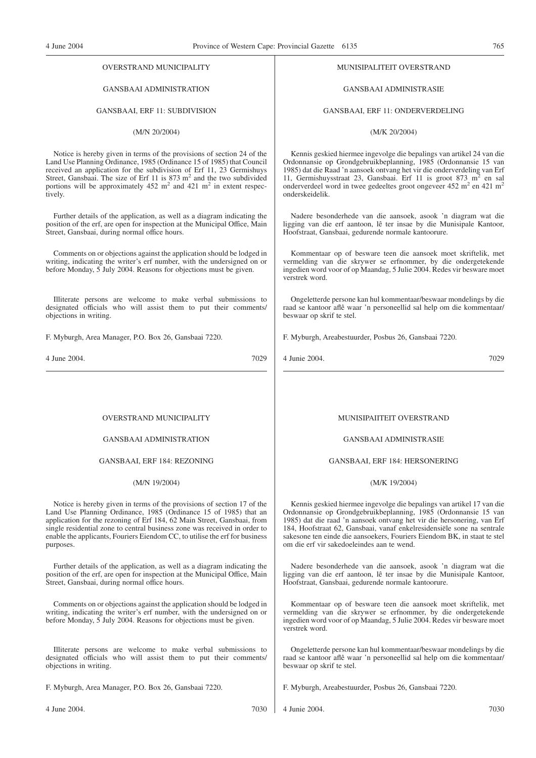# OVERSTRAND MUNICIPALITY

# GANSBAAI ADMINISTRATION

# GANSBAAI, ERF 11: SUBDIVISION

# (M/N 20/2004)

Notice is hereby given in terms of the provisions of section 24 of the Land Use Planning Ordinance, 1985 (Ordinance 15 of 1985) that Council received an application for the subdivision of Erf 11, 23 Germishuys Street, Gansbaai. The size of Erf 11 is  $873 \text{ m}^2$  and the two subdivided portions will be approximately  $452 \text{ m}^2$  and  $421 \text{ m}^2$  in extent respectively.

Further details of the application, as well as a diagram indicating the position of the erf, are open for inspection at the Municipal Office, Main Street, Gansbaai, during normal office hours.

Comments on or objections against the application should be lodged in writing, indicating the writer's erf number, with the undersigned on or before Monday, 5 July 2004. Reasons for objections must be given.

Illiterate persons are welcome to make verbal submissions to designated officials who will assist them to put their comments/ objections in writing.

F. Myburgh, Area Manager, P.O. Box 26, Gansbaai 7220.

4 June 2004. 7029

OVERSTRAND MUNICIPALITY

# GANSBAAI ADMINISTRATION

# GANSBAAI, ERF 184: REZONING

# (M/N 19/2004)

Notice is hereby given in terms of the provisions of section 17 of the Land Use Planning Ordinance, 1985 (Ordinance 15 of 1985) that an application for the rezoning of Erf 184, 62 Main Street, Gansbaai, from single residential zone to central business zone was received in order to enable the applicants, Fouriers Eiendom CC, to utilise the erf for business purposes.

Further details of the application, as well as a diagram indicating the position of the erf, are open for inspection at the Municipal Office, Main Street, Gansbaai, during normal office hours.

Comments on or objections against the application should be lodged in writing, indicating the writer's erf number, with the undersigned on or before Monday, 5 July 2004. Reasons for objections must be given.

Illiterate persons are welcome to make verbal submissions to designated officials who will assist them to put their comments/ objections in writing.

F. Myburgh, Area Manager, P.O. Box 26, Gansbaai 7220.

#### MUNISIPALITEIT OVERSTRAND

# GANSBAAI ADMINISTRASIE

GANSBAAI, ERF 11: ONDERVERDELING

# (M/K 20/2004)

Kennis geskied hiermee ingevolge die bepalings van artikel 24 van die Ordonnansie op Grondgebruikbeplanning, 1985 (Ordonnansie 15 van 1985) dat die Raad 'n aansoek ontvang het vir die onderverdeling van Erf 11, Germishuysstraat 23, Gansbaai. Erf 11 is groot 873 m<sup>2</sup> en sal onderverdeel word in twee gedeeltes groot ongeveer 452 m<sup>2</sup> en 421 m<sup>2</sup> onderskeidelik.

Nadere besonderhede van die aansoek, asook 'n diagram wat die ligging van die erf aantoon, lê ter insae by die Munisipale Kantoor, Hoofstraat, Gansbaai, gedurende normale kantoorure.

Kommentaar op of besware teen die aansoek moet skriftelik, met vermelding van die skrywer se erfnommer, by die ondergetekende ingedien word voor of op Maandag, 5 Julie 2004. Redes vir besware moet verstrek word.

Ongeletterde persone kan hul kommentaar/beswaar mondelings by die raad se kantoor aflê waar 'n personeellid sal help om die kommentaar/ beswaar op skrif te stel.

F. Myburgh, Areabestuurder, Posbus 26, Gansbaai 7220.

4 Junie 2004. 7029

# MUNISIPAIITEIT OVERSTRAND

GANSBAAI ADMINISTRASIE

# GANSBAAI, ERF 184: HERSONERING

# (M/K 19/2004)

Kennis geskied hiermee ingevolge die bepalings van artikel 17 van die Ordonnansie op Grondgebruikbeplanning, 1985 (Ordonnansie 15 van 1985) dat die raad 'n aansoek ontvang het vir die hersonering, van Erf 184, Hoofstraat 62, Gansbaai, vanaf enkelresidensiële sone na sentrale sakesone ten einde die aansoekers, Fouriers Eiendom BK, in staat te stel om die erf vir sakedoeleindes aan te wend.

Nadere besonderhede van die aansoek, asook 'n diagram wat die ligging van die erf aantoon, lê ter insae by die Munisipale Kantoor, Hoofstraat, Gansbaai, gedurende normale kantoorure.

Kommentaar op of besware teen die aansoek moet skriftelik, met vermelding van die skrywer se erfnommer, by die ondergetekende ingedien word voor of op Maandag, 5 Julie 2004. Redes vir besware moet verstrek word.

Ongeletterde persone kan hul kommentaar/beswaar mondelings by die raad se kantoor aflê waar 'n personeellid sal help om die kommentaar/ beswaar op skrif te stel.

F. Myburgh, Areabestuurder, Posbus 26, Gansbaai 7220.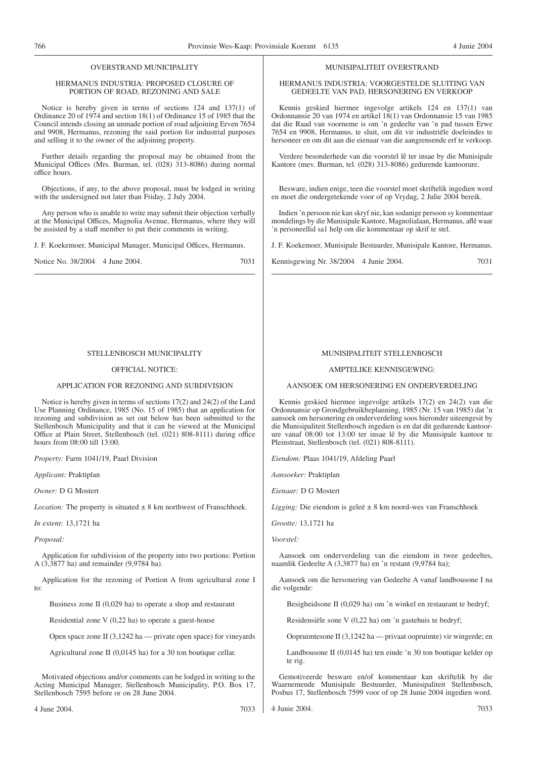# OVERSTRAND MUNICIPALITY

# HERMANUS INDUSTRIA: PROPOSED CLOSURE OF PORTION OF ROAD, REZONING AND SALE

Notice is hereby given in terms of sections 124 and 137(1) of Ordinance 20 of 1974 and section 18(1) of Ordinance 15 of 1985 that the Council intends closing an unmade portion of road adjoining Erven 7654 and 9908, Hermanus, rezoning the said portion for industrial purposes and selling it to the owner of the adjoining property.

Further details regarding the proposal may be obtained from the Municipal Offices (Mrs. Burman, tel. (028) 313-8086) during normal office hours.

Objections, if any, to the above proposal, must be lodged in writing with the undersigned not later than Friday, 2 July 2004.

Any person who is unable to write may submit their objection verbally at the Municipal Offices, Magnolia Avenue, Hermanus, where they will be assisted by a staff member to put their comments in writing.

J. F. Koekemoer, Municipal Manager, Municipal Offices, Hermanus.

Notice No. 38/2004 4 June 2004. 7031

# STELLENBOSCH MUNICIPALITY

# OFFICIAL NOTICE:

# APPLICATION FOR REZONING AND SUBDIVISION

Notice is hereby given in terms of sections 17(2) and 24(2) of the Land Use Planning Ordinance, 1985 (No. 15 of 1985) that an application for rezoning and subdivision as set out below has been submitted to the Stellenbosch Municipality and that it can be viewed at the Municipal Office at Plain Street, Stellenbosch (tel. (021) 808-8111) during office hours from 08:00 till 13:00.

*Property:* Farm 1041/19, Paarl Division

*Applicant:* Praktiplan

*Owner:* D G Mostert

*Location:* The property is situated  $\pm 8$  km northwest of Franschhoek.

*In extent:* 13,1721 ha

*Proposal:*

Application for subdivision of the property into two portions: Portion A (3,3877 ha) and remainder (9,9784 ha).

Application for the rezoning of Portion A from agricultural zone I to:

Business zone II (0,029 ha) to operate a shop and restaurant

Residential zone V (0,22 ha) to operate a guest-house

Open space zone II (3,1242 ha — private open space) for vineyards

Agricultural zone II (0,0145 ha) for a 30 ton boutique cellar.

Motivated objections and/or comments can be lodged in writing to the Acting Municipal Manager, Stellenbosch Municipality, P.O. Box 17, Stellenbosch 7595 before or on 28 June 2004.

# MUNISIPALITEIT OVERSTRAND

HERMANUS INDUSTRIA: VOORGESTELDE SLUITING VAN GEDEELTE VAN PAD, HERSONERING EN VERKOOP

Kennis geskied hiermee ingevolge artikels 124 en 137(1) van Ordonnansie 20 van 1974 en artikel 18(1) van Ordonnansie 15 van 1985 dat die Raad van voorneme is om 'n gedeelte van 'n pad tussen Erwe 7654 en 9908, Hermanus, te sluit, om dit vir industriële doeleindes te hersoneer en om dit aan die eienaar van die aangrensende erf te verkoop.

Verdere besonderhede van die voorstel lê ter insae by die Munisipale Kantore (mev. Burman, tel. (028) 313-8086) gedurende kantoorure.

Besware, indien enige, teen die voorstel moet skriftelik ingedien word en moet die ondergetekende voor of op Vrydag, 2 Julie 2004 bereik.

Indien 'n persoon nie kan skryf nie, kan sodanige persoon sy kommentaar mondelings by die Munisipale Kantore, Magnolialaan, Hermanus, aflê waar 'n personeellid sa1 help om die kommentaar op skrif te stel.

J. F. Koekemoer, Munisipale Bestuurder, Munisipale Kantore, Hermanus.

Kennisgewing Nr. 38/2004 4 Junie 2004. 7031

# MUNISIPALITEIT STELLENBOSCH

# AMPTELIKE KENNISGEWING:

AANSOEK OM HERSONERING EN ONDERVERDELING

Kennis geskied hiermee ingevolge artikels 17(2) en 24(2) van die Ordonnansie op Grondgebruikbeplanning, 1985 (Nr. 15 van 1985) dat 'n aansoek om hersonering en onderverdeling soos hieronder uiteengesit by die Munisipaliteit Stellenbosch ingedien is en dat dit gedurende kantoorure vanaf 08:00 tot 13:00 ter insae lê by die Munisipale kantoor te Pleinstraat, Stellenbosch (tel. (021) 808-8111).

*Eiendom:* Plaas 1041/19, Afdeling Paarl

*Aansoeker:* Praktiplan

*Eienaar:* D G Mostert

*Ligging:* Die eiendom is geleë ± 8 km noord-wes van Franschhoek

*Grootte:* 13,1721 ha

*Voorstel:*

Aansoek om onderverdeling van die eiendom in twee gedeeltes, naamlik Gedeelte A (3,3877 ha) en 'n restant (9,9784 ha);

Aansoek om die hersonering van Gedeelte A vanaf landbousone I na die volgende:

Besigheidsone II (0,029 ha) om 'n winkel en restaurant te bedryf;

Residensiële sone V (0,22 ha) om 'n gastehuis te bedryf;

Oopruimtesone II (3,1242 ha — privaat oopruimte) vir wingerde; en

Landbousone II (0,0145 ha) ten einde 'n 30 ton boutique kelder op te rig.

Gemotiveerde besware en/of kommentaar kan skriftelik by die Waarnemende Munisipale Bestuurder, Munisipaliteit Stellenbosch, Posbus 17, Stellenbosch 7599 voor of op 28 Junie 2004 ingedien word.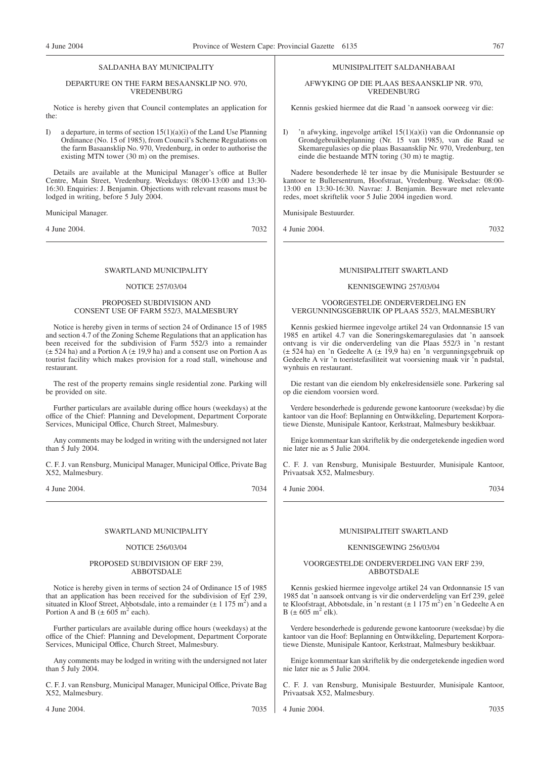# SALDANHA BAY MUNICIPALITY

# DEPARTURE ON THE FARM BESAANSKLIP NO. 970, VREDENBURG

Notice is hereby given that Council contemplates an application for the:

I) a departure, in terms of section  $15(1)(a)(i)$  of the Land Use Planning Ordinance (No. 15 of 1985), from Council's Scheme Regulations on the farm Basaansklip No. 970, Vredenburg, in order to authorise the existing MTN tower (30 m) on the premises.

Details are available at the Municipal Manager's office at Buller Centre, Main Street, Vredenburg. Weekdays: 08:00-13:00 and 13:30- 16:30. Enquiries: J. Benjamin. Objections with relevant reasons must be lodged in writing, before 5 July 2004.

# Municipal Manager.

4 June 2004. 7032

# SWARTLAND MUNICIPALITY

# NOTICE 257/03/04

# PROPOSED SUBDIVISION AND CONSENT USE OF FARM 552/3, MALMESBURY

Notice is hereby given in terms of section 24 of Ordinance 15 of 1985 and section 4.7 of the Zoning Scheme Regulations that an application has been received for the subdivision of Farm 552/3 into a remainder  $(\pm 524$  ha) and a Portion A  $(\pm 19.9$  ha) and a consent use on Portion A as tourist facility which makes provision for a road stall, winehouse and restaurant.

The rest of the property remains single residential zone. Parking will be provided on site.

Further particulars are available during office hours (weekdays) at the office of the Chief: Planning and Development, Department Corporate Services, Municipal Office, Church Street, Malmesbury.

Any comments may be lodged in writing with the undersigned not later than  $\dot{5}$  July 2004.

C. F. J. van Rensburg, Municipal Manager, Municipal Office, Private Bag X52, Malmesbury.

4 June 2004. 7034

#### SWARTLAND MUNICIPALITY

# NOTICE 256/03/04

#### PROPOSED SUBDIVISION OF ERF 239, ABBOTSDALE

Notice is hereby given in terms of section 24 of Ordinance 15 of 1985 that an application has been received for the subdivision of Erf 239, situated in Kloof Street, Abbotsdale, into a remainder  $(\pm 1.175 \text{ m}^2)$  and a Portion A and B  $(\pm 605 \text{ m}^2 \text{ each})$ .

Further particulars are available during office hours (weekdays) at the office of the Chief: Planning and Development, Department Corporate Services, Municipal Office, Church Street, Malmesbury.

Any comments may be lodged in writing with the undersigned not later than 5 July 2004.

C. F. J. van Rensburg, Municipal Manager, Municipal Office, Private Bag X52, Malmesbury.

4 June 2004. 7035

MUNISIPALITEIT SALDANHABAAI

AFWYKING OP DIE PLAAS BESAANSKLIP NR. 970, VREDENBURG

Kennis geskied hiermee dat die Raad 'n aansoek oorweeg vir die:

I) 'n afwyking, ingevolge artikel 15(1)(a)(i) van die Ordonnansie op Grondgebruikbeplanning (Nr. 15 van 1985), van die Raad se Skemaregulasies op die plaas Basaansklip Nr. 970, Vredenburg, ten einde die bestaande MTN toring (30 m) te magtig.

Nadere besonderhede lê ter insae by die Munisipale Bestuurder se kantoor te Bullersentrum, Hoofstraat, Vredenburg. Weeksdae: 08:00- 13:00 en 13:30-16:30. Navrae: J. Benjamin. Besware met relevante redes, moet skriftelik voor 5 Julie 2004 ingedien word.

Munisipale Bestuurder.

4 Junie 2004. 7032

# MUNISIPALITEIT SWARTLAND

# KENNISGEWING 257/03/04

# VOORGESTELDE ONDERVERDELING EN VERGUNNINGSGEBRUIK OP PLAAS 552/3, MALMESBURY

Kennis geskied hiermee ingevolge artikel 24 van Ordonnansie 15 van 1985 en artikel 4.7 van die Soneringskemaregulasies dat 'n aansoek ontvang is vir die onderverdeling van die Plaas 552/3 in 'n restant (± 524 ha) en 'n Gedeelte A (± 19,9 ha) en 'n vergunningsgebruik op Gedeelte A vir 'n toeristefasiliteit wat voorsiening maak vir 'n padstal, wynhuis en restaurant.

Die restant van die eiendom bly enkelresidensiële sone. Parkering sal op die eiendom voorsien word.

Verdere besonderhede is gedurende gewone kantoorure (weeksdae) by die kantoor van die Hoof: Beplanning en Ontwikkeling, Departement Korporatiewe Dienste, Munisipale Kantoor, Kerkstraat, Malmesbury beskikbaar.

Enige kommentaar kan skriftelik by die ondergetekende ingedien word nie later nie as 5 Julie 2004.

C. F. J. van Rensburg, Munisipale Bestuurder, Munisipale Kantoor, Privaatsak X52, Malmesbury.

4 Junie 2004. 7034

# MUNISIPALITEIT SWARTLAND

# KENNISGEWING 256/03/04

# VOORGESTELDE ONDERVERDELING VAN ERF 239, ABBOTSDALE

Kennis geskied hiermee ingevolge artikel 24 van Ordonnansie 15 van 1985 dat 'n aansoek ontvang is vir die onderverdeling van Erf 239, geleë te Kloofstraat, Abbotsdale, in 'n restant (± 1 175 m2 ) en 'n Gedeelte A en B ( $\pm$  605 m<sup>2</sup> elk).

Verdere besonderhede is gedurende gewone kantoorure (weeksdae) by die kantoor van die Hoof: Beplanning en Ontwikkeling, Departement Korporatiewe Dienste, Munisipale Kantoor, Kerkstraat, Malmesbury beskikbaar.

Enige kommentaar kan skriftelik by die ondergetekende ingedien word nie later nie as 5 Julie 2004.

C. F. J. van Rensburg, Munisipale Bestuurder, Munisipale Kantoor, Privaatsak X52, Malmesbury.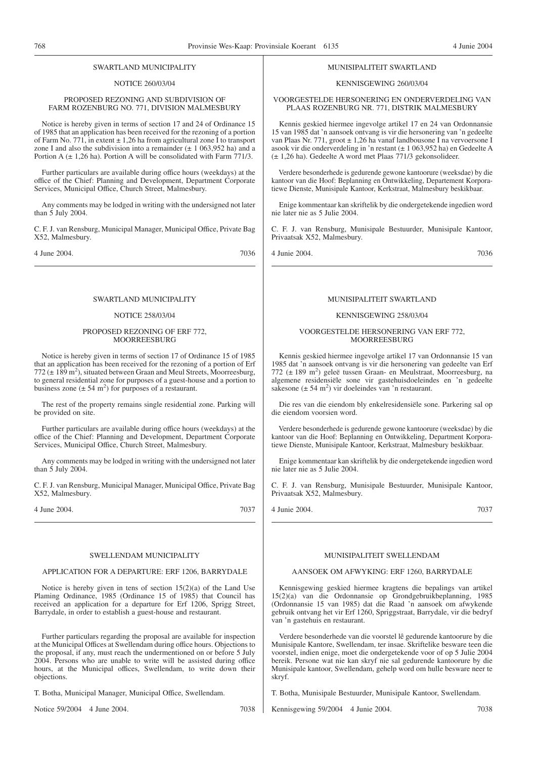#### SWARTLAND MUNICIPALITY

# NOTICE 260/03/04

# PROPOSED REZONING AND SUBDIVISION OF FARM ROZENBURG NO. 771, DIVISION MALMESBURY

Notice is hereby given in terms of section 17 and 24 of Ordinance 15 of 1985 that an application has been received for the rezoning of a portion of Farm No. 771, in extent  $\pm$  1,26 ha from agricultural zone I to transport zone I and also the subdivision into a remainder  $(\pm 1063,952 \text{ ha})$  and a Portion A  $(\pm 1, 26$  ha). Portion A will be consolidated with Farm 771/3.

Further particulars are available during office hours (weekdays) at the office of the Chief: Planning and Development, Department Corporate Services, Municipal Office, Church Street, Malmesbury.

Any comments may be lodged in writing with the undersigned not later than  $\dot{5}$  July 2004.

C. F. J. van Rensburg, Municipal Manager, Municipal Office, Private Bag X52, Malmesbury.

4 June 2004. 7036

# SWARTLAND MUNICIPALITY

# NOTICE 258/03/04

# PROPOSED REZONING OF ERF 772, **MOORREESBURG**

Notice is hereby given in terms of section 17 of Ordinance 15 of 1985 that an application has been received for the rezoning of a portion of Erf  $772 (\pm 189 \text{ m}^2)$ , situated between Graan and Meul Streets, Moorreesburg, to general residential zone for purposes of a guest-house and a portion to business zone  $(\pm 54 \text{ m}^2)$  for purposes of a restaurant.

The rest of the property remains single residential zone. Parking will be provided on site.

Further particulars are available during office hours (weekdays) at the office of the Chief: Planning and Development, Department Corporate Services, Municipal Office, Church Street, Malmesbury.

Any comments may be lodged in writing with the undersigned not later than  $\dot{5}$  July 2004.

C. F. J. van Rensburg, Municipal Manager, Municipal Office, Private Bag X52, Malmesbury.

4 June 2004. 7037

# SWELLENDAM MUNICIPALITY

# APPLICATION FOR A DEPARTURE: ERF 1206, BARRYDALE

Notice is hereby given in tens of section 15(2)(a) of the Land Use Plaming Ordinance, 1985 (Ordinance 15 of 1985) that Council has received an application for a departure for Erf 1206, Sprigg Street, Barrydale, in order to establish a guest-house and restaurant.

Further particulars regarding the proposal are available for inspection at the Municipal Offices at Swellendam during office hours. Objections to the proposal, if any, must reach the undermentioned on or before 5 July 2004. Persons who are unable to write will be assisted during office hours, at the Municipal offices, Swellendam, to write down their objections.

T. Botha, Municipal Manager, Municipal Office, Swellendam.

Notice 59/2004 4 June 2004. 2005 2008

#### MUNISIPALITEIT SWARTLAND

# KENNISGEWING 260/03/04

VOORGESTELDE HERSONERING EN ONDERVERDELING VAN PLAAS ROZENBURG NR. 771, DISTRIK MALMESBURY

Kennis geskied hiermee ingevolge artikel 17 en 24 van Ordonnansie 15 van 1985 dat 'n aansoek ontvang is vir die hersonering van 'n gedeelte van Plaas Nr. 771, groot ± 1,26 ha vanaf landbousone I na vervoersone I asook vir die onderverdeling in 'n restant (± 1 063,952 ha) en Gedeelte A (± 1,26 ha). Gedeelte A word met Plaas 771/3 gekonsolideer.

Verdere besonderhede is gedurende gewone kantoorure (weeksdae) by die kantoor van die Hoof: Beplanning en Ontwikkeling, Departement Korporatiewe Dienste, Munisipale Kantoor, Kerkstraat, Malmesbury beskikbaar.

Enige kommentaar kan skriftelik by die ondergetekende ingedien word nie later nie as 5 Julie 2004.

C. F. J. van Rensburg, Munisipale Bestuurder, Munisipale Kantoor, Privaatsak X52, Malmesbury.

4 Junie 2004. 7036

# MUNISIPALITEIT SWARTLAND

# KENNISGEWING 258/03/04

# VOORGESTELDE HERSONERING VAN ERF 772, **MOORREESBURG**

Kennis geskied hiermee ingevolge artikel 17 van Ordonnansie 15 van 1985 dat 'n aansoek ontvang is vir die hersonering van gedeelte van Erf 772 (± 189 m2 ) geleë tussen Graan- en Meulstraat, Moorreesburg, na algemene residensiële sone vir gastehuisdoeleindes en 'n gedeelte sakesone  $(\pm 54 \text{ m}^2)$  vir doeleindes van 'n restaurant.

Die res van die eiendom bly enkelresidensiële sone. Parkering sal op die eiendom voorsien word.

Verdere besonderhede is gedurende gewone kantoorure (weeksdae) by die kantoor van die Hoof: Beplanning en Ontwikkeling, Department Korporatiewe Dienste, Munisipale Kantoor, Kerkstraat, Malmesbury beskikbaar.

Enige kommentaar kan skriftelik by die ondergetekende ingedien word nie later nie as 5 Julie 2004.

C. F. J. van Rensburg, Munisipale Bestuurder, Munisipale Kantoor, Privaatsak X52, Malmesbury.

4 Junie 2004. 7037

# MUNISIPALITEIT SWELLENDAM

# AANSOEK OM AFWYKING: ERF 1260, BARRYDALE

Kennisgewing geskied hiermee kragtens die bepalings van artikel 15(2)(a) van die Ordonnansie op Grondgebruikbeplanning, 1985 (Ordonnansie 15 van 1985) dat die Raad 'n aansoek om afwykende gebruik ontvang het vir Erf 1260, Spriggstraat, Barrydale, vir die bedryf van 'n gastehuis en restaurant.

Verdere besonderhede van die voorstel lê gedurende kantoorure by die Munisipale Kantore, Swellendam, ter insae. Skriftelike besware teen die voorstel, indien enige, moet die ondergetekende voor of op 5 Julie 2004 bereik. Persone wat nie kan skryf nie sal gedurende kantoorure by die Munisipale kantoor, Swellendam, gehelp word om hulle besware neer te skryf.

T. Botha, Munisipale Bestuurder, Munisipale Kantoor, Swellendam.

Kennisgewing 59/2004 4 Junie 2004. 7038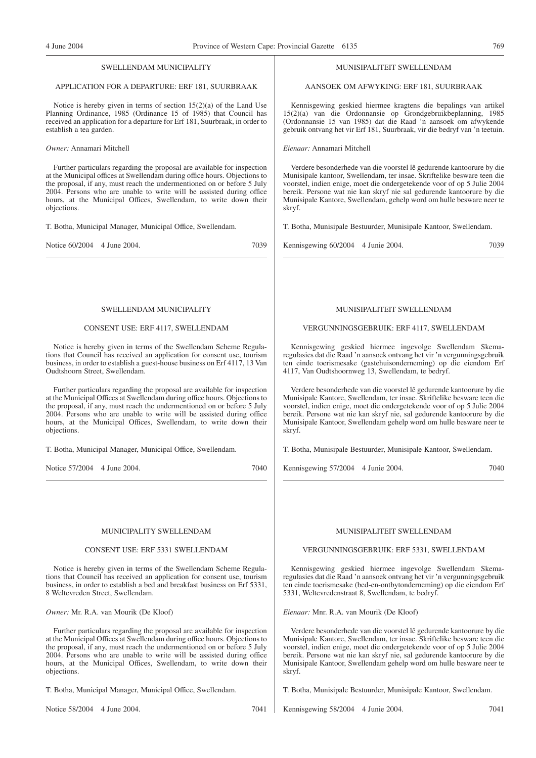# SWELLENDAM MUNICIPALITY

# APPLICATION FOR A DEPARTURE: ERF 181, SUURBRAAK

Notice is hereby given in terms of section 15(2)(a) of the Land Use Planning Ordinance, 1985 (Ordinance 15 of 1985) that Council has received an application for a departure for Erf 181, Suurbraak, in order to establish a tea garden.

*Owner:* Annamari Mitchell

Further particulars regarding the proposal are available for inspection at the Municipal offices at Swellendam during office hours. Objections to the proposal, if any, must reach the undermentioned on or before 5 July 2004. Persons who are unable to write will be assisted during office hours, at the Municipal Offices, Swellendam, to write down their objections.

T. Botha, Municipal Manager, Municipal Office, Swellendam.

Notice 60/2004 4 June 2004. 2005 7039

# SWELLENDAM MUNICIPALITY

#### CONSENT USE: ERF 4117, SWELLENDAM

Notice is hereby given in terms of the Swellendam Scheme Regulations that Council has received an application for consent use, tourism business, in order to establish a guest-house business on Erf 4117, 13 Van Oudtshoorn Street, Swellendam.

Further particulars regarding the proposal are available for inspection at the Municipal Offices at Swellendam during office hours. Objections to the proposal, if any, must reach the undermentioned on or before 5 July 2004. Persons who are unable to write will be assisted during office hours, at the Municipal Offices, Swellendam, to write down their objections.

T. Botha, Municipal Manager, Municipal Office, Swellendam.

Notice 57/2004 4 June 2004. 7040

#### MUNICIPALITY SWELLENDAM

#### CONSENT USE: ERF 5331 SWELLENDAM

Notice is hereby given in terms of the Swellendam Scheme Regulations that Council has received an application for consent use, tourism business, in order to establish a bed and breakfast business on Erf 5331, 8 Weltevreden Street, Swellendam.

*Owner:* Mr. R.A. van Mourik (De Kloof)

Further particulars regarding the proposal are available for inspection at the Municipal Offices at Swellendam during office hours. Objections to the proposal, if any, must reach the undermentioned on or before 5 July 2004. Persons who are unable to write will be assisted during office hours, at the Municipal Offices, Swellendam, to write down their objections.

T. Botha, Municipal Manager, Municipal Office, Swellendam.

Notice 58/2004 4 June 2004. 2004 7041

## MUNISIPALITEIT SWELLENDAM

AANSOEK OM AFWYKING: ERF 181, SUURBRAAK

Kennisgewing geskied hiermee kragtens die bepalings van artikel 15(2)(a) van die Ordonnansie op Grondgebruikbeplanning, 1985 (Ordonnansie 15 van 1985) dat die Raad 'n aansoek om afwykende gebruik ontvang het vir Erf 181, Suurbraak, vir die bedryf van 'n teetuin.

*Eienaar:* Annamari Mitchell

Verdere besonderhede van die voorstel lê gedurende kantoorure by die Munisipale kantoor, Swellendam, ter insae. Skriftelike besware teen die voorstel, indien enige, moet die ondergetekende voor of op 5 Julie 2004 bereik. Persone wat nie kan skryf nie sal gedurende kantoorure by die Munisipale Kantore, Swellendam, gehelp word om hulle besware neer te skryf.

T. Botha, Munisipale Bestuurder, Munisipale Kantoor, Swellendam.

Kennisgewing 60/2004 4 Junie 2004. 2005 7039

# MUNISIPALITEIT SWELLENDAM

#### VERGUNNINGSGEBRUIK: ERF 4117, SWELLENDAM

Kennisgewing geskied hiermee ingevolge Swellendam Skemaregulasies dat die Raad 'n aansoek ontvang het vir 'n vergunningsgebruik ten einde toerismesake (gastehuisonderneming) op die eiendom Erf 4117, Van Oudtshoornweg 13, Swellendam, te bedryf.

Verdere besonderhede van die voorstel lê gedurende kantoorure by die Munisipale Kantore, Swellendam, ter insae. Skriftelike besware teen die voorstel, indien enige, moet die ondergetekende voor of op 5 Julie 2004 bereik. Persone wat nie kan skryf nie, sal gedurende kantoorure by die Munisipale Kantoor, Swellendam gehelp word om hulle besware neer te skryf.

T. Botha, Munisipale Bestuurder, Munisipale Kantoor, Swellendam.

Kennisgewing 57/2004 4 Junie 2004. 7040

# MUNISIPALITEIT SWELLENDAM

VERGUNNINGSGEBRUIK: ERF 5331, SWELLENDAM

Kennisgewing geskied hiermee ingevolge Swellendam Skemaregulasies dat die Raad 'n aansoek ontvang het vir 'n vergunningsgebruik ten einde toerismesake (bed-en-ontbytonderneming) op die eiendom Erf 5331, Weltevredenstraat 8, Swellendam, te bedryf.

*Eienaar:* Mnr. R.A. van Mourik (De Kloof)

Verdere besonderhede van die voorstel lê gedurende kantoorure by die Munisipale Kantore, Swellendam, ter insae. Skriftelike besware teen die voorstel, indien enige, moet die ondergetekende voor of op 5 Julie 2004 bereik. Persone wat nie kan skryf nie, sal gedurende kantoorure by die Munisipale Kantoor, Swellendam gehelp word om hulle besware neer te skryf.

T. Botha, Munisipale Bestuurder, Munisipale Kantoor, Swellendam.

Kennisgewing 58/2004 4 Junie 2004. 7041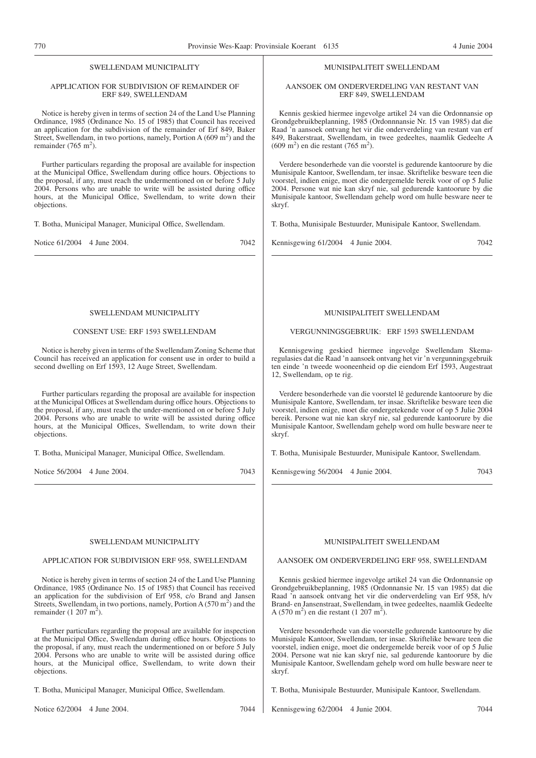# SWELLENDAM MUNICIPALITY

# APPLICATION FOR SUBDIVISION OF REMAINDER OF ERF 849, SWELLENDAM

Notice is hereby given in terms of section 24 of the Land Use Planning Ordinance, 1985 (Ordinance No. 15 of 1985) that Council has received an application for the subdivision of the remainder of Erf 849, Baker Street, Swellendam, in two portions, namely, Portion A  $(609 \text{ m}^2)$  and the remainder  $(765 \text{ m}^2)$ .

Further particulars regarding the proposal are available for inspection at the Municipal Office, Swellendam during office hours. Objections to the proposal, if any, must reach the undermentioned on or before 5 July 2004. Persons who are unable to write will be assisted during office hours, at the Municipal Office, Swellendam, to write down their objections.

T. Botha, Municipal Manager, Municipal Office, Swellendam.

Notice 61/2004 4 June 2004. 7042

# SWELLENDAM MUNICIPALITY

# CONSENT USE: ERF 1593 SWELLENDAM

Notice is hereby given in terms of the Swellendam Zoning Scheme that Council has received an application for consent use in order to build a second dwelling on Erf 1593, 12 Auge Street, Swellendam.

Further particulars regarding the proposal are available for inspection at the Municipal Offices at Swellendam during office hours. Objections to the proposal, if any, must reach the under-mentioned on or before 5 July 2004. Persons who are unable to write will be assisted during office hours, at the Municipal Offices, Swellendam, to write down their objections.

T. Botha, Municipal Manager, Municipal Office, Swellendam.

Notice 56/2004 4 June 2004. 7043

#### SWELLENDAM MUNICIPALITY

# APPLICATION FOR SUBDIVISION ERF 958, SWELLENDAM

Notice is hereby given in terms of section 24 of the Land Use Planning Ordinance, 1985 (Ordinance No. 15 of 1985) that Council has received an application for the subdivision of Erf 958, c/o Brand and Jansen Streets, Swellendam, in two portions, namely, Portion A  $(570 \text{ m}^2)$  and the remainder  $(1 207 m<sup>2</sup>)$ .

Further particuIars regarding the proposal are available for inspection at the Municipal Office, Swellendam during office hours. Objections to the proposal, if any, must reach the undermentioned on or before 5 July 2004. Persons who are unable to write will be assisted during office hours, at the Municipal office, Swellendam, to write down their objections.

T. Botha, Municipal Manager, Municipal Office, Swellendam.

Notice 62/2004 4 June 2004. 7044

# MUNISIPALITEIT SWELLENDAM

# AANSOEK OM ONDERVERDELlNG VAN RESTANT VAN ERF 849, SWELLENDAM

Kennis geskied hiermee ingevolge artikel 24 van die Ordonnansie op Grondgebruikbeplanning, 1985 (Ordonnnansie Nr. 15 van 1985) dat die Raad 'n aansoek ontvang het vir die onderverdeling van restant van erf 849, Bakerstraat, Swellendam, in twee gedeeltes, naamlik Gedeelte A  $(609 \text{ m}^2)$  en die restant (765 m<sup>2</sup>).

Verdere besonderhede van die voorstel is gedurende kantoorure by die Munisipale Kantoor, Swellendam, ter insae. Skriftelike besware teen die voorstel, indien enige, moet die ondergemelde bereik voor of op 5 Julie 2004. Persone wat nie kan skryf nie, sal gedurende kantoorure by die Munisipale kantoor, Swellendam gehelp word om hulle besware neer te skryf.

T. Botha, Munisipale Bestuurder, Munisipale Kantoor, Swellendam.

Kennisgewing 61/2004 4 Junie 2004. 2004 7042

# MUNISIPALITEIT SWELLENDAM

# VERGUNNINGSGEBRUIK: ERF 1593 SWELLENDAM

Kennisgewing geskied hiermee ingevolge Swellendam Skemaregulasies dat die Raad 'n aansoek ontvang het vir 'n vergunningsgebruik ten einde 'n tweede wooneenheid op die eiendom Erf 1593, Augestraat 12, Swellendam, op te rig.

Verdere besonderhede van die voorstel lê gedurende kantoorure by die Munisipale Kantore, Swellendam, ter insae. Skriftelike besware teen die voorstel, indien enige, moet die ondergetekende voor of op 5 Julie 2004 bereik. Persone wat nie kan skryf nie, sal gedurende kantoorure by die Munisipale Kantoor, Swellendam gehelp word om hulle besware neer te skryf.

T. Botha, Munisipale Bestuurder, Munisipale Kantoor, Swellendam.

Kennisgewing 56/2004 4 Junie 2004. 7043

# MUNISIPALITEIT SWELLENDAM

# AANSOEK OM ONDERVERDELING ERF 958, SWELLENDAM

Kennis geskied hiermee ingevolge artikel 24 van die Ordonnansie op Grondgebruikbeplanning, 1985 (Ordonnansie Nr. 15 van 1985) dat die Raad 'n aansoek ontvang het vir die onderverdeling van Erf 958, h/v Brand- en Jansenstraat, Swellendam, in twee gedeeltes, naamlik Gedeelte A (570 m<sup>2</sup>) en die restant (1 207 m<sup>2</sup>).

Verdere besonderhede van die voorstelle gedurende kantoorure by die Munisipale Kantoor, Swellendam, ter insae. Skriftelike beware teen die voorstel, indien enige, moet die ondergemelde bereik voor of op 5 Julie 2004. Persone wat nie kan skryf nie, sal gedurende kantoorure by die Munisipale Kantoor, Swellendam gehelp word om hulle besware neer te skryf.

T. Botha, Munisipale Bestuurder, Munisipale Kantoor, Swellendam.

Kennisgewing 62/2004 4 Junie 2004. 7044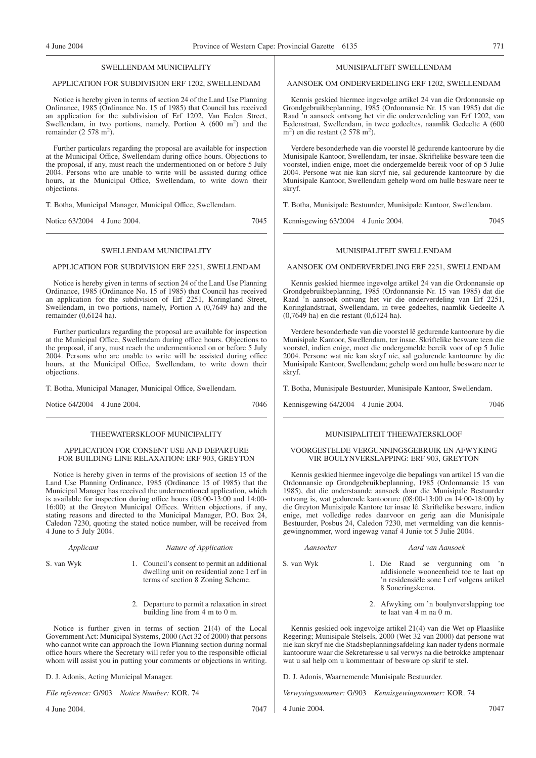# SWELLENDAM MUNICIPALITY

# APPLICATION FOR SUBDIVISION ERF 1202, SWELLENDAM

Notice is hereby given in terms of section 24 of the Land Use Planning Ordinance, 1985 (Ordinance No. 15 of 1985) that Council has received an application for the subdivision of Erf 1202, Van Eeden Street, Swellendam, in two portions, namely, Portion A  $(600 \text{ m}^2)$  and the remainder  $(2578 \text{ m}^2)$ .

Further particulars regarding the proposal are available for inspection at the Municipal Office, Swellendam during office hours. Objections to the proposal, if any, must reach the undermentioned on or before 5 July 2004. Persons who are unable to write will be assisted during office hours, at the Municipal Office, Swellendam, to write down their objections.

T. Botha, Municipal Manager, Municipal Office, Swellendam.

Notice 63/2004 4 June 2004. 7045

# SWELLENDAM MUNICIPALITY

# APPLICATION FOR SUBDIVISION ERF 2251, SWELLENDAM

Notice is hereby given in terms of section 24 of the Land Use Planning Ordinance, 1985 (Ordinance No. 15 of 1985) that Council has received an application for the subdivision of Erf 2251, Koringland Street, Swellendam, in two portions, namely, Portion A (0,7649 ha) and the remainder (0,6124 ha).

Further particulars regarding the proposal are available for inspection at the Municipal Office, Swellendam during office hours. Objections to the proposal, if any, must reach the undermentioned on or before 5 July 2004. Persons who are unable to write will be assisted during office hours, at the Municipal Office, Swellendam, to write down their objections.

T. Botha, Municipal Manager, Municipal Office, Swellendam.

Notice 64/2004 4 June 2004. 7046

# THEEWATERSKLOOF MUNICIPALITY

# APPLICATION FOR CONSENT USE AND DEPARTURE FOR BUILDING LINE RELAXATION: ERF 903, GREYTON

Notice is hereby given in terms of the provisions of section 15 of the Land Use Planning Ordinance, 1985 (Ordinance 15 of 1985) that the Municipal Manager has received the undermentioned application, which is available for inspection during office hours (08:00-13:00 and 14:00- 16:00) at the Greyton Municipal Offices. Written objections, if any, stating reasons and directed to the Municipal Manager, P.O. Box 24, Caledon 7230, quoting the stated notice number, will be received from 4 June to 5 July 2004.

*Applicant Nature of Application*

- S. van Wyk 1. Council's consent to permit an additional dwelling unit on residential zone I erf in terms of section 8 Zoning Scheme.
	- 2. Departure to permit a relaxation in street building line from 4 m to 0 m.

Notice is further given in terms of section 21(4) of the Local Government Act: Municipal Systems, 2000 (Act 32 of 2000) that persons who cannot write can approach the Town Planning section during normal office hours where the Secretary will refer you to the responsible official whom will assist you in putting your comments or objections in writing.

D. J. Adonis, Acting Municipal Manager.

*File reference:* G/903 *Notice Number:* KOR. 74

4 June 2004. 7047

#### MUNISIPALITEIT SWELLENDAM

# AANSOEK OM ONDERVERDELING ERF 1202, SWELLENDAM

Kennis geskied hiermee ingevolge artikel 24 van die Ordonnansie op Grondgebruikbeplanning, 1985 (Ordonnansie Nr. 15 van 1985) dat die Raad 'n aansoek ontvang het vir die onderverdeling van Erf 1202, van Eedenstraat, Swellendam, in twee gedeeltes, naamlik Gedeelte A (600  $m<sup>2</sup>$ ) en die restant (2 578 m<sup>2</sup>).

Verdere besonderhede van die voorstel lê gedurende kantoorure by die Munisipale Kantoor, Swellendam, ter insae. Skriftelike besware teen die voorstel, indien enige, moet die ondergemelde bereik voor of op 5 Julie 2004. Persone wat nie kan skryf nie, sal gedurende kantoorure by die Munisipale Kantoor, Swellendam gehelp word om hulle besware neer te skryf.

T. Botha, Munisipale Bestuurder, Munisipale Kantoor, Swellendam.

# MUNISIPALITEIT SWELLENDAM

Kennisgewing 63/2004 4 Junie 2004. 7045

#### AANSOEK OM ONDERVERDELING ERF 2251, SWELLENDAM

Kennis geskied hiermee ingevolge artikel 24 van die Ordonnansie op Grondgebruikbeplanning, 1985 (Ordonnansie Nr. 15 van 1985) dat die Raad 'n aansoek ontvang het vir die onderverdeling van Erf 2251, Koringlandstraat, Swellendam, in twee gedeeltes, naamlik Gedeelte A (0,7649 ha) en die restant (0,6124 ha).

Verdere besonderhede van die voorstel lê gedurende kantoorure by die Munisipale Kantoor, Swellendam, ter insae. Skriftelike besware teen die voorstel, indien enige, moet die ondergemelde bereik voor of op 5 Julie 2004. Persone wat nie kan skryf nie, sal gedurende kantoorure by die Munisipale Kantoor, Swellendam; gehelp word om hulle besware neer te skryf.

T. Botha, Munisipale Bestuurder, Munisipale Kantoor, Swellendam.

Kennisgewing 64/2004 4 Junie 2004. 7046

# MUNISIPALITEIT THEEWATERSKLOOF

# VOORGESTELDE VERGUNNINGSGEBRUlK EN AFWYKING VIR BOULYNVERSLAPPING: ERF 903, GREYTON

Kennis geskied hiermee ingevolge die bepalings van artikel 15 van die Ordonnansie op Grondgebruikbeplanning, 1985 (Ordonnansie 15 van 1985), dat die onderstaande aansoek dour die Munisipale Bestuurder ontvang is, wat gedurende kantoorure (08:00-13:00 en 14:00-18:00) by die Greyton Munisipale Kantore ter insae lê. Skriftelike besware, indien enige, met volledige redes daarvoor en gerig aan die Munisipale Bestuurder, Posbus 24, Caledon 7230, met vermelding van die kennisgewingnommer, word ingewag vanaf 4 Junie tot 5 Julie 2004.

| Aansoeker | Aard van Aansoek |  |  |  |                                                       |
|-----------|------------------|--|--|--|-------------------------------------------------------|
| an Wyk    |                  |  |  |  | 1. Die Raad se vergunni<br>addisionele wooneenheid to |
|           |                  |  |  |  | 'n residensiële sone I erf vo                         |

S. van Wyk 1. Die Raad se vergunning om 'n ionele wooneenheid toe te laat op 'n residensiële sone I erf volgens artikel 8 Soneringskema.

> 2. Afwyking om 'n boulynverslapping toe te laat van 4 m na 0 m.

Kennis geskied ook ingevolge artikel 21(4) van die Wet op Plaaslike Regering; Munisipale Stelsels, 2000 (Wet 32 van 2000) dat persone wat nie kan skryf nie die Stadsbeplanningsafdeling kan nader tydens normale kantoorure waar die Sekretaresse u sal verwys na die betrokke amptenaar wat u sal help om u kommentaar of besware op skrif te stel.

D. J. Adonis, Waarnemende Munisipale Bestuurder.

*Verwysingsnommer:* G/903 *Kennisgewingnommer:* KOR. 74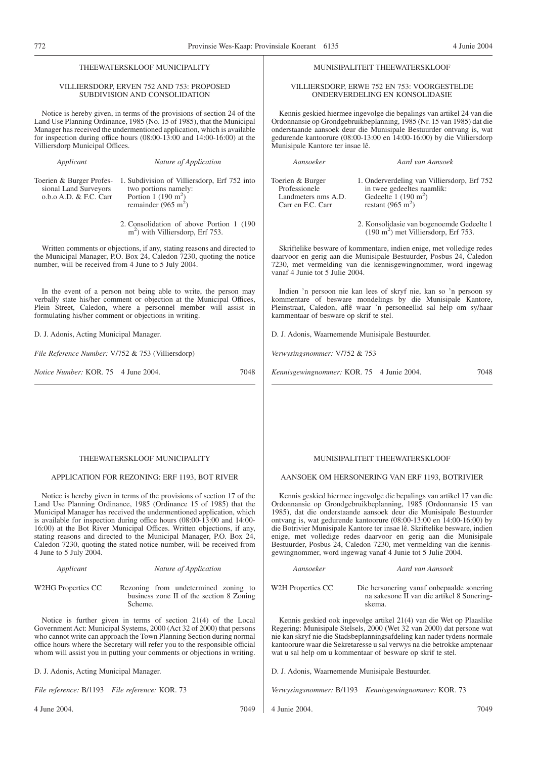| 772                                                                         |                                                                                                                                                                                                                                                                                                                                                                                                                                                                                                                          | Provinsie Wes-Kaap: Provinsiale Koerant 6135                                  | 4 Junie 2004                                                                                                                                                                                                                                                                                                                                                                                                                                                                                                                                                                 |
|-----------------------------------------------------------------------------|--------------------------------------------------------------------------------------------------------------------------------------------------------------------------------------------------------------------------------------------------------------------------------------------------------------------------------------------------------------------------------------------------------------------------------------------------------------------------------------------------------------------------|-------------------------------------------------------------------------------|------------------------------------------------------------------------------------------------------------------------------------------------------------------------------------------------------------------------------------------------------------------------------------------------------------------------------------------------------------------------------------------------------------------------------------------------------------------------------------------------------------------------------------------------------------------------------|
|                                                                             | THEEWATERSKLOOF MUNICIPALITY                                                                                                                                                                                                                                                                                                                                                                                                                                                                                             |                                                                               | MUNISIPALITEIT THEEWATERSKLOOF                                                                                                                                                                                                                                                                                                                                                                                                                                                                                                                                               |
|                                                                             | VILLIERSDORP, ERVEN 752 AND 753: PROPOSED<br>SUBDIVISION AND CONSOLIDATION                                                                                                                                                                                                                                                                                                                                                                                                                                               |                                                                               | VILLIERSDORP, ERWE 752 EN 753: VOORGESTELDE<br>ONDERVERDELING EN KONSOLIDASIE                                                                                                                                                                                                                                                                                                                                                                                                                                                                                                |
| Villiersdorp Municipal Offices.                                             | Notice is hereby given, in terms of the provisions of section 24 of the<br>Land Use Planning Ordinance, 1985 (No. 15 of 1985), that the Municipal<br>Manager has received the undermentioned application, which is available<br>for inspection during office hours $(08:00-13:00$ and $14:00-16:00)$ at the                                                                                                                                                                                                              | Munisipale Kantore ter insae lê.                                              | Kennis geskied hiermee ingevolge die bepalings van artikel 24 van die<br>Ordonnansie op Grondgebruikbeplanning, 1985 (Nr. 15 van 1985) dat die<br>onderstaande aansoek deur die Munisipale Bestuurder ontvang is, wat<br>gedurende kantoorure (08:00-13:00 en 14:00-16:00) by die Viiliersdorp                                                                                                                                                                                                                                                                               |
| Applicant                                                                   | Nature of Application                                                                                                                                                                                                                                                                                                                                                                                                                                                                                                    | Aansoeker                                                                     | Aard van Aansoek                                                                                                                                                                                                                                                                                                                                                                                                                                                                                                                                                             |
| Toerien & Burger Profes-<br>sional Land Surveyors<br>o.b.o A.D. & F.C. Carr | 1. Subdivision of Villiersdorp, Erf 752 into<br>two portions namely:<br>Portion 1 $(190 \text{ m}^2)$<br>remainder (965 m <sup>2</sup> )                                                                                                                                                                                                                                                                                                                                                                                 | Toerien & Burger<br>Professionele<br>Landmeters nms A.D.<br>Carr en F.C. Carr | 1. Onderverdeling van Villiersdorp, Erf 752<br>in twee gedeeltes naamlik:<br>Gedeelte $1(190 \text{ m}^2)$<br>restant (965 m <sup>2</sup> )                                                                                                                                                                                                                                                                                                                                                                                                                                  |
|                                                                             | 2. Consolidation of above Portion 1 (190<br>$m2$ ) with Villiersdorp, Erf 753.                                                                                                                                                                                                                                                                                                                                                                                                                                           |                                                                               | 2. Konsolidasie van bogenoemde Gedeelte 1<br>(190 m <sup>2</sup> ) met Villiersdorp, Erf 753.                                                                                                                                                                                                                                                                                                                                                                                                                                                                                |
|                                                                             | Written comments or objections, if any, stating reasons and directed to<br>the Municipal Manager, P.O. Box 24, Caledon 7230, quoting the notice<br>number, will be received from 4 June to 5 July 2004.                                                                                                                                                                                                                                                                                                                  | vanaf 4 Junie tot 5 Julie 2004.                                               | Skriftelike besware of kommentare, indien enige, met volledige redes<br>daarvoor en gerig aan die Munisipale Bestuurder, Posbus 24, Caledon<br>7230, met vermelding van die kennisgewingnommer, word ingewag                                                                                                                                                                                                                                                                                                                                                                 |
|                                                                             | In the event of a person not being able to write, the person may<br>verbally state his/her comment or objection at the Municipal Offices,<br>Plein Street, Caledon, where a personnel member will assist in<br>formulating his/her comment or objections in writing.                                                                                                                                                                                                                                                     | kammentaar of besware op skrif te stel.                                       | Indien 'n persoon nie kan lees of skryf nie, kan so 'n persoon sy<br>kommentare of besware mondelings by die Munisipale Kantore,<br>Pleinstraat, Caledon, aflê waar 'n personeellid sal help om sy/haar                                                                                                                                                                                                                                                                                                                                                                      |
| D. J. Adonis, Acting Municipal Manager.                                     |                                                                                                                                                                                                                                                                                                                                                                                                                                                                                                                          | D. J. Adonis, Waarnemende Munisipale Bestuurder.                              |                                                                                                                                                                                                                                                                                                                                                                                                                                                                                                                                                                              |
| File Reference Number: V/752 & 753 (Villiersdorp)                           |                                                                                                                                                                                                                                                                                                                                                                                                                                                                                                                          | Verwysingsnommer: V/752 & 753                                                 |                                                                                                                                                                                                                                                                                                                                                                                                                                                                                                                                                                              |
| Notice Number: KOR. 75 4 June 2004.                                         | 7048                                                                                                                                                                                                                                                                                                                                                                                                                                                                                                                     | Kennisgewingnommer: KOR. 75 4 Junie 2004.                                     | 7048                                                                                                                                                                                                                                                                                                                                                                                                                                                                                                                                                                         |
|                                                                             | THEEWATERSKLOOF MUNICIPALITY<br>APPLICATION FOR REZONING: ERF 1193, BOT RIVER                                                                                                                                                                                                                                                                                                                                                                                                                                            |                                                                               | MUNISIPALITEIT THEEWATERSKLOOF<br>AANSOEK OM HERSONERING VAN ERF 1193, BOTRIVIER                                                                                                                                                                                                                                                                                                                                                                                                                                                                                             |
| 4 June to 5 July 2004.                                                      | Notice is hereby given in terms of the provisions of section 17 of the<br>Land Use Planning Ordinance, 1985 (Ordinance 15 of 1985) that the<br>Municipal Manager has received the undermentioned application, which<br>is available for inspection during office hours (08:00-13:00 and 14:00-<br>16:00) at the Bot River Municipal Offices. Written objections, if any,<br>stating reasons and directed to the Municipal Manager, P.O. Box 24,<br>Caledon 7230, quoting the stated notice number, will be received from |                                                                               | Kennis geskied hiermee ingevolge die bepalings van artikel 17 van die<br>Ordonnansie op Grondgebruikbeplanning, 1985 (Ordonnansie 15 van<br>1985), dat die onderstaande aansoek deur die Munisipale Bestuurder<br>ontvang is, wat gedurende kantoorure (08:00-13:00 en 14:00-16:00) by<br>die Botrivier Munisipale Kantore ter insae lê. Skriftelike besware, indien<br>enige, met volledige redes daarvoor en gerig aan die Munisipale<br>Bestuurder, Posbus 24, Caledon 7230, met vermelding van die kennis-<br>gewingnommer, word ingewag vanaf 4 Junie tot 5 Julie 2004. |
| Applicant                                                                   | Nature of Application                                                                                                                                                                                                                                                                                                                                                                                                                                                                                                    | Aansoeker                                                                     | Aard van Aansoek                                                                                                                                                                                                                                                                                                                                                                                                                                                                                                                                                             |
| W2HG Properties CC                                                          | Rezoning from undetermined zoning to<br>business zone II of the section 8 Zoning<br>Scheme.                                                                                                                                                                                                                                                                                                                                                                                                                              | W2H Properties CC                                                             | Die hersonering vanaf onbepaalde sonering<br>na sakesone II van die artikel 8 Sonering-<br>skema.                                                                                                                                                                                                                                                                                                                                                                                                                                                                            |

Notice is further given in terms of section 21(4) of the Local Government Act: Municipal Systems, 2000 (Act 32 of 2000) that persons who cannot write can approach the Town Planning Section during normal office hours where the Secretary will refer you to the responsible official whom will assist you in putting your comments or objections in writing.

D. J. Adonis, Acting Municipal Manager.

*File reference:* B/1193 *File reference:* KOR. 73

4 June 2004. 7049

Kennis geskied ook ingevolge artikel 21(4) van die Wet op Plaaslike Regering: Munisipale Stelsels, 2000 (Wet 32 van 2000) dat persone wat nie kan skryf nie die Stadsbeplanningsafdeling kan nader tydens normale kantoorure waar die Sekretaresse u sal verwys na die betrokke amptenaar wat u sal help om u kommentaar of besware op skrif te stel.

D. J. Adonis, Waarnemende Munisipale Bestuurder.

*Verwysingsnommer:* B/1193 *Kennisgewingnommer:* KOR. 73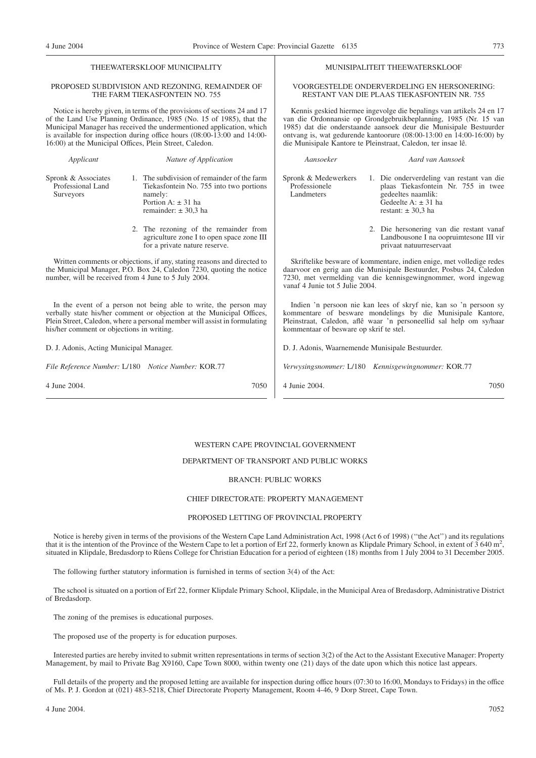THEEWATERSKLOOF MUNICIPALITY

MUNISIPALITEIT THEEWATERSKLOOF

| PROPOSED SUBDIVISION AND REZONING, REMAINDER OF<br>THE FARM TIEKASFONTEIN NO. 755                                                                                                                                                                                                                                                                             |                                                                                                                                                         | VOORGESTELDE ONDERVERDELING EN HERSONERING:<br>RESTANT VAN DIE PLAAS TIEKASFONTEIN NR. 755                                                                                                                                                                                                                                                            |                                                                                                                                                                                                              |  |
|---------------------------------------------------------------------------------------------------------------------------------------------------------------------------------------------------------------------------------------------------------------------------------------------------------------------------------------------------------------|---------------------------------------------------------------------------------------------------------------------------------------------------------|-------------------------------------------------------------------------------------------------------------------------------------------------------------------------------------------------------------------------------------------------------------------------------------------------------------------------------------------------------|--------------------------------------------------------------------------------------------------------------------------------------------------------------------------------------------------------------|--|
| Notice is hereby given, in terms of the provisions of sections 24 and 17<br>of the Land Use Planning Ordinance, 1985 (No. 15 of 1985), that the<br>Municipal Manager has received the undermentioned application, which<br>is available for inspection during office hours (08:00-13:00 and 14:00-<br>16:00) at the Municipal Offices, Plein Street, Caledon. |                                                                                                                                                         | Kennis geskied hiermee ingevolge die bepalings van artikels 24 en 17<br>van die Ordonnansie op Grondgebruikbeplanning, 1985 (Nr. 15 van<br>1985) dat die onderstaande aansoek deur die Munisipale Bestuurder<br>ontvang is, wat gedurende kantoorure (08:00-13:00 en 14:00-16:00) by<br>die Munisipale Kantore te Pleinstraat, Caledon, ter insae lê. |                                                                                                                                                                                                              |  |
| Applicant                                                                                                                                                                                                                                                                                                                                                     | Nature of Application                                                                                                                                   | Aansoeker                                                                                                                                                                                                                                                                                                                                             | Aard van Aansoek                                                                                                                                                                                             |  |
| Spronk & Associates<br>Professional Land<br>Surveyors                                                                                                                                                                                                                                                                                                         | 1. The subdivision of remainder of the farm<br>Tiekasfontein No. 755 into two portions<br>namely:<br>Portion A: $\pm$ 31 ha<br>remainder: $\pm$ 30.3 ha | Spronk & Medewerkers<br>Professionele<br>Landmeters                                                                                                                                                                                                                                                                                                   | 1. Die onderverdeling van restant van die<br>plaas Tiekasfontein Nr. 755 in twee<br>gedeeltes naamlik:<br>Gedeelte A: $\pm$ 31 ha<br>restant: $\pm$ 30,3 ha                                                  |  |
|                                                                                                                                                                                                                                                                                                                                                               | 2. The rezoning of the remainder from<br>agriculture zone I to open space zone III<br>for a private nature reserve.                                     |                                                                                                                                                                                                                                                                                                                                                       | 2. Die hersonering van die restant vanaf<br>Landbousone I na oopruimtesone III vir<br>privaat natuurreservaat                                                                                                |  |
| Written comments or objections, if any, stating reasons and directed to<br>the Municipal Manager, P.O. Box 24, Caledon 7230, quoting the notice<br>number, will be received from 4 June to 5 July 2004.                                                                                                                                                       |                                                                                                                                                         | vanaf 4 Junie tot 5 Julie 2004.                                                                                                                                                                                                                                                                                                                       | Skriftelike besware of kommentare, indien enige, met volledige redes<br>daarvoor en gerig aan die Munisipale Bestuurder, Posbus 24, Caledon<br>7230, met vermelding van die kennisgewingnommer, word ingewag |  |
| In the event of a person not being able to write, the person may<br>verbally state his/her comment or objection at the Municipal Offices,<br>Plein Street, Caledon, where a personal member will assist in formulating<br>his/her comment or objections in writing.                                                                                           |                                                                                                                                                         | Indien 'n persoon nie kan lees of skryf nie, kan so 'n persoon sy<br>kommentare of besware mondelings by die Munisipale Kantore,<br>Pleinstraat, Caledon, aflê waar 'n personeellid sal help om sy/haar<br>kommentaar of besware op skrif te stel.                                                                                                    |                                                                                                                                                                                                              |  |
| D. J. Adonis, Acting Municipal Manager.                                                                                                                                                                                                                                                                                                                       |                                                                                                                                                         | D. J. Adonis, Waarnemende Munisipale Bestuurder.                                                                                                                                                                                                                                                                                                      |                                                                                                                                                                                                              |  |
| File Reference Number: L/180 Notice Number: KOR.77                                                                                                                                                                                                                                                                                                            |                                                                                                                                                         | Verwysingsnommer: L/180 Kennisgewingnommer: KOR.77                                                                                                                                                                                                                                                                                                    |                                                                                                                                                                                                              |  |
| 4 June 2004.                                                                                                                                                                                                                                                                                                                                                  | 7050                                                                                                                                                    | 4 Junie 2004.                                                                                                                                                                                                                                                                                                                                         | 7050                                                                                                                                                                                                         |  |

# WESTERN CAPE PROVINCIAL GOVERNMENT

# DEPARTMENT OF TRANSPORT AND PUBLIC WORKS

# BRANCH: PUBLIC WORKS

# CHIEF DIRECTORATE: PROPERTY MANAGEMENT

# PROPOSED LETTING OF PROVINCIAL PROPERTY

Notice is hereby given in terms of the provisions of the Western Cape Land Administration Act, 1998 (Act 6 of 1998) (''the Act'') and its regulations that it is the intention of the Province of the Western Cape to let a portion of Erf 22, formerly known as Klipdale Primary School, in extent of  $3\,640 \text{ m}^2$ , situated in Klipdale, Bredasdorp to Rûens College for Christian Education for a period of eighteen (18) months from 1 July 2004 to 31 December 2005.

The following further statutory information is furnished in terms of section 3(4) of the Act:

The school is situated on a portion of Erf 22, former Klipdale Primary School, Klipdale, in the Municipal Area of Bredasdorp, Administrative District of Bredasdorp.

The zoning of the premises is educational purposes.

The proposed use of the property is for education purposes.

Interested parties are hereby invited to submit written representations in terms of section 3(2) of the Act to the Assistant Executive Manager: Property Management, by mail to Private Bag X9160, Cape Town 8000, within twenty one (21) days of the date upon which this notice last appears.

Full details of the property and the proposed letting are available for inspection during office hours (07:30 to 16:00, Mondays to Fridays) in the office of Ms. P. J. Gordon at (021) 483-5218, Chief Directorate Property Management, Room 4-46, 9 Dorp Street, Cape Town.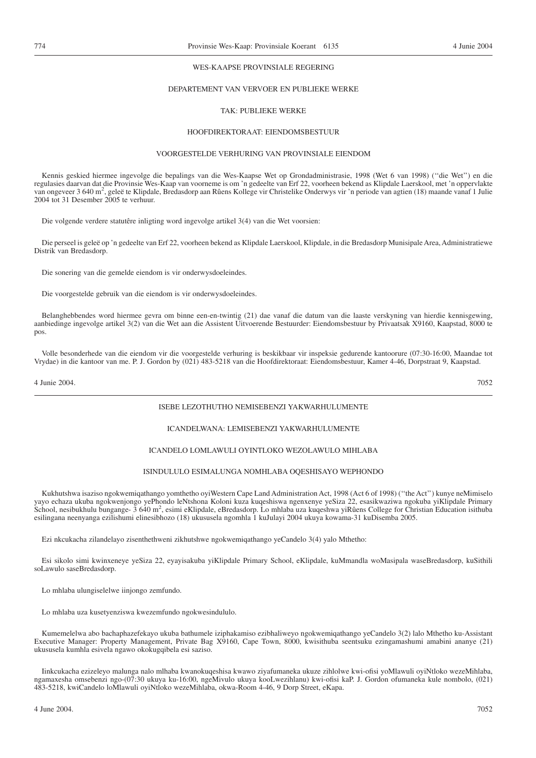# WES-KAAPSE PROVINSIALE REGERING

# DEPARTEMENT VAN VERVOER EN PUBLIEKE WERKE

# TAK: PUBLIEKE WERKE

# HOOFDIREKTORAAT: EIENDOMSBESTUUR

# VOORGESTELDE VERHURING VAN PROVINSIALE EIENDOM

Kennis geskied hiermee ingevolge die bepalings van die Wes-Kaapse Wet op Grondadministrasie, 1998 (Wet 6 van 1998) (''die Wet'') en die regulasies daarvan dat die Provinsie Wes-Kaap van voorneme is om 'n gedeelte van Erf 22, voorheen bekend as Klipdale Laerskool, met 'n oppervlakte van ongeveer 3 640 m<sup>2</sup>, geleë te Klipdale, Bredasdorp aan Rûens Kollege vir Christelike Onderwys vir 'n periode van agtien (18) maande vanaf 1 Julie 2004 tot 31 Desember 2005 te verhuur.

Die volgende verdere statutêre inligting word ingevolge artikel 3(4) van die Wet voorsien:

Die perseel is geleë op 'n gedeelte van Erf 22, voorheen bekend as Klipdale Laerskool, Klipdale, in die Bredasdorp Munisipale Area, Administratiewe Distrik van Bredasdorp.

Die sonering van die gemelde eiendom is vir onderwysdoeleindes.

Die voorgestelde gebruik van die eiendom is vir onderwysdoeleindes.

Belanghebbendes word hiermee gevra om binne een-en-twintig (21) dae vanaf die datum van die laaste verskyning van hierdie kennisgewing, aanbiedinge ingevolge artikel 3(2) van die Wet aan die Assistent Uitvoerende Bestuurder: Eiendomsbestuur by Privaatsak X9160, Kaapstad, 8000 te pos.

Volle besonderhede van die eiendom vir die voorgestelde verhuring is beskikbaar vir inspeksie gedurende kantoorure (07:30-16:00, Maandae tot Vrydae) in die kantoor van me. P. J. Gordon by (021) 483-5218 van die Hoofdirektoraat: Eiendomsbestuur, Kamer 4-46, Dorpstraat 9, Kaapstad.

4 Junie 2004. 7052

# ISEBE LEZOTHUTHO NEMISEBENZI YAKWARHULUMENTE

# ICANDELWANA: LEMISEBENZI YAKWARHULUMENTE

# ICANDELO LOMLAWULI OYINTLOKO WEZOLAWULO MIHLABA

# ISINDULULO ESIMALUNGA NOMHLABA OQESHISAYO WEPHONDO

Kukhutshwa isaziso ngokwemiqathango yomthetho oyiWestern Cape Land Administration Act, 1998 (Act 6 of 1998) (''the Act'') kunye neMimiselo yayo echaza ukuba ngokwenjongo yePhondo leNtshona Koloni kuza kuqeshiswa ngenxenye yeSiza 22, esasikwaziwa ngokuba yiKlipdale Primary .<br>School, nesibukhulu bungange- 3 640 m<sup>2</sup>, esimi eKlipdale, eBredasdorp. Lo mhlaba uza kuqeshwa yiRûens College for Christian Education isithuba esilingana neenyanga ezilishumi elinesibhozo (18) ukususela ngomhla 1 kuJulayi 2004 ukuya kowama-31 kuDisemba 2005.

Ezi nkcukacha zilandelayo zisenthethweni zikhutshwe ngokwemiqathango yeCandelo 3(4) yalo Mthetho:

Esi sikolo simi kwinxeneye yeSiza 22, eyayisakuba yiKlipdale Primary School, eKlipdale, kuMmandla woMasipala waseBredasdorp, kuSithili soLawulo saseBredasdorp.

Lo mhlaba ulungiselelwe iinjongo zemfundo.

Lo mhlaba uza kusetyenziswa kwezemfundo ngokwesindululo.

Kumemelelwa abo bachaphazefekayo ukuba bathumele iziphakamiso ezibhaliweyo ngokwemiqathango yeCandelo 3(2) lalo Mthetho ku-Assistant Executive Manager: Property Management, Private Bag X9160, Cape Town, 8000, kwisithuba seentsuku ezingamashumi amabini ananye (21) ukususela kumhla esivela ngawo okokugqibela esi saziso.

Iinkcukacha ezizeleyo malunga nalo mlhaba kwanokuqeshisa kwawo ziyafumaneka ukuze zihlolwe kwi-ofisi yoMlawuli oyiNtloko wezeMihlaba, ngamaxesha omsebenzi ngo-(07:30 ukuya ku-16:00, ngeMivulo ukuya kooLwezihlanu) kwi-ofisi kaP. J. Gordon ofumaneka kule nombolo, (021) 483-5218, kwiCandelo loMlawuli oyiNtloko wezeMihlaba, okwa-Room 4-46, 9 Dorp Street, eKapa.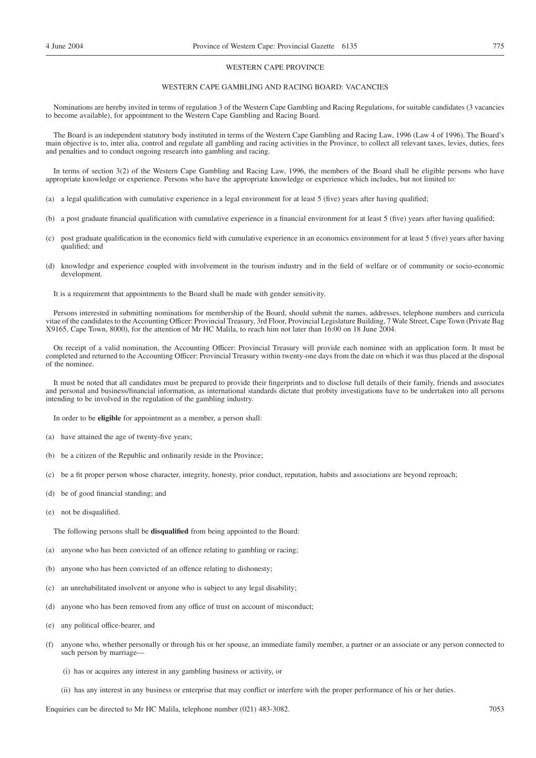# WESTERN CAPE PROVINCE

# WESTERN CAPE GAMBLING AND RACING BOARD: VACANCIES

Nominations are hereby invited in terms of regulation 3 of the Western Cape Gambling and Racing Regulations, for suitable candidates (3 vacancies to become available), for appointment to the Western Cape Gambling and Racing Board.

The Board is an independent statutory body instituted in terms of the Western Cape Gambling and Racing Law, 1996 (Law 4 of 1996). The Board's main objective is to, inter alia, control and regulate all gambling and racing activities in the Province, to collect all relevant taxes, levies, duties, fees and penalties and to conduct ongoing research into gambling and racing.

In terms of section 3(2) of the Western Cape Gambling and Racing Law, 1996, the members of the Board shall be eligible persons who have appropriate knowledge or experience. Persons who have the appropriate knowledge or experience which includes, but not limited to:

- (a) a legal qualification with cumulative experience in a legal environment for at least 5 (five) years after having qualified;
- (b) a post graduate financial qualification with cumulative experience in a financial environment for at least 5 (five) years after having qualified;
- (c) post graduate qualification in the economics field with cumulative experience in an economics environment for at least 5 (five) years after having qualified; and
- (d) knowledge and experience coupled with involvement in the tourism industry and in the field of welfare or of community or socio-economic development.
	- It is a requirement that appointments to the Board shall be made with gender sensitivity.

Persons interested in submitting nominations for membership of the Board, should submit the names, addresses, telephone numbers and curricula vitae of the candidates to the Accounting Officer: Provincial Treasury, 3rd Floor, Provincial Legislature Building, 7 Wale Street, Cape Town (Private Bag X9165, Cape Town, 8000), for the attention of Mr HC Malila, to reach him not later than 16:00 on 18 June 2004.

On receipt of a valid nomination, the Accounting Officer: Provincial Treasury will provide each nominee with an application form. It must be completed and returned to the Accounting Officer: Provincial Treasury within twenty-one days from the date on which it was thus placed at the disposal of the nominee.

It must be noted that all candidates must be prepared to provide their fingerprints and to disclose full details of their family, friends and associates and personal and business/financial information, as international standards dictate that probity investigations have to be undertaken into all persons intending to be involved in the regulation of the gambling industry.

In order to be **eligible** for appointment as a member, a person shall:

- (a) have attained the age of twenty-five years;
- (b) be a citizen of the Republic and ordinarily reside in the Province;
- (c) be a fit proper person whose character, integrity, honesty, prior conduct, reputation, habits and associations are beyond reproach;
- (d) be of good financial standing; and
- (e) not be disqualified.

The following persons shall be **disqualified** from being appointed to the Board:

- (a) anyone who has been convicted of an offence relating to gambling or racing;
- (b) anyone who has been convicted of an offence relating to dishonesty;
- (c) an unrehabilitated insolvent or anyone who is subject to any legal disability;
- (d) anyone who has been removed from any office of trust on account of misconduct;
- (e) any political office-bearer, and
- (f) anyone who, whether personally or through his or her spouse, an immediate family member, a partner or an associate or any person connected to such person by marriage-
	- (i) has or acquires any interest in any gambling business or activity, or
	- (ii) has any interest in any business or enterprise that may conflict or interfere with the proper performance of his or her duties.

Enquiries can be directed to Mr HC Malila, telephone number (021) 483-3082. 7053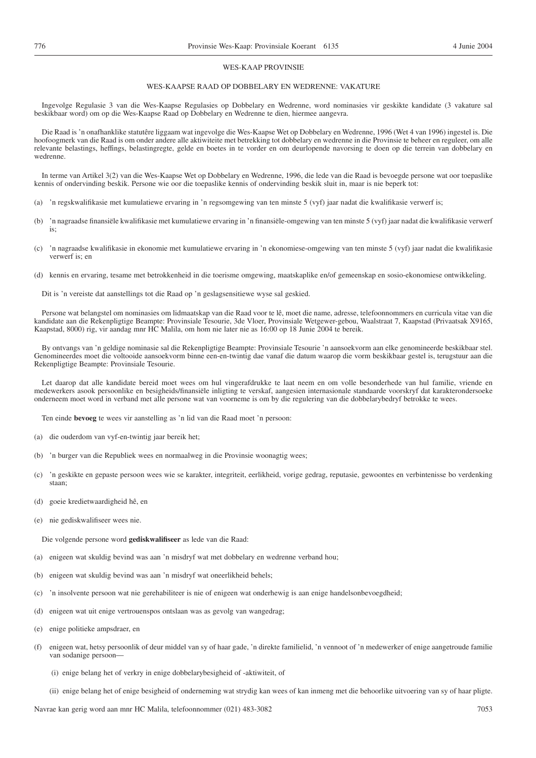# WES-KAAP PROVINSIE

# WES-KAAPSE RAAD OP DOBBELARY EN WEDRENNE: VAKATURE

Ingevolge Regulasie 3 van die Wes-Kaapse Regulasies op Dobbelary en Wedrenne, word nominasies vir geskikte kandidate (3 vakature sal beskikbaar word) om op die Wes-Kaapse Raad op Dobbelary en Wedrenne te dien, hiermee aangevra.

Die Raad is 'n onafhanklike statutêre liggaam wat ingevolge die Wes-Kaapse Wet op Dobbelary en Wedrenne, 1996 (Wet 4 van 1996) ingestel is. Die hoofoogmerk van die Raad is om onder andere alle aktiwiteite met betrekking tot dobbelary en wedrenne in die Provinsie te beheer en reguleer, om alle relevante belastings, heffings, belastingregte, gelde en boetes in te vorder en om deurlopende navorsing te doen op die terrein van dobbelary en wedrenne.

In terme van Artikel 3(2) van die Wes-Kaapse Wet op Dobbelary en Wedrenne, 1996, die lede van die Raad is bevoegde persone wat oor toepaslike kennis of ondervinding beskik. Persone wie oor die toepaslike kennis of ondervinding beskik sluit in, maar is nie beperk tot:

- (a) 'n regskwalifikasie met kumulatiewe ervaring in 'n regsomgewing van ten minste 5 (vyf) jaar nadat die kwalifikasie verwerf is;
- (b) 'n nagraadse finansiële kwalifikasie met kumulatiewe ervaring in 'n finansiële-omgewing van ten minste 5 (vyf) jaar nadat die kwalifikasie verwerf is;
- (c) 'n nagraadse kwalifikasie in ekonomie met kumulatiewe ervaring in 'n ekonomiese-omgewing van ten minste 5 (vyf) jaar nadat die kwalifikasie verwerf is; en
- (d) kennis en ervaring, tesame met betrokkenheid in die toerisme omgewing, maatskaplike en/of gemeenskap en sosio-ekonomiese ontwikkeling.

Dit is 'n vereiste dat aanstellings tot die Raad op 'n geslagsensitiewe wyse sal geskied.

Persone wat belangstel om nominasies om lidmaatskap van die Raad voor te lê, moet die name, adresse, telefoonnommers en curricula vitae van die kandidate aan die Rekenpligtige Beampte: Provinsiale Tesourie, 3de Vloer, Provinsiale Wetgewer-gebou, Waalstraat 7, Kaapstad (Privaatsak X9165, Kaapstad, 8000) rig, vir aandag mnr HC Malila, om hom nie later nie as 16:00 op 18 Junie 2004 te bereik.

By ontvangs van 'n geldige nominasie sal die Rekenpligtige Beampte: Provinsiale Tesourie 'n aansoekvorm aan elke genomineerde beskikbaar stel. Genomineerdes moet die voltooide aansoekvorm binne een-en-twintig dae vanaf die datum waarop die vorm beskikbaar gestel is, terugstuur aan die Rekenpligtige Beampte: Provinsiale Tesourie.

Let daarop dat alle kandidate bereid moet wees om hul vingerafdrukke te laat neem en om volle besonderhede van hul familie, vriende en medewerkers asook persoonlike en besigheids/finansiële inligting te verskaf, aangesien internasionale standaarde voorskryf dat karakterondersoeke onderneem moet word in verband met alle persone wat van voorneme is om by die regulering van die dobbelarybedryf betrokke te wees.

Ten einde **bevoeg** te wees vir aanstelling as 'n lid van die Raad moet 'n persoon:

- (a) die ouderdom van vyf-en-twintig jaar bereik het;
- (b) 'n burger van die Republiek wees en normaalweg in die Provinsie woonagtig wees;
- (c) 'n geskikte en gepaste persoon wees wie se karakter, integriteit, eerlikheid, vorige gedrag, reputasie, gewoontes en verbintenisse bo verdenking staan;
- (d) goeie kredietwaardigheid hê, en
- (e) nie gediskwalifiseer wees nie.

Die volgende persone word **gediskwalifiseer** as lede van die Raad:

- (a) enigeen wat skuldig bevind was aan 'n misdryf wat met dobbelary en wedrenne verband hou;
- (b) enigeen wat skuldig bevind was aan 'n misdryf wat oneerlikheid behels;
- (c) 'n insolvente persoon wat nie gerehabiliteer is nie of enigeen wat onderhewig is aan enige handelsonbevoegdheid;
- (d) enigeen wat uit enige vertrouenspos ontslaan was as gevolg van wangedrag;
- (e) enige politieke ampsdraer, en
- (f) enigeen wat, hetsy persoonlik of deur middel van sy of haar gade, 'n direkte familielid, 'n vennoot of 'n medewerker of enige aangetroude familie van sodanige persoon—
	- (i) enige belang het of verkry in enige dobbelarybesigheid of -aktiwiteit, of
	- (ii) enige belang het of enige besigheid of onderneming wat strydig kan wees of kan inmeng met die behoorlike uitvoering van sy of haar pligte.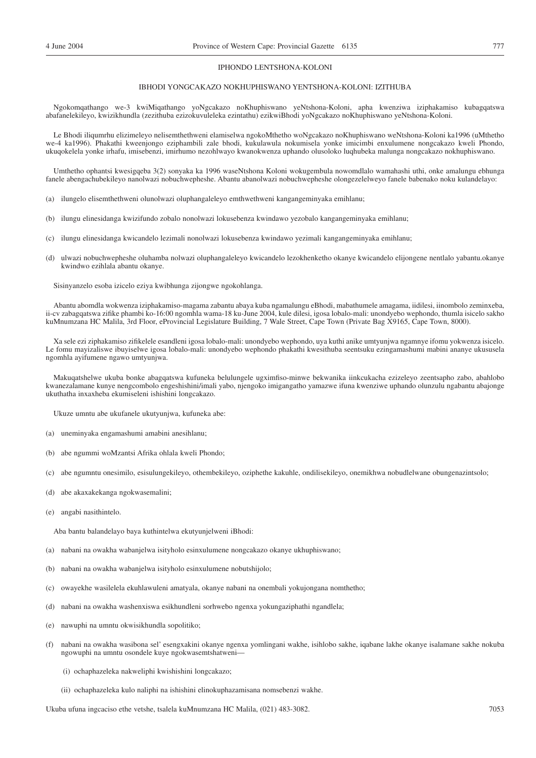# IPHONDO LENTSHONA-KOLONI

# IBHODI YONGCAKAZO NOKHUPHISWANO YENTSHONA-KOLONI: IZITHUBA

Ngokomqathango we-3 kwiMiqathango yoNgcakazo noKhuphiswano yeNtshona-Koloni, apha kwenziwa iziphakamiso kubagqatswa abafanelekileyo, kwizikhundla (zezithuba ezizokuvuleleka ezintathu) ezikwiBhodi yoNgcakazo noKhuphiswano yeNtshona-Koloni.

Le Bhodi iliqumrhu elizimeleyo nelisemthethweni elamiselwa ngokoMthetho woNgcakazo noKhuphiswano weNtshona-Koloni ka1996 (uMthetho we-4 ka1996). Phakathi kweenjongo eziphambili zale bhodi, kukulawula nokumisela yonke imicimbi enxulumene nongcakazo kweli Phondo, ukuqokelela yonke irhafu, imisebenzi, imirhumo nezohlwayo kwanokwenza uphando olusoloko luqhubeka malunga nongcakazo nokhuphiswano.

Umthetho ophantsi kwesigqeba 3(2) sonyaka ka 1996 waseNtshona Koloni wokugembula nowomdlalo wamahashi uthi, onke amalungu ebhunga fanele abengachubekileyo nanolwazi nobuchwepheshe. Abantu abanolwazi nobuchwepheshe olongezelelweyo fanele babenako noku kulandelayo:

- (a) ilungelo elisemthethweni olunolwazi oluphangaleleyo emthwethweni kangangeminyaka emihlanu;
- (b) ilungu elinesidanga kwizifundo zobalo nonolwazi lokusebenza kwindawo yezobalo kangangeminyaka emihlanu;
- (c) ilungu elinesidanga kwicandelo lezimali nonolwazi lokusebenza kwindawo yezimali kangangeminyaka emihlanu;
- (d) ulwazi nobuchwepheshe oluhamba nolwazi oluphangaleleyo kwicandelo lezokhenketho okanye kwicandelo elijongene nentlalo yabantu.okanye kwindwo ezihlala abantu okanye.

Sisinyanzelo esoba izicelo eziya kwibhunga zijongwe ngokohlanga.

Abantu abomdla wokwenza iziphakamiso-magama zabantu abaya kuba ngamalungu eBhodi, mabathumele amagama, iidilesi, iinombolo zeminxeba, ii-cv zabagqatswa zifike phambi ko-16:00 ngomhla wama-18 ku-June 2004, kule dilesi, igosa lobalo-mali: unondyebo wephondo, thumla isicelo sakho kuMnumzana HC Malila, 3rd Floor, eProvincial Legislature Building, 7 Wale Street, Cape Town (Private Bag X9165, Cape Town, 8000).

Xa sele ezi ziphakamiso zifikelele esandleni igosa lobalo-mali: unondyebo wephondo, uya kuthi anike umtyunjwa ngamnye ifomu yokwenza isicelo. Le fomu mayizaliswe ibuyiselwe igosa lobalo-mali: unondyebo wephondo phakathi kwesithuba seentsuku ezingamashumi mabini ananye ukususela ngomhla ayifumene ngawo umtyunjwa.

Makuqatshelwe ukuba bonke abagqatswa kufuneka belulungele ugximfiso-minwe bekwanika iinkcukacha ezizeleyo zeentsapho zabo, abahlobo kwanezalamane kunye nengcombolo engeshishini/imali yabo, njengoko imigangatho yamazwe ifuna kwenziwe uphando olunzulu ngabantu abajonge ukuthatha inxaxheba ekumiseleni ishishini longcakazo.

Ukuze umntu abe ukufanele ukutyunjwa, kufuneka abe:

- (a) uneminyaka engamashumi amabini anesihlanu;
- (b) abe ngummi woMzantsi Afrika ohlala kweli Phondo;
- (c) abe ngumntu onesimilo, esisulungekileyo, othembekileyo, oziphethe kakuhle, ondilisekileyo, onemikhwa nobudlelwane obungenazintsolo;
- (d) abe akaxakekanga ngokwasemalini;
- (e) angabi nasithintelo.

Aba bantu balandelayo baya kuthintelwa ekutyunjelweni iBhodi:

- (a) nabani na owakha wabanjelwa isityholo esinxulumene nongcakazo okanye ukhuphiswano;
- (b) nabani na owakha wabanjelwa isityholo esinxulumene nobutshijolo;
- (c) owayekhe wasilelela ekuhlawuleni amatyala, okanye nabani na onembali yokujongana nomthetho;
- (d) nabani na owakha washenxiswa esikhundleni sorhwebo ngenxa yokungaziphathi ngandlela;
- (e) nawuphi na umntu okwisikhundla sopolitiko;
- (f) nabani na owakha wasibona sel' esengxakini okanye ngenxa yomlingani wakhe, isihlobo sakhe, iqabane lakhe okanye isalamane sakhe nokuba ngowuphi na umntu osondele kuye ngokwasemtshatweni—
	- (i) ochaphazeleka nakweliphi kwishishini longcakazo;
	- (ii) ochaphazeleka kulo naliphi na ishishini elinokuphazamisana nomsebenzi wakhe.

Ukuba ufuna ingcaciso ethe vetshe, tsalela kuMnumzana HC Malila, (021) 483-3082. 7053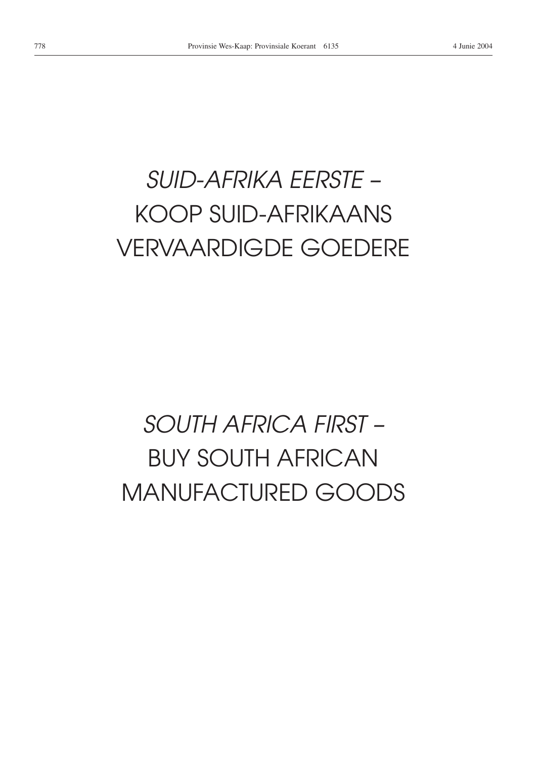# *SUID-AFRIKA EERSTE –* KOOP SUID-AFRIKAANS VERVAARDIGDE GOEDERE

# *SOUTH AFRICA FIRST –* BUY SOUTH AFRICAN MANUFACTURED GOODS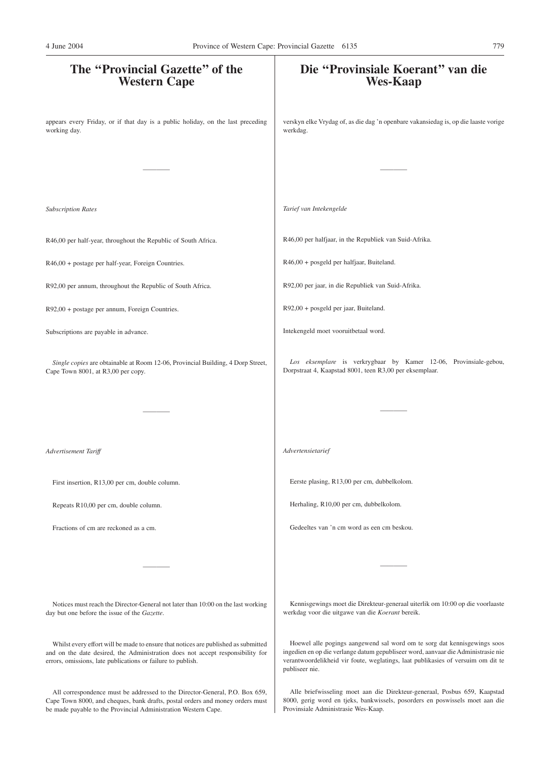# **The ''Provincial Gazette'' of the Western Cape** appears every Friday, or if that day is a public holiday, on the last preceding working day. ———— *Subscription Rates* R46,00 per half-year, throughout the Republic of South Africa. R46,00 + postage per half-year, Foreign Countries. R92,00 per annum, throughout the Republic of South Africa. R92,00 + postage per annum, Foreign Countries. Subscriptions are payable in advance. *Single copies* are obtainable at Room 12-06, Provincial Building, 4 Dorp Street, Cape Town 8001, at R3,00 per copy. ———— *Advertisement Tariff* First insertion, R13,00 per cm, double column. Repeats R10,00 per cm, double column. Fractions of cm are reckoned as a cm. ———— Notices must reach the Director-General not later than 10:00 on the last working day but one before the issue of the *Gazette*. Whilst every effort will be made to ensure that notices are published as submitted and on the date desired, the Administration does not accept responsibility for **Die ''Provinsiale Koerant'' van die Wes-Kaap** verskyn elke Vrydag of, as die dag 'n openbare vakansiedag is, op die laaste vorige werkdag. ———— *Tarief van Intekengelde* R46,00 per halfjaar, in the Republiek van Suid-Afrika. R46,00 + posgeld per halfjaar, Buiteland. R92,00 per jaar, in die Republiek van Suid-Afrika. R92,00 + posgeld per jaar, Buiteland. Intekengeld moet vooruitbetaal word. *Los eksemplare* is verkrygbaar by Kamer 12-06, Provinsiale-gebou, Dorpstraat 4, Kaapstad 8001, teen R3,00 per eksemplaar. ———— *Advertensietarief* Eerste plasing, R13,00 per cm, dubbelkolom. Herhaling, R10,00 per cm, dubbelkolom. Gedeeltes van 'n cm word as een cm beskou. ———— Kennisgewings moet die Direkteur-generaal uiterlik om 10:00 op die voorlaaste werkdag voor die uitgawe van die *Koerant* bereik. Hoewel alle pogings aangewend sal word om te sorg dat kennisgewings soos ingedien en op die verlange datum gepubliseer word, aanvaar die Administrasie nie 4 June 2004 Province of Western Cape: Provincial Gazette 6135 779

publiseer nie.

All correspondence must be addressed to the Director-General, P.O. Box 659, Cape Town 8000, and cheques, bank drafts, postal orders and money orders must be made payable to the Provincial Administration Western Cape.

errors, omissions, late publications or failure to publish.

Alle briefwisseling moet aan die Direkteur-generaal, Posbus 659, Kaapstad 8000, gerig word en tjeks, bankwissels, posorders en poswissels moet aan die Provinsiale Administrasie Wes-Kaap.

verantwoordelikheid vir foute, weglatings, laat publikasies of versuim om dit te